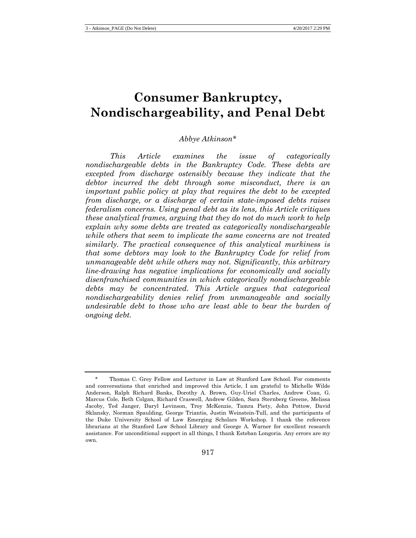# **Consumer Bankruptcy, Nondischargeability, and Penal Debt**

## *Abbye Atkinson*[\\*](#page-0-0)

*This Article examines the issue of categorically nondischargeable debts in the Bankruptcy Code. These debts are excepted from discharge ostensibly because they indicate that the debtor incurred the debt through some misconduct, there is an important public policy at play that requires the debt to be excepted from discharge, or a discharge of certain state-imposed debts raises federalism concerns. Using penal debt as its lens, this Article critiques these analytical frames, arguing that they do not do much work to help explain why some debts are treated as categorically nondischargeable while others that seem to implicate the same concerns are not treated similarly. The practical consequence of this analytical murkiness is that some debtors may look to the Bankruptcy Code for relief from unmanageable debt while others may not. Significantly, this arbitrary line-drawing has negative implications for economically and socially disenfranchised communities in which categorically nondischargeable debts may be concentrated. This Article argues that categorical nondischargeability denies relief from unmanageable and socially undesirable debt to those who are least able to bear the burden of ongoing debt.*

<span id="page-0-0"></span><sup>\*</sup> Thomas C. Grey Fellow and Lecturer in Law at Stanford Law School. For comments and conversations that enriched and improved this Article, I am grateful to Michelle Wilde Anderson, Ralph Richard Banks, Dorothy A. Brown, Guy-Uriel Charles, Andrew Coan, G. Marcus Cole, Beth Colgan, Richard Craswell, Andrew Gilden, Sara Sternberg Greene, Melissa Jacoby, Ted Janger, Daryl Levinson, Troy McKenzie, Tamra Piety, John Pottow, David Sklansky, Norman Spaulding, George Triantis, Justin Weinstein-Tull, and the participants of the Duke University School of Law Emerging Scholars Workshop. I thank the reference librarians at the Stanford Law School Library and George A. Warner for excellent research assistance. For unconditional support in all things, I thank Esteban Longoria. Any errors are my own.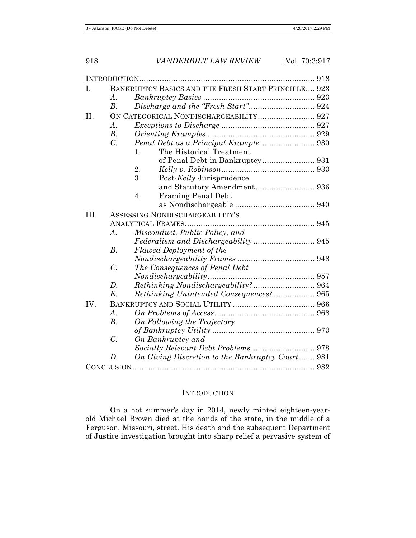| I.   |                                 | BANKRUPTCY BASICS AND THE FRESH START PRINCIPLE 923 |  |
|------|---------------------------------|-----------------------------------------------------|--|
|      | А.                              |                                                     |  |
|      | B.                              |                                                     |  |
| II.  |                                 |                                                     |  |
|      | $A$ .                           |                                                     |  |
|      | $B$ .                           |                                                     |  |
|      | $\overline{C}$ .                |                                                     |  |
|      |                                 | The Historical Treatment<br>1.                      |  |
|      |                                 |                                                     |  |
|      |                                 | 2.                                                  |  |
|      |                                 | 3.<br>Post-Kelly Jurisprudence                      |  |
|      |                                 | and Statutory Amendment 936                         |  |
|      |                                 | <b>Framing Penal Debt</b><br>4.                     |  |
|      |                                 |                                                     |  |
| III. | ASSESSING NONDISCHARGEABILITY'S |                                                     |  |
|      |                                 |                                                     |  |
|      | А.                              | Misconduct, Public Policy, and                      |  |
|      |                                 | Federalism and Dischargeability 945                 |  |
|      | $B$ .                           | <b>Flawed Deployment of the</b>                     |  |
|      |                                 |                                                     |  |
|      | $\overline{C}$ .                | The Consequences of Penal Debt                      |  |
|      |                                 |                                                     |  |
|      | D.                              |                                                     |  |
|      | $E$ .                           | Rethinking Unintended Consequences? 965             |  |
| IV.  |                                 |                                                     |  |
|      | $\overline{A}$ .                |                                                     |  |
|      | B.                              | On Following the Trajectory                         |  |
|      |                                 |                                                     |  |
|      | $\overline{C}$ .                | On Bankruptcy and                                   |  |
|      |                                 |                                                     |  |
|      | $D$ .                           | On Giving Discretion to the Bankruptcy Court 981    |  |
|      |                                 |                                                     |  |
|      |                                 |                                                     |  |

#### **INTRODUCTION**

On a hot summer's day in 2014, newly minted eighteen-yearold Michael Brown died at the hands of the state, in the middle of a Ferguson, Missouri, street. His death and the subsequent Department of Justice investigation brought into sharp relief a pervasive system of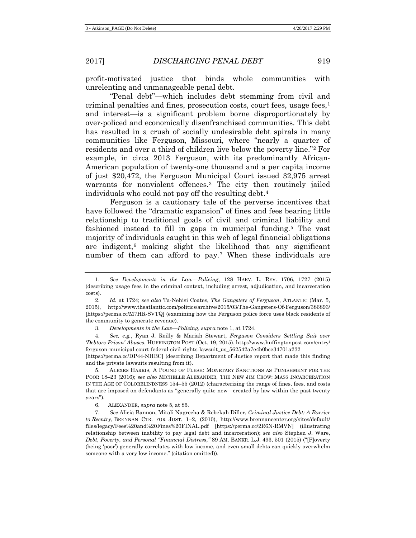profit-motivated justice that binds whole communities with unrelenting and unmanageable penal debt.

"Penal debt"—which includes debt stemming from civil and criminal penalties and fines, prosecution costs, court fees, usage fees,  $\frac{1}{1}$  $\frac{1}{1}$  $\frac{1}{1}$ and interest—is a significant problem borne disproportionately by over-policed and economically disenfranchised communities. This debt has resulted in a crush of socially undesirable debt spirals in many communities like Ferguson, Missouri, where "nearly a quarter of residents and over a third of children live below the poverty line."[2](#page-2-1) For example, in circa 2013 Ferguson, with its predominantly African-American population of twenty-one thousand and a per capita income of just \$20,472, the Ferguson Municipal Court issued 32,975 arrest warrants for nonviolent offences.[3](#page-2-2) The city then routinely jailed individuals who could not pay off the resulting debt.[4](#page-2-3)

<span id="page-2-8"></span>Ferguson is a cautionary tale of the perverse incentives that have followed the "dramatic expansion" of fines and fees bearing little relationship to traditional goals of civil and criminal liability and fashioned instead to fill in gaps in municipal funding.[5](#page-2-4) The vast majority of individuals caught in this web of legal financial obligations are indigent, $6$  making slight the likelihood that any significant number of them can afford to pay.<sup>[7](#page-2-6)</sup> When these individuals are

[https://perma.cc/DP44-NHBC] (describing Department of Justice report that made this finding and the private lawsuits resulting from it).

<span id="page-2-4"></span>5. ALEXES HARRIS, A POUND OF FLESH: MONETARY SANCTIONS AS PUNISHMENT FOR THE POOR 18–23 (2016); *see also* MICHELLE ALEXANDER, THE NEW JIM CROW: MASS INCARCERATION IN THE AGE OF COLORBLINDNESS 154–55 (2012) (characterizing the range of fines, fees, and costs that are imposed on defendants as "generally quite new—created by law within the past twenty years").

<span id="page-2-7"></span><span id="page-2-0"></span><sup>1.</sup> *See Developments in the Law—Policing*, 128 HARV. L. REV. 1706, 1727 (2015) (describing usage fees in the criminal context, including arrest, adjudication, and incarceration costs).

<span id="page-2-1"></span><sup>2.</sup> *Id.* at 1724; *see also* Ta-Nehisi Coates, *The Gangsters of Ferguson*, ATLANTIC (Mar. 5, 2015), http://www.theatlantic.com/politics/archive/2015/03/The-Gangsters-Of-Ferguson/386893/ [https://perma.cc/M7HR-SVTQ] (examining how the Ferguson police force uses black residents of the community to generate revenue).

<sup>3.</sup> *Developments in the Law—Policing*, *supra* note 1, at 1724.

<span id="page-2-3"></span><span id="page-2-2"></span><sup>4.</sup> *See, e.g.*, Ryan J. Reilly & Mariah Stewart, *Ferguson Considers Settling Suit over 'Debtors Prison' Abuses*, HUFFINGTON POST (Oct. 19, 2015), http://www.huffingtonpost.com/entry/ ferguson-municipal-court-federal-civil-rights-lawsuit\_us\_562542a7e4b0bce34701a232

<sup>6.</sup> ALEXANDER, *supra* note 5, at 85.

<span id="page-2-6"></span><span id="page-2-5"></span><sup>7.</sup> *See* Alicia Bannon, Mitali Nagrecha & Rebekah Diller, *Criminal Justice Debt: A Barrier to Reentry*, BRENNAN CTR. FOR JUST. 1–2, (2010), http://www.brennancenter.org/sites/default/ files/legacy/Fees%20and%20Fines%20FINAL.pdf [https://perma.cc/2R6N-RMVN] (illustrating relationship between inability to pay legal debt and incarceration); *see also* Stephen J. Ware, *Debt, Poverty, and Personal "Financial Distress*,*"* 89 AM. BANKR. L.J. 493, 501 (2015) ("[P]overty (being 'poor') generally correlates with low income, and even small debts can quickly overwhelm someone with a very low income." (citation omitted)).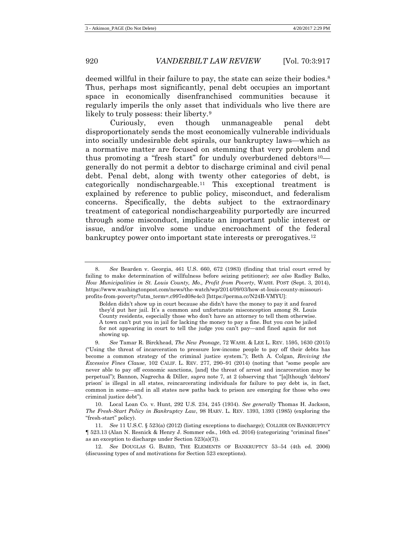<span id="page-3-8"></span>deemed willful in their failure to pay, the state can seize their bodies.<sup>[8](#page-3-0)</sup> Thus, perhaps most significantly, penal debt occupies an important space in economically disenfranchised communities because it regularly imperils the only asset that individuals who live there are likely to truly possess: their liberty[.9](#page-3-1)

<span id="page-3-7"></span><span id="page-3-6"></span><span id="page-3-5"></span>Curiously, even though unmanageable penal debt disproportionately sends the most economically vulnerable individuals into socially undesirable debt spirals, our bankruptcy laws—which as a normative matter are focused on stemming that very problem and thus promoting a "fresh start" for unduly overburdened debtors<sup>10</sup> generally do not permit a debtor to discharge criminal and civil penal debt. Penal debt, along with twenty other categories of debt, is categorically nondischargeable.[11](#page-3-3) This exceptional treatment is explained by reference to public policy, misconduct, and federalism concerns. Specifically, the debts subject to the extraordinary treatment of categorical nondischargeability purportedly are incurred through some misconduct, implicate an important public interest or issue, and/or involve some undue encroachment of the federal bankruptcy power onto important state interests or prerogatives.<sup>[12](#page-3-4)</sup>

<span id="page-3-2"></span>10. Local Loan Co. v. Hunt, 292 U.S. 234, 245 (1934). *See generally* Thomas H. Jackson, *The Fresh-Start Policy in Bankruptcy Law*, 98 HARV. L. REV. 1393, 1393 (1985) (exploring the "fresh-start" policy).

<span id="page-3-3"></span>11. *See* 11 U.S.C. § 523(a) (2012) (listing exceptions to discharge); COLLIER ON BANKRUPTCY ¶ 523.13 (Alan N. Resnick & Henry J. Sommer eds., 16th ed. 2016) (categorizing "criminal fines" as an exception to discharge under Section 523(a)(7)).

<span id="page-3-4"></span>12. *See* DOUGLAS G. BAIRD, THE ELEMENTS OF BANKRUPTCY 53–54 (4th ed. 2006) (discussing types of and motivations for Section 523 exceptions).

<span id="page-3-0"></span><sup>8.</sup> *See* Bearden v. Georgia, 461 U.S. 660, 672 (1983) (finding that trial court erred by failing to make determination of willfulness before seizing petitioner); *see also* Radley Balko, *How Municipalities in St. Louis County, Mo., Profit from Poverty*, WASH. POST (Sept. 3, 2014), https://www.washingtonpost.com/news/the-watch/wp/2014/09/03/how-st-louis-county-missouriprofits-from-poverty/?utm\_term=.c997ed08e4e3 [https://perma.cc/N24B-VMYU]:

Bolden didn't show up in court because she didn't have the money to pay it and feared they'd put her jail. It's a common and unfortunate misconception among St. Louis County residents, especially those who don't have an attorney to tell them otherwise. A town can't put you in jail for lacking the money to pay a fine. But you *can* be jailed for not appearing in court to tell the judge you can't pay—and fined again for not showing up.

<span id="page-3-1"></span><sup>9.</sup> *See* Tamar R. Birckhead, *The New Peonage*, 72 WASH. & LEE L. REV. 1595, 1630 (2015) ("Using the threat of incarceration to pressure low-income people to pay off their debts has become a common strategy of the criminal justice system."); Beth A. Colgan, *Reviving the Excessive Fines Clause*, 102 CALIF. L. REV. 277, 290–91 (2014) (noting that "some people are never able to pay off economic sanctions, [and] the threat of arrest and incarceration may be perpetual"); Bannon, Nagrecha & Diller, *supra* note [7,](#page-2-7) at 2 (observing that "[a]lthough 'debtors' prison' is illegal in all states, reincarcerating individuals for failure to pay debt is, in fact, common in some—and in all states new paths back to prison are emerging for those who owe criminal justice debt").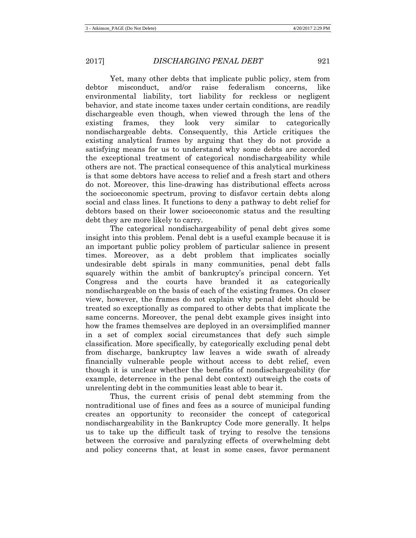Yet, many other debts that implicate public policy, stem from debtor misconduct, and/or raise federalism concerns, like environmental liability, tort liability for reckless or negligent behavior, and state income taxes under certain conditions, are readily dischargeable even though, when viewed through the lens of the existing frames, they look very similar to categorically nondischargeable debts. Consequently, this Article critiques the existing analytical frames by arguing that they do not provide a satisfying means for us to understand why some debts are accorded the exceptional treatment of categorical nondischargeability while others are not. The practical consequence of this analytical murkiness is that some debtors have access to relief and a fresh start and others do not. Moreover, this line-drawing has distributional effects across the socioeconomic spectrum, proving to disfavor certain debts along social and class lines. It functions to deny a pathway to debt relief for debtors based on their lower socioeconomic status and the resulting debt they are more likely to carry.

The categorical nondischargeability of penal debt gives some insight into this problem. Penal debt is a useful example because it is an important public policy problem of particular salience in present times. Moreover, as a debt problem that implicates socially undesirable debt spirals in many communities, penal debt falls squarely within the ambit of bankruptcy's principal concern. Yet Congress and the courts have branded it as categorically nondischargeable on the basis of each of the existing frames. On closer view, however, the frames do not explain why penal debt should be treated so exceptionally as compared to other debts that implicate the same concerns. Moreover, the penal debt example gives insight into how the frames themselves are deployed in an oversimplified manner in a set of complex social circumstances that defy such simple classification. More specifically, by categorically excluding penal debt from discharge, bankruptcy law leaves a wide swath of already financially vulnerable people without access to debt relief, even though it is unclear whether the benefits of nondischargeability (for example, deterrence in the penal debt context) outweigh the costs of unrelenting debt in the communities least able to bear it.

Thus, the current crisis of penal debt stemming from the nontraditional use of fines and fees as a source of municipal funding creates an opportunity to reconsider the concept of categorical nondischargeability in the Bankruptcy Code more generally. It helps us to take up the difficult task of trying to resolve the tensions between the corrosive and paralyzing effects of overwhelming debt and policy concerns that, at least in some cases, favor permanent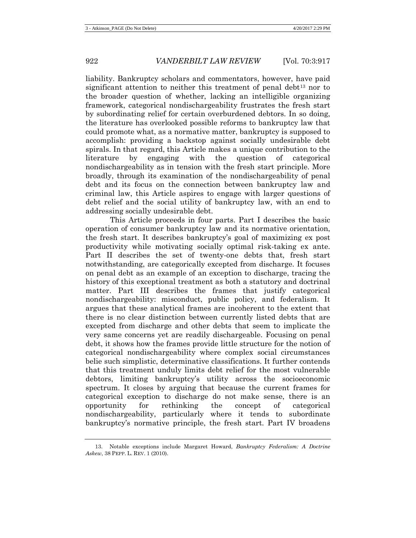<span id="page-5-1"></span>liability. Bankruptcy scholars and commentators, however, have paid significant attention to neither this treatment of penal debt<sup>[13](#page-5-0)</sup> nor to the broader question of whether, lacking an intelligible organizing framework, categorical nondischargeability frustrates the fresh start by subordinating relief for certain overburdened debtors. In so doing, the literature has overlooked possible reforms to bankruptcy law that could promote what, as a normative matter, bankruptcy is supposed to accomplish: providing a backstop against socially undesirable debt spirals. In that regard, this Article makes a unique contribution to the literature by engaging with the question of categorical nondischargeability as in tension with the fresh start principle. More broadly, through its examination of the nondischargeability of penal debt and its focus on the connection between bankruptcy law and criminal law, this Article aspires to engage with larger questions of debt relief and the social utility of bankruptcy law, with an end to addressing socially undesirable debt.

This Article proceeds in four parts. Part I describes the basic operation of consumer bankruptcy law and its normative orientation, the fresh start. It describes bankruptcy's goal of maximizing ex post productivity while motivating socially optimal risk-taking ex ante. Part II describes the set of twenty-one debts that, fresh start notwithstanding, are categorically excepted from discharge. It focuses on penal debt as an example of an exception to discharge, tracing the history of this exceptional treatment as both a statutory and doctrinal matter. Part III describes the frames that justify categorical nondischargeability: misconduct, public policy, and federalism. It argues that these analytical frames are incoherent to the extent that there is no clear distinction between currently listed debts that are excepted from discharge and other debts that seem to implicate the very same concerns yet are readily dischargeable. Focusing on penal debt, it shows how the frames provide little structure for the notion of categorical nondischargeability where complex social circumstances belie such simplistic, determinative classifications. It further contends that this treatment unduly limits debt relief for the most vulnerable debtors, limiting bankruptcy's utility across the socioeconomic spectrum. It closes by arguing that because the current frames for categorical exception to discharge do not make sense, there is an opportunity for rethinking the concept of categorical nondischargeability, particularly where it tends to subordinate bankruptcy's normative principle, the fresh start. Part IV broadens

<span id="page-5-0"></span><sup>13.</sup> Notable exceptions include Margaret Howard, *Bankruptcy Federalism: A Doctrine Askew*, 38 PEPP. L. REV. 1 (2010).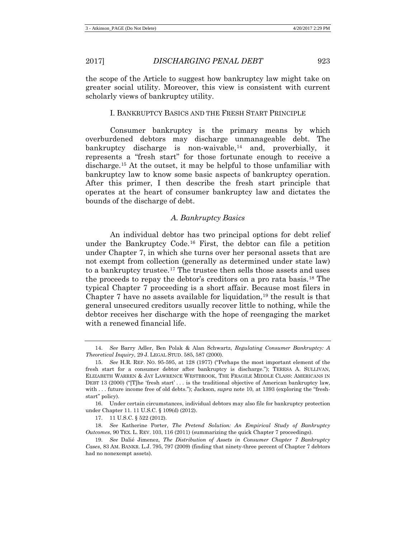the scope of the Article to suggest how bankruptcy law might take on greater social utility. Moreover, this view is consistent with current scholarly views of bankruptcy utility.

## I. BANKRUPTCY BASICS AND THE FRESH START PRINCIPLE

<span id="page-6-8"></span>Consumer bankruptcy is the primary means by which overburdened debtors may discharge unmanageable debt. The bankruptcy discharge is non-waivable,<sup>14</sup> and, proverbially, it represents a "fresh start" for those fortunate enough to receive a discharge[.15](#page-6-1) At the outset, it may be helpful to those unfamiliar with bankruptcy law to know some basic aspects of bankruptcy operation. After this primer, I then describe the fresh start principle that operates at the heart of consumer bankruptcy law and dictates the bounds of the discharge of debt.

#### <span id="page-6-7"></span><span id="page-6-6"></span>*A. Bankruptcy Basics*

An individual debtor has two principal options for debt relief under the Bankruptcy Code.[16](#page-6-2) First, the debtor can file a petition under Chapter 7, in which she turns over her personal assets that are not exempt from collection (generally as determined under state law) to a bankruptcy trustee.[17](#page-6-3) The trustee then sells those assets and uses the proceeds to repay the debtor's creditors on a pro rata basis.[18](#page-6-4) The typical Chapter 7 proceeding is a short affair. Because most filers in Chapter 7 have no assets available for liquidation,  $19$  the result is that general unsecured creditors usually recover little to nothing, while the debtor receives her discharge with the hope of reengaging the market with a renewed financial life.

<span id="page-6-2"></span>16. Under certain circumstances, individual debtors may also file for bankruptcy protection under Chapter 11. 11 U.S.C. § 109(d) (2012).

17. 11 U.S.C. § 522 (2012).

<span id="page-6-4"></span><span id="page-6-3"></span>18. *See* Katherine Porter, *The Pretend Solution: An Empirical Study of Bankruptcy Outcomes*, 90 TEX. L. REV. 103, 116 (2011) (summarizing the quick Chapter 7 proceedings).

<span id="page-6-0"></span><sup>14.</sup> *See* Barry Adler, Ben Polak & Alan Schwartz, *Regulating Consumer Bankruptcy: A Theoretical Inquiry*, 29 J. LEGAL STUD. 585, 587 (2000).

<span id="page-6-1"></span><sup>15.</sup> *See* H.R. REP. NO. 95-595, at 128 (1977) ("Perhaps the most important element of the fresh start for a consumer debtor after bankruptcy is discharge."); TERESA A. SULLIVAN, ELIZABETH WARREN & JAY LAWRENCE WESTBROOK, THE FRAGILE MIDDLE CLASS: AMERICANS IN DEBT 13 (2000) ("[T]he 'fresh start' . . . is the traditional objective of American bankruptcy law, with . . . future income free of old debts."); Jackson, *supra* note [10,](#page-3-5) at 1393 (exploring the "freshstart" policy).

<span id="page-6-5"></span><sup>19.</sup> *See* Dalié Jimenez, *The Distribution of Assets in Consumer Chapter 7 Bankruptcy Cases*, 83 AM. BANKR. L.J. 795, 797 (2009) (finding that ninety-three percent of Chapter 7 debtors had no nonexempt assets).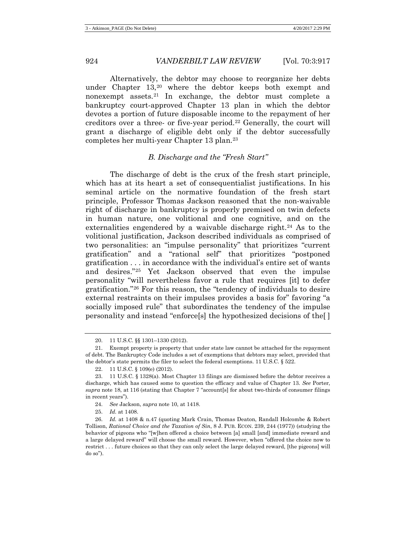Alternatively, the debtor may choose to reorganize her debts under Chapter 13,[20](#page-7-0) where the debtor keeps both exempt and nonexempt assets.[21](#page-7-1) In exchange, the debtor must complete a bankruptcy court-approved Chapter 13 plan in which the debtor devotes a portion of future disposable income to the repayment of her creditors over a three- or five-year period.[22](#page-7-2) Generally, the court will grant a discharge of eligible debt only if the debtor successfully completes her multi-year Chapter 13 plan.[23](#page-7-3)

## *B. Discharge and the "Fresh Start"*

The discharge of debt is the crux of the fresh start principle, which has at its heart a set of consequentialist justifications. In his seminal article on the normative foundation of the fresh start principle, Professor Thomas Jackson reasoned that the non-waivable right of discharge in bankruptcy is properly premised on twin defects in human nature, one volitional and one cognitive, and on the externalities engendered by a waivable discharge right.<sup>[24](#page-7-4)</sup> As to the volitional justification, Jackson described individuals as comprised of two personalities: an "impulse personality" that prioritizes "current gratification" and a "rational self" that prioritizes "postponed gratification . . . in accordance with the individual's entire set of wants and desires."[25](#page-7-5) Yet Jackson observed that even the impulse personality "will nevertheless favor a rule that requires [it] to defer gratification."[26](#page-7-6) For this reason, the "tendency of individuals to desire external restraints on their impulses provides a basis for" favoring "a socially imposed rule" that subordinates the tendency of the impulse personality and instead "enforce[s] the hypothesized decisions of the[ ]

<sup>20.</sup> 11 U.S.C. §§ 1301–1330 (2012).

<span id="page-7-1"></span><span id="page-7-0"></span><sup>21.</sup> Exempt property is property that under state law cannot be attached for the repayment of debt. The Bankruptcy Code includes a set of exemptions that debtors may select, provided that the debtor's state permits the filer to select the federal exemptions. 11 U.S.C. § 522.

<sup>22.</sup> 11 U.S.C. § 109(e) (2012).

<span id="page-7-3"></span><span id="page-7-2"></span><sup>23.</sup> 11 U.S.C. § 1328(a). Most Chapter 13 filings are dismissed before the debtor receives a discharge, which has caused some to question the efficacy and value of Chapter 13. *See* Porter, *supra* note [18,](#page-6-6) at 116 (stating that Chapter 7 "account[s] for about two-thirds of consumer filings in recent years").

<sup>24.</sup> *See* Jackson, *supra* note [10,](#page-3-5) at 1418.

<sup>25.</sup> *Id.* at 1408.

<span id="page-7-6"></span><span id="page-7-5"></span><span id="page-7-4"></span><sup>26.</sup> *Id.* at 1408 & n.47 (quoting Mark Crain, Thomas Deaton, Randall Holcombe & Robert Tollison, *Rational Choice and the Taxation of Sin*, 8 J. PUB. ECON. 239, 244 (1977)) (studying the behavior of pigeons who "[w]hen offered a choice between [a] small [and] immediate reward and a large delayed reward" will choose the small reward. However, when "offered the choice now to restrict . . . future choices so that they can only select the large delayed reward, [the pigeons] will do so").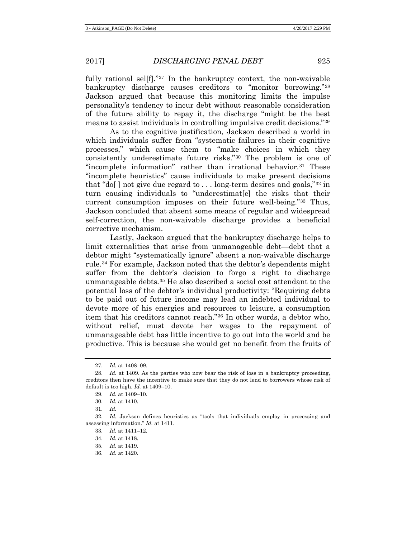fully rational selff." $27$  In the bankruptcy context, the non-waivable bankruptcy discharge causes creditors to "monitor borrowing."[28](#page-8-1) Jackson argued that because this monitoring limits the impulse personality's tendency to incur debt without reasonable consideration of the future ability to repay it, the discharge "might be the best means to assist individuals in controlling impulsive credit decisions."[29](#page-8-2)

As to the cognitive justification, Jackson described a world in which individuals suffer from "systematic failures in their cognitive processes," which cause them to "make choices in which they consistently underestimate future risks."[30](#page-8-3) The problem is one of "incomplete information" rather than irrational behavior.<sup>[31](#page-8-4)</sup> These "incomplete heuristics" cause individuals to make present decisions that "do[ ] not give due regard to  $\dots$  long-term desires and goals," $32$  in turn causing individuals to "underestimat[e] the risks that their current consumption imposes on their future well-being."[33](#page-8-6) Thus, Jackson concluded that absent some means of regular and widespread self-correction, the non-waivable discharge provides a beneficial corrective mechanism.

Lastly, Jackson argued that the bankruptcy discharge helps to limit externalities that arise from unmanageable debt—debt that a debtor might "systematically ignore" absent a non-waivable discharge rule.[34](#page-8-7) For example, Jackson noted that the debtor's dependents might suffer from the debtor's decision to forgo a right to discharge unmanageable debts.[35](#page-8-8) He also described a social cost attendant to the potential loss of the debtor's individual productivity: "Requiring debts to be paid out of future income may lead an indebted individual to devote more of his energies and resources to leisure, a consumption item that his creditors cannot reach."[36](#page-8-9) In other words, a debtor who, without relief, must devote her wages to the repayment of unmanageable debt has little incentive to go out into the world and be productive. This is because she would get no benefit from the fruits of

<sup>27.</sup> *Id.* at 1408–09.

<span id="page-8-2"></span><span id="page-8-1"></span><span id="page-8-0"></span><sup>28.</sup> *Id.* at 1409. As the parties who now bear the risk of loss in a bankruptcy proceeding, creditors then have the incentive to make sure that they do not lend to borrowers whose risk of default is too high. *Id.* at 1409–10.

<sup>29.</sup> *Id.* at 1409–10.

<sup>30.</sup> *Id.* at 1410.

<sup>31.</sup> *Id.*

<span id="page-8-9"></span><span id="page-8-8"></span><span id="page-8-7"></span><span id="page-8-6"></span><span id="page-8-5"></span><span id="page-8-4"></span><span id="page-8-3"></span><sup>32.</sup> *Id.* Jackson defines heuristics as "tools that individuals employ in processing and assessing information." *Id.* at 1411.

<sup>33.</sup> *Id.* at 1411–12.

<sup>34.</sup> *Id.* at 1418.

<sup>35.</sup> *Id.* at 1419.

<sup>36.</sup> *Id.* at 1420.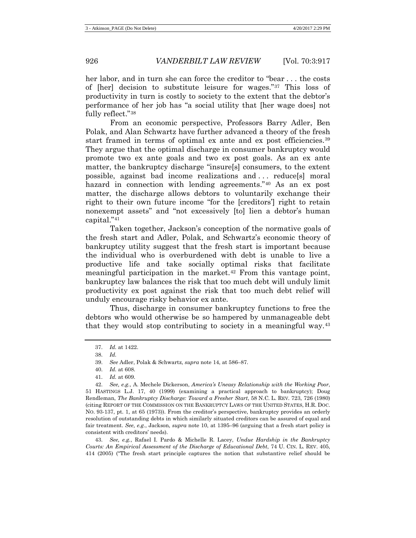her labor, and in turn she can force the creditor to "bear ... the costs of [her] decision to substitute leisure for wages."[37](#page-9-0) This loss of productivity in turn is costly to society to the extent that the debtor's performance of her job has "a social utility that [her wage does] not fully reflect."[38](#page-9-1)

From an economic perspective, Professors Barry Adler, Ben Polak, and Alan Schwartz have further advanced a theory of the fresh start framed in terms of optimal ex ante and ex post efficiencies.<sup>[39](#page-9-2)</sup> They argue that the optimal discharge in consumer bankruptcy would promote two ex ante goals and two ex post goals. As an ex ante matter, the bankruptcy discharge "insure[s] consumers, to the extent possible, against bad income realizations and . . . reduce[s] moral hazard in connection with lending agreements."<sup>[40](#page-9-3)</sup> As an ex post matter, the discharge allows debtors to voluntarily exchange their right to their own future income "for the [creditors'] right to retain nonexempt assets" and "not excessively [to] lien a debtor's human capital.["41](#page-9-4)

Taken together, Jackson's conception of the normative goals of the fresh start and Adler, Polak, and Schwartz's economic theory of bankruptcy utility suggest that the fresh start is important because the individual who is overburdened with debt is unable to live a productive life and take socially optimal risks that facilitate meaningful participation in the market.[42](#page-9-5) From this vantage point, bankruptcy law balances the risk that too much debt will unduly limit productivity ex post against the risk that too much debt relief will unduly encourage risky behavior ex ante.

<span id="page-9-7"></span>Thus, discharge in consumer bankruptcy functions to free the debtors who would otherwise be so hampered by unmanageable debt that they would stop contributing to society in a meaningful way.[43](#page-9-6)

<span id="page-9-6"></span>43. *See, e.g.*, Rafael I. Pardo & Michelle R. Lacey, *Undue Hardship in the Bankruptcy Courts: An Empirical Assessment of the Discharge of Educational Debt*, 74 U. CIN. L. REV. 405, 414 (2005) ("The fresh start principle captures the notion that substantive relief should be

<span id="page-9-8"></span><sup>37.</sup> *Id.* at 1422.

<sup>38.</sup> *Id.*

<sup>39.</sup> *See* Adler, Polak & Schwartz, *supra* not[e 14,](#page-6-7) at 586–87.

<sup>40.</sup> *Id.* at 608.

<sup>41.</sup> *Id.* at 609.

<span id="page-9-5"></span><span id="page-9-4"></span><span id="page-9-3"></span><span id="page-9-2"></span><span id="page-9-1"></span><span id="page-9-0"></span><sup>42.</sup> *See, e.g.*, A. Mechele Dickerson, *America's Uneasy Relationship with the Working Poor*, 51 HASTINGS L.J. 17, 40 (1999) (examining a practical approach to bankruptcy); Doug Rendleman, *The Bankruptcy Discharge: Toward a Fresher Start*, 58 N.C. L. REV. 723, 726 (1980) (citing REPORT OF THE COMMISSION ON THE BANKRUPTCY LAWS OF THE UNITED STATES, H.R. DOC. NO. 93-137, pt. 1, at 65 (1973)). From the creditor's perspective, bankruptcy provides an orderly resolution of outstanding debts in which similarly situated creditors can be assured of equal and fair treatment. *See, e.g.*, Jackson, *supra* note [10,](#page-3-5) at 1395–96 (arguing that a fresh start policy is consistent with creditors' needs).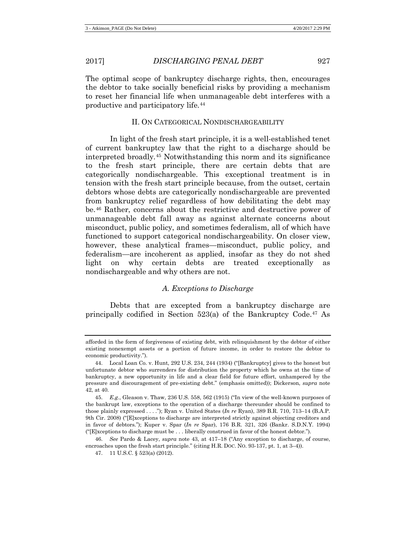The optimal scope of bankruptcy discharge rights, then, encourages the debtor to take socially beneficial risks by providing a mechanism to reset her financial life when unmanageable debt interferes with a productive and participatory life.[44](#page-10-0)

## II. ON CATEGORICAL NONDISCHARGEABILITY

In light of the fresh start principle, it is a well-established tenet of current bankruptcy law that the right to a discharge should be interpreted broadly.[45](#page-10-1) Notwithstanding this norm and its significance to the fresh start principle, there are certain debts that are categorically nondischargeable. This exceptional treatment is in tension with the fresh start principle because, from the outset, certain debtors whose debts are categorically nondischargeable are prevented from bankruptcy relief regardless of how debilitating the debt may be.[46](#page-10-2) Rather, concerns about the restrictive and destructive power of unmanageable debt fall away as against alternate concerns about misconduct, public policy, and sometimes federalism, all of which have functioned to support categorical nondischargeability. On closer view, however, these analytical frames—misconduct, public policy, and federalism—are incoherent as applied, insofar as they do not shed light on why certain debts are treated exceptionally as nondischargeable and why others are not.

## *A. Exceptions to Discharge*

Debts that are excepted from a bankruptcy discharge are principally codified in Section 523(a) of the Bankruptcy Code.[47](#page-10-3) As

afforded in the form of forgiveness of existing debt, with relinquishment by the debtor of either existing nonexempt assets or a portion of future income, in order to restore the debtor to economic productivity.").

<span id="page-10-0"></span><sup>44.</sup> Local Loan Co. v. Hunt, 292 U.S. 234, 244 (1934) ("[Bankruptcy] gives to the honest but unfortunate debtor who surrenders for distribution the property which he owns at the time of bankruptcy, a new opportunity in life and a clear field for future effort, unhampered by the pressure and discouragement of pre-existing debt." (emphasis omitted)); Dickerson, *supra* note [42,](#page-9-7) at 40.

<span id="page-10-1"></span><sup>45.</sup> *E.g.*, Gleason v. Thaw, 236 U.S. 558, 562 (1915) ("In view of the well-known purposes of the bankrupt law, exceptions to the operation of a discharge thereunder should be confined to those plainly expressed . . . ."); Ryan v. United States (*In re* Ryan), 389 B.R. 710, 713–14 (B.A.P. 9th Cir. 2008) ("[E]xceptions to discharge are interpreted strictly against objecting creditors and in favor of debtors."); Kuper v. Spar (*In re* Spar), 176 B.R. 321, 326 (Bankr. S.D.N.Y. 1994) ("[E]xceptions to discharge must be . . . liberally construed in favor of the honest debtor.").

<span id="page-10-3"></span><span id="page-10-2"></span><sup>46.</sup> *See* Pardo & Lacey, *supra* note [43,](#page-9-8) at 417–18 ("Any exception to discharge, of course, encroaches upon the fresh start principle." (citing H.R. Doc. No. 93-137, pt. 1, at 3–4)).

<sup>47.</sup> 11 U.S.C. § 523(a) (2012).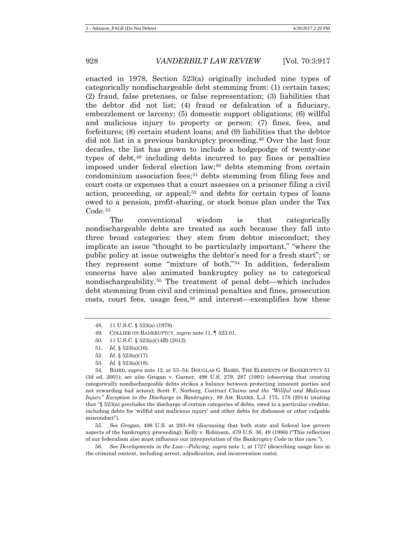enacted in 1978, Section 523(a) originally included nine types of categorically nondischargeable debt stemming from: (1) certain taxes; (2) fraud, false pretenses, or false representation; (3) liabilities that the debtor did not list; (4) fraud or defalcation of a fiduciary, embezzlement or larceny; (5) domestic support obligations; (6) willful and malicious injury to property or person; (7) fines, fees, and forfeitures; (8) certain student loans; and (9) liabilities that the debtor did not list in a previous bankruptcy proceeding.[48](#page-11-0) Over the last four decades, the list has grown to include a hodgepodge of twenty-one types of debt,[49](#page-11-1) including debts incurred to pay fines or penalties imposed under federal election law;[50](#page-11-2) debts stemming from certain condominium association fees;[51](#page-11-3) debts stemming from filing fees and court costs or expenses that a court assesses on a prisoner filing a civil action, proceeding, or appeal;<sup>[52](#page-11-4)</sup> and debts for certain types of loans owed to a pension, profit-sharing, or stock bonus plan under the Tax Code.<sup>[53](#page-11-5)</sup>

The conventional wisdom is that categorically nondischargeable debts are treated as such because they fall into three broad categories: they stem from debtor misconduct; they implicate an issue "thought to be particularly important," "where the public policy at issue outweighs the debtor's need for a fresh start"; or they represent some "mixture of both."[54](#page-11-6) In addition, federalism concerns have also animated bankruptcy policy as to categorical nondischargeability.[55](#page-11-7) The treatment of penal debt—which includes debt stemming from civil and criminal penalties and fines, prosecution costs, court fees, usage fees, $56$  and interest—exemplifies how these

- 50. 11 U.S.C. § 523(a)(14B) (2012).
- 51. *Id.* § 523(a)(16).
- 52. *Id.* § 523(a)(17).
- 53. *Id.* § 523(a)(18).

<span id="page-11-6"></span><span id="page-11-5"></span><span id="page-11-4"></span><span id="page-11-3"></span><span id="page-11-2"></span><span id="page-11-1"></span>54. BAIRD, *supra* note 12, at 53–54; DOUGLAS G. BAIRD, THE ELEMENTS OF BANKRUPTCY 51 (3d ed. 2001); *see also* Grogan v. Garner, 498 U.S. 279, 287 (1991) (observing that creating categorically nondischargeable debts strikes a balance between protecting innocent parties and not rewarding bad actors); Scott F. Norberg, *Contract Claims and the "Willful and Malicious Injury" Exception to the Discharge in Bankruptcy*, 88 AM. BANKR. L.J. 175, 178 (2014) (stating that "§ 523(a) precludes the discharge of certain categories of debts, owed to a particular creditor, including debts for 'willful and malicious injury' and other debts for dishonest or other culpable misconduct").

<span id="page-11-7"></span>55. *See Grogan*, 498 U.S. at 283–84 (discussing that both state and federal law govern aspects of the bankruptcy proceeding); Kelly v. Robinson, 479 U.S. 36, 49 (1986) ("This reflection of our federalism also must influence our interpretation of the Bankruptcy Code in this case.").

<span id="page-11-8"></span>56. *See Developments in the Law—Policing*, *supra* note 1, at 1727 (describing usage fees in the criminal context, including arrest, adjudication, and incarceration costs).

<span id="page-11-0"></span><sup>48.</sup> 11 U.S.C. § 523(a) (1978).

<sup>49.</sup> COLLIER ON BANKRUPTCY, *supra* note [11,](#page-3-6) ¶ 523.01.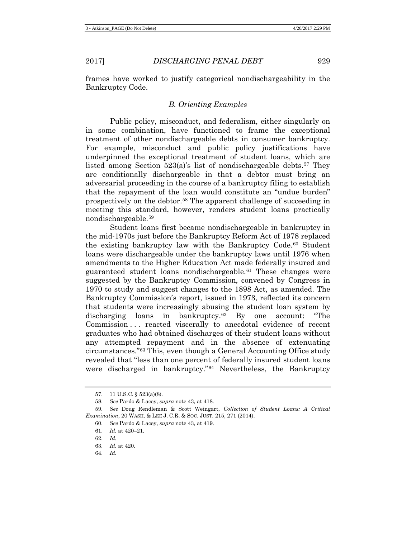Bankruptcy Code.

frames have worked to justify categorical nondischargeability in the

## *B. Orienting Examples*

Public policy, misconduct, and federalism, either singularly on in some combination, have functioned to frame the exceptional treatment of other nondischargeable debts in consumer bankruptcy. For example, misconduct and public policy justifications have underpinned the exceptional treatment of student loans, which are listed among Section  $523(a)$ 's list of nondischargeable debts.<sup>[57](#page-12-0)</sup> They are conditionally dischargeable in that a debtor must bring an adversarial proceeding in the course of a bankruptcy filing to establish that the repayment of the loan would constitute an "undue burden" prospectively on the debtor.[58](#page-12-1) The apparent challenge of succeeding in meeting this standard, however, renders student loans practically nondischargeable.[59](#page-12-2)

Student loans first became nondischargeable in bankruptcy in the mid-1970s just before the Bankruptcy Reform Act of 1978 replaced the existing bankruptcy law with the Bankruptcy Code.<sup>[60](#page-12-3)</sup> Student loans were dischargeable under the bankruptcy laws until 1976 when amendments to the Higher Education Act made federally insured and guaranteed student loans nondischargeable.[61](#page-12-4) These changes were suggested by the Bankruptcy Commission, convened by Congress in 1970 to study and suggest changes to the 1898 Act, as amended. The Bankruptcy Commission's report, issued in 1973, reflected its concern that students were increasingly abusing the student loan system by discharging loans in bankruptcy.[62](#page-12-5) By one account: "The Commission . . . reacted viscerally to anecdotal evidence of recent graduates who had obtained discharges of their student loans without any attempted repayment and in the absence of extenuating circumstances."[63](#page-12-6) This, even though a General Accounting Office study revealed that "less than one percent of federally insured student loans were discharged in bankruptcy."[64](#page-12-7) Nevertheless, the Bankruptcy

<sup>57.</sup> 11 U.S.C. § 523(a)(8).

<sup>58.</sup> *See* Pardo & Lacey, *supra* not[e 43,](#page-9-8) at 418.

<span id="page-12-6"></span><span id="page-12-5"></span><span id="page-12-4"></span><span id="page-12-3"></span><span id="page-12-2"></span><span id="page-12-1"></span><span id="page-12-0"></span><sup>59.</sup> *See* Doug Rendleman & Scott Weingart, *Collection of Student Loans: A Critical Examination*, 20 WASH. & LEE J. C.R. & SOC. JUST. 215, 271 (2014).

<sup>60.</sup> *See* Pardo & Lacey, *supra* not[e 43,](#page-9-8) at 419.

<sup>61.</sup> *Id.* at 420–21.

<sup>62.</sup> *Id.*

<span id="page-12-7"></span><sup>63.</sup> *Id.* at 420.

<sup>64.</sup> *Id.*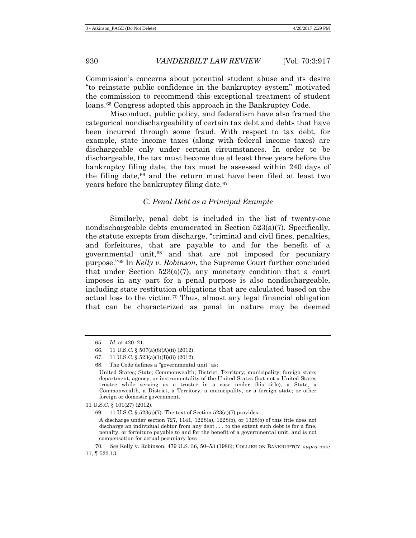Commission's concerns about potential student abuse and its desire "to reinstate public confidence in the bankruptcy system" motivated the commission to recommend this exceptional treatment of student loans[.65](#page-13-0) Congress adopted this approach in the Bankruptcy Code.

Misconduct, public policy, and federalism have also framed the categorical nondischargeability of certain tax debt and debts that have been incurred through some fraud. With respect to tax debt, for example, state income taxes (along with federal income taxes) are dischargeable only under certain circumstances. In order to be dischargeable, the tax must become due at least three years before the bankruptcy filing date, the tax must be assessed within 240 days of the filing date,[66](#page-13-1) and the return must have been filed at least two years before the bankruptcy filing date.[67](#page-13-2)

#### *C. Penal Debt as a Principal Example*

Similarly, penal debt is included in the list of twenty-one nondischargeable debts enumerated in Section 523(a)(7). Specifically, the statute excepts from discharge, "criminal and civil fines, penalties, and forfeitures, that are payable to and for the benefit of a governmental unit,[68](#page-13-3) and that are not imposed for pecuniary purpose."[69](#page-13-4) In *Kelly v. Robinson*, the Supreme Court further concluded that under Section 523(a)(7), any monetary condition that a court imposes in any part for a penal purpose is also nondischargeable, including state restitution obligations that are calculated based on the actual loss to the victim.[70](#page-13-5) Thus, almost any legal financial obligation that can be characterized as penal in nature may be deemed

<span id="page-13-0"></span><sup>65.</sup> *Id.* at 420–21.

<span id="page-13-1"></span><sup>66.</sup> 11 U.S.C. § 507(a)(8)(A)(ii) (2012).

<span id="page-13-2"></span><sup>67.</sup> 11 U.S.C. § 523(a)(1)(B)(ii) (2012).

<span id="page-13-3"></span><sup>68.</sup> The Code defines a "governmental unit" as:

United States; State; Commonwealth; District; Territory; municipality; foreign state; department, agency, or instrumentality of the United States (but not a United States trustee while serving as a trustee in a case under this title), a State, a Commonwealth, a District, a Territory, a municipality, or a foreign state; or other foreign or domestic government.

<span id="page-13-4"></span><sup>11</sup> U.S.C. § 101(27) (2012).

<sup>69.</sup> 11 U.S.C. § 523(a)(7). The text of Section 523(a)(7) provides:

A discharge under section 727, 1141, 1228(a), 1228(b), or 1328(b) of this title does not discharge an individual debtor from any debt . . . to the extent such debt is for a fine, penalty, or forfeiture payable to and for the benefit of a governmental unit, and is not compensation for actual pecuniary loss . . . .

<span id="page-13-5"></span><sup>70.</sup> *See* Kelly v. Robinson, 479 U.S. 36, 50–53 (1986); COLLIER ON BANKRUPTCY, *supra* note [11,](#page-3-6) ¶ 523.13.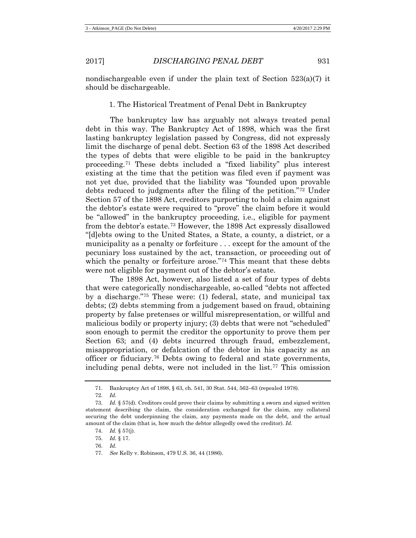nondischargeable even if under the plain text of Section  $523(a)(7)$  it should be dischargeable.

## 1. The Historical Treatment of Penal Debt in Bankruptcy

The bankruptcy law has arguably not always treated penal debt in this way. The Bankruptcy Act of 1898, which was the first lasting bankruptcy legislation passed by Congress, did not expressly limit the discharge of penal debt. Section 63 of the 1898 Act described the types of debts that were eligible to be paid in the bankruptcy proceeding.[71](#page-14-0) These debts included a "fixed liability" plus interest existing at the time that the petition was filed even if payment was not yet due, provided that the liability was "founded upon provable debts reduced to judgments after the filing of the petition."[72](#page-14-1) Under Section 57 of the 1898 Act, creditors purporting to hold a claim against the debtor's estate were required to "prove" the claim before it would be "allowed" in the bankruptcy proceeding, i.e., eligible for payment from the debtor's estate.[73](#page-14-2) However, the 1898 Act expressly disallowed "[d]ebts owing to the United States, a State, a county, a district, or a municipality as a penalty or forfeiture . . . except for the amount of the pecuniary loss sustained by the act, transaction, or proceeding out of which the penalty or forfeiture arose."<sup>[74](#page-14-3)</sup> This meant that these debts were not eligible for payment out of the debtor's estate.

The 1898 Act, however, also listed a set of four types of debts that were categorically nondischargeable, so-called "debts not affected by a discharge.["75](#page-14-4) These were: (1) federal, state, and municipal tax debts; (2) debts stemming from a judgement based on fraud, obtaining property by false pretenses or willful misrepresentation, or willful and malicious bodily or property injury; (3) debts that were not "scheduled" soon enough to permit the creditor the opportunity to prove them per Section 63; and (4) debts incurred through fraud, embezzlement, misappropriation, or defalcation of the debtor in his capacity as an officer or fiduciary.[76](#page-14-5) Debts owing to federal and state governments, including penal debts, were not included in the list.[77](#page-14-6) This omission

<sup>71.</sup> Bankruptcy Act of 1898, § 63, ch. 541, 30 Stat. 544, 562–63 (repealed 1978).

<sup>72.</sup> *Id.*

<span id="page-14-4"></span><span id="page-14-3"></span><span id="page-14-2"></span><span id="page-14-1"></span><span id="page-14-0"></span><sup>73.</sup> *Id.* § 57(d). Creditors could prove their claims by submitting a sworn and signed written statement describing the claim, the consideration exchanged for the claim, any collateral securing the debt underpinning the claim, any payments made on the debt, and the actual amount of the claim (that is, how much the debtor allegedly owed the creditor). *Id.*

<sup>74.</sup> *Id.* § 57(j).

<sup>75.</sup> *Id.* § 17.

<span id="page-14-5"></span><sup>76.</sup> *Id.*

<span id="page-14-6"></span><sup>77.</sup> *See* Kelly v. Robinson, 479 U.S. 36, 44 (1986).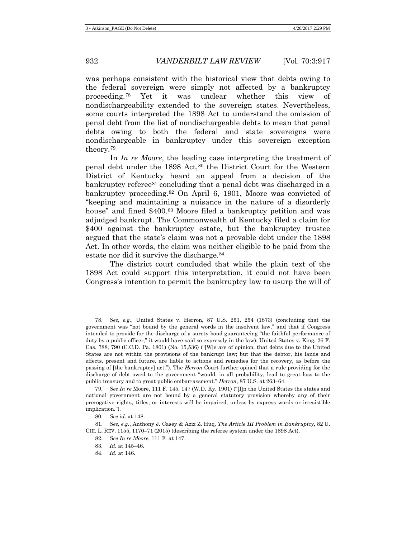was perhaps consistent with the historical view that debts owing to the federal sovereign were simply not affected by a bankruptcy proceeding.[78](#page-15-0) Yet it was unclear whether this view of nondischargeability extended to the sovereign states. Nevertheless, some courts interpreted the 1898 Act to understand the omission of penal debt from the list of nondischargeable debts to mean that penal debts owing to both the federal and state sovereigns were nondischargeable in bankruptcy under this sovereign exception theory.[79](#page-15-1)

<span id="page-15-7"></span>In *In re Moore*, the leading case interpreting the treatment of penal debt under the 1898 Act,[80](#page-15-2) the District Court for the Western District of Kentucky heard an appeal from a decision of the bankruptcy referee<sup>[81](#page-15-3)</sup> concluding that a penal debt was discharged in a bankruptcy proceeding.[82](#page-15-4) On April 6, 1901, Moore was convicted of "keeping and maintaining a nuisance in the nature of a disorderly house" and fined \$400.[83](#page-15-5) Moore filed a bankruptcy petition and was adjudged bankrupt. The Commonwealth of Kentucky filed a claim for \$400 against the bankruptcy estate, but the bankruptcy trustee argued that the state's claim was not a provable debt under the 1898 Act. In other words, the claim was neither eligible to be paid from the estate nor did it survive the discharge.<sup>[84](#page-15-6)</sup>

The district court concluded that while the plain text of the 1898 Act could support this interpretation, it could not have been Congress's intention to permit the bankruptcy law to usurp the will of

84. *Id.* at 146.

<span id="page-15-0"></span><sup>78.</sup> *See, e.g.*, United States v. Herron, 87 U.S. 251, 254 (1873) (concluding that the government was "not bound by the general words in the insolvent law," and that if Congress intended to provide for the discharge of a surety bond guaranteeing "the faithful performance of duty by a public officer," it would have said so expressly in the law); United States v. King, 26 F. Cas. 788, 790 (C.C.D. Pa. 1801) (No. 15,536) ("[W]e are of opinion, that debts due to the United States are not within the provisions of the bankrupt law; but that the debtor, his lands and effects, present and future, are liable to actions and remedies for the recovery, as before the passing of [the bankruptcy] act."). The *Herron* Court further opined that a rule providing for the discharge of debt owed to the government "would, in all probability, lead to great loss to the public treasury and to great public embarrassment." *Herron*, 87 U.S. at 263–64.

<span id="page-15-1"></span><sup>79.</sup> *See In re* Moore, 111 F. 145, 147 (W.D. Ky. 1901) ("[I]n the United States the states and national government are not bound by a general statutory provision whereby any of their prerogative rights, titles, or interests will be impaired, unless by express words or irresistible implication.").

<sup>80.</sup> *See id.* at 148.

<span id="page-15-6"></span><span id="page-15-5"></span><span id="page-15-4"></span><span id="page-15-3"></span><span id="page-15-2"></span><sup>81.</sup> *See, e.g.*, Anthony J. Casey & Aziz Z. Huq, *The Article III Problem in Bankruptcy*, 82 U. CHI. L. REV. 1155, 1170–71 (2015) (describing the referee system under the 1898 Act).

<sup>82.</sup> *See In re Moore*, 111 F. at 147.

<sup>83.</sup> *Id.* at 145–46.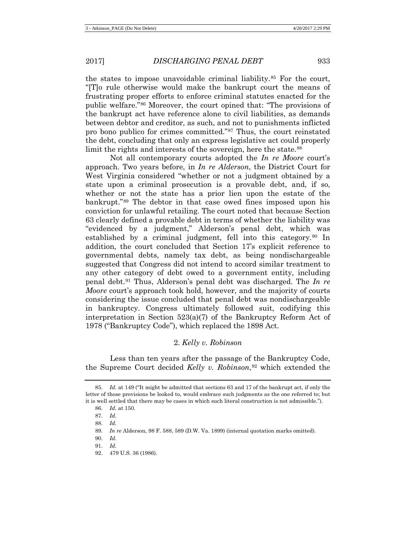the states to impose unavoidable criminal liability.<sup>[85](#page-16-0)</sup> For the court, "[T]o rule otherwise would make the bankrupt court the means of frustrating proper efforts to enforce criminal statutes enacted for the public welfare."[86](#page-16-1) Moreover, the court opined that: "The provisions of the bankrupt act have reference alone to civil liabilities, as demands between debtor and creditor, as such, and not to punishments inflicted pro bono publico for crimes committed."[87](#page-16-2) Thus, the court reinstated the debt, concluding that only an express legislative act could properly limit the rights and interests of the sovereign, here the state.<sup>[88](#page-16-3)</sup>

Not all contemporary courts adopted the *In re Moore* court's approach. Two years before, in *In re Alderson*, the District Court for West Virginia considered "whether or not a judgment obtained by a state upon a criminal prosecution is a provable debt, and, if so, whether or not the state has a prior lien upon the estate of the bankrupt."[89](#page-16-4) The debtor in that case owed fines imposed upon his conviction for unlawful retailing. The court noted that because Section 63 clearly defined a provable debt in terms of whether the liability was "evidenced by a judgment," Alderson's penal debt, which was established by a criminal judgment, fell into this category.[90](#page-16-5) In addition, the court concluded that Section 17's explicit reference to governmental debts, namely tax debt, as being nondischargeable suggested that Congress did not intend to accord similar treatment to any other category of debt owed to a government entity, including penal debt.[91](#page-16-6) Thus, Alderson's penal debt was discharged. The *In re Moore* court's approach took hold, however, and the majority of courts considering the issue concluded that penal debt was nondischargeable in bankruptcy. Congress ultimately followed suit, codifying this interpretation in Section 523(a)(7) of the Bankruptcy Reform Act of 1978 ("Bankruptcy Code"), which replaced the 1898 Act.

## 2. *Kelly v. Robinson*

Less than ten years after the passage of the Bankruptcy Code, the Supreme Court decided *Kelly v. Robinson*,[92](#page-16-7) which extended the

- <span id="page-16-5"></span>90. *Id.*
- <span id="page-16-6"></span>91. *Id.*
- <span id="page-16-7"></span>92. 479 U.S. 36 (1986).

<span id="page-16-3"></span><span id="page-16-2"></span><span id="page-16-1"></span><span id="page-16-0"></span><sup>85.</sup> *Id.* at 149 ("It might be admitted that sections 63 and 17 of the bankrupt act, if only the letter of those provisions be looked to, would embrace such judgments as the one referred to; but it is well settled that there may be cases in which such literal construction is not admissible.").

<sup>86.</sup> *Id.* at 150.

<sup>87.</sup> *Id.*

<sup>88.</sup> *Id.*

<span id="page-16-4"></span><sup>89.</sup> *In re* Alderson, 98 F. 588, 589 (D.W. Va. 1899) (internal quotation marks omitted).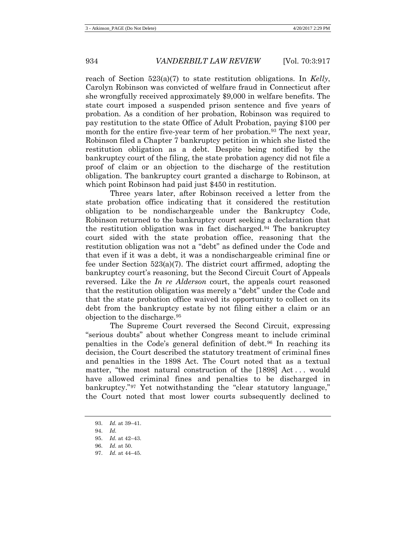reach of Section 523(a)(7) to state restitution obligations. In *Kelly*, Carolyn Robinson was convicted of welfare fraud in Connecticut after she wrongfully received approximately \$9,000 in welfare benefits. The state court imposed a suspended prison sentence and five years of probation. As a condition of her probation, Robinson was required to pay restitution to the state Office of Adult Probation, paying \$100 per month for the entire five-year term of her probation.<sup>[93](#page-17-0)</sup> The next year, Robinson filed a Chapter 7 bankruptcy petition in which she listed the restitution obligation as a debt. Despite being notified by the bankruptcy court of the filing, the state probation agency did not file a proof of claim or an objection to the discharge of the restitution obligation. The bankruptcy court granted a discharge to Robinson, at which point Robinson had paid just \$450 in restitution.

Three years later, after Robinson received a letter from the state probation office indicating that it considered the restitution obligation to be nondischargeable under the Bankruptcy Code, Robinson returned to the bankruptcy court seeking a declaration that the restitution obligation was in fact discharged.[94](#page-17-1) The bankruptcy court sided with the state probation office, reasoning that the restitution obligation was not a "debt" as defined under the Code and that even if it was a debt, it was a nondischargeable criminal fine or fee under Section  $523(a)(7)$ . The district court affirmed, adopting the bankruptcy court's reasoning, but the Second Circuit Court of Appeals reversed. Like the *In re Alderson* court, the appeals court reasoned that the restitution obligation was merely a "debt" under the Code and that the state probation office waived its opportunity to collect on its debt from the bankruptcy estate by not filing either a claim or an objection to the discharge.[95](#page-17-2)

The Supreme Court reversed the Second Circuit, expressing "serious doubts" about whether Congress meant to include criminal penalties in the Code's general definition of debt.[96](#page-17-3) In reaching its decision, the Court described the statutory treatment of criminal fines and penalties in the 1898 Act. The Court noted that as a textual matter, "the most natural construction of the [1898] Act... would have allowed criminal fines and penalties to be discharged in bankruptcy."[97](#page-17-4) Yet notwithstanding the "clear statutory language," the Court noted that most lower courts subsequently declined to

<span id="page-17-4"></span>97. *Id.* at 44–45.

<span id="page-17-0"></span><sup>93.</sup> *Id.* at 39–41.

<span id="page-17-1"></span><sup>94.</sup> *Id.*

<span id="page-17-3"></span><span id="page-17-2"></span><sup>95.</sup> *Id.* at 42–43.

<sup>96.</sup> *Id.* at 50.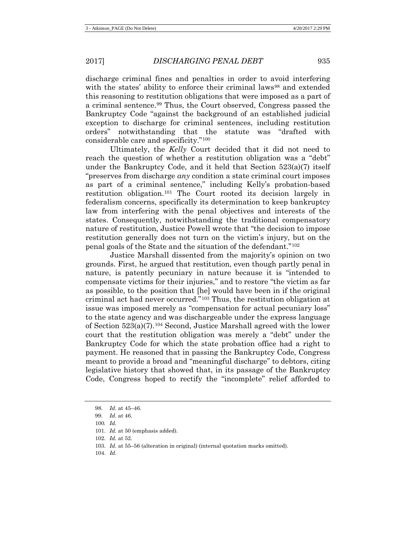discharge criminal fines and penalties in order to avoid interfering with the states' ability to enforce their criminal laws<sup>[98](#page-18-0)</sup> and extended this reasoning to restitution obligations that were imposed as a part of a criminal sentence.[99](#page-18-1) Thus, the Court observed, Congress passed the Bankruptcy Code "against the background of an established judicial exception to discharge for criminal sentences, including restitution orders" notwithstanding that the statute was "drafted with considerable care and specificity."[100](#page-18-2)

Ultimately, the *Kelly* Court decided that it did not need to reach the question of whether a restitution obligation was a "debt" under the Bankruptcy Code, and it held that Section 523(a)(7) itself "preserves from discharge *any* condition a state criminal court imposes as part of a criminal sentence," including Kelly's probation-based restitution obligation.[101](#page-18-3) The Court rooted its decision largely in federalism concerns, specifically its determination to keep bankruptcy law from interfering with the penal objectives and interests of the states. Consequently, notwithstanding the traditional compensatory nature of restitution, Justice Powell wrote that "the decision to impose restitution generally does not turn on the victim's injury, but on the penal goals of the State and the situation of the defendant."[102](#page-18-4)

Justice Marshall dissented from the majority's opinion on two grounds. First, he argued that restitution, even though partly penal in nature, is patently pecuniary in nature because it is "intended to compensate victims for their injuries," and to restore "the victim as far as possible, to the position that [he] would have been in if the original criminal act had never occurred."[103](#page-18-5) Thus, the restitution obligation at issue was imposed merely as "compensation for actual pecuniary loss" to the state agency and was dischargeable under the express language of Section 523(a)(7).[104](#page-18-6) Second, Justice Marshall agreed with the lower court that the restitution obligation was merely a "debt" under the Bankruptcy Code for which the state probation office had a right to payment. He reasoned that in passing the Bankruptcy Code, Congress meant to provide a broad and "meaningful discharge" to debtors, citing legislative history that showed that, in its passage of the Bankruptcy Code, Congress hoped to rectify the "incomplete" relief afforded to

<span id="page-18-6"></span>104. *Id.*

<span id="page-18-0"></span><sup>98.</sup> *Id.* at 45–46.

<span id="page-18-2"></span><span id="page-18-1"></span><sup>99.</sup> *Id.* at 46.

<sup>100</sup>*. Id.*

<span id="page-18-3"></span><sup>101.</sup> *Id.* at 50 (emphasis added).

<span id="page-18-5"></span><span id="page-18-4"></span><sup>102.</sup> *Id.* at 52.

<sup>103.</sup> *Id.* at 55–56 (alteration in original) (internal quotation marks omitted).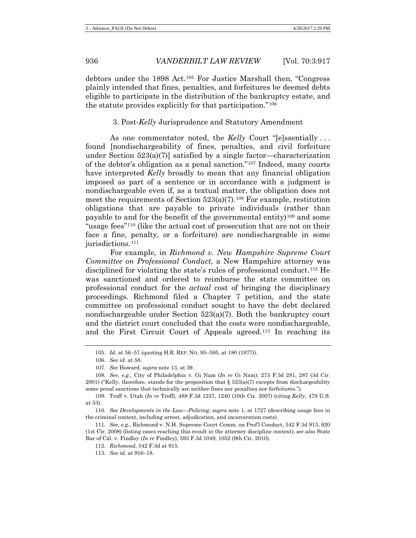debtors under the 1898 Act.[105](#page-19-0) For Justice Marshall then, "Congress plainly intended that fines, penalties, and forfeitures be deemed debts eligible to participate in the distribution of the bankruptcy estate, and the statute provides explicitly for that participation."[106](#page-19-1)

## 3. Post-*Kelly* Jurisprudence and Statutory Amendment

As one commentator noted, the *Kelly* Court "[e]ssentially . . . found [nondischargeability of fines, penalties, and civil forfeiture under Section  $523(a)(7)$ ] satisfied by a single factor—characterization of the debtor's obligation as a penal sanction."[107](#page-19-2) Indeed, many courts have interpreted *Kelly* broadly to mean that any financial obligation imposed as part of a sentence or in accordance with a judgment is nondischargeable even if, as a textual matter, the obligation does not meet the requirements of Section  $523(a)(7)$ .<sup>[108](#page-19-3)</sup> For example, restitution obligations that are payable to private individuals (rather than payable to and for the benefit of the governmental entity)<sup>[109](#page-19-4)</sup> and some "usage fees"[110](#page-19-5) (like the actual cost of prosecution that are not on their face a fine, penalty, or a forfeiture) are nondischargeable in some jurisdictions.<sup>[111](#page-19-6)</sup>

For example, in *Richmond v. New Hampshire Supreme Court Committee on Professional Conduct*, a New Hampshire attorney was disciplined for violating the state's rules of professional conduct.[112](#page-19-7) He was sanctioned and ordered to reimburse the state committee on professional conduct for the *actual* cost of bringing the disciplinary proceedings. Richmond filed a Chapter 7 petition, and the state committee on professional conduct sought to have the debt declared nondischargeable under Section 523(a)(7). Both the bankruptcy court and the district court concluded that the costs were nondischargeable, and the First Circuit Court of Appeals agreed.[113](#page-19-8) In reaching its

<sup>105.</sup> *Id.* at 56–57 (quoting H.R. REP. NO. 95–595, at 180 (1977)).

<sup>106.</sup> *See id.* at 58.

<sup>107.</sup> *See* Howard, *supra* note 13, at 39.

<span id="page-19-3"></span><span id="page-19-2"></span><span id="page-19-1"></span><span id="page-19-0"></span><sup>108.</sup> *See, e.g.*, City of Philadelphia v. Gi Nam (*In re* Gi Nam), 273 F.3d 281, 287 (3d Cir. 2001) ("Kelly, therefore, stands for the proposition that  $\S 523(a)(7)$  excepts from dischargeability some penal sanctions that technically are neither fines nor penalties nor forfeitures.").

<span id="page-19-4"></span><sup>109.</sup> Troff v. Utah (*In re* Troff), 488 F.3d 1237, 1240 (10th Cir. 2007) (citing *Kelly*, 479 U.S. at 53).

<span id="page-19-5"></span><sup>110.</sup> *See Developments in the Law—Policing*, *supra* note 1, at 1727 (describing usage fees in the criminal context, including arrest, adjudication, and incarceration costs).

<span id="page-19-8"></span><span id="page-19-7"></span><span id="page-19-6"></span><sup>111.</sup> *See, e.g.*, Richmond v. N.H. Supreme Court Comm. on Prof'l Conduct, 542 F.3d 913, 920 (1st Cir. 2008) (listing cases reaching this result in the attorney discipline context); *see also* State Bar of Cal. v. Findley (*In re* Findley), 593 F.3d 1049, 1052 (9th Cir. 2010).

<sup>112.</sup> *Richmond*, 542 F.3d at 915.

<sup>113.</sup> *See id.* at 916–18.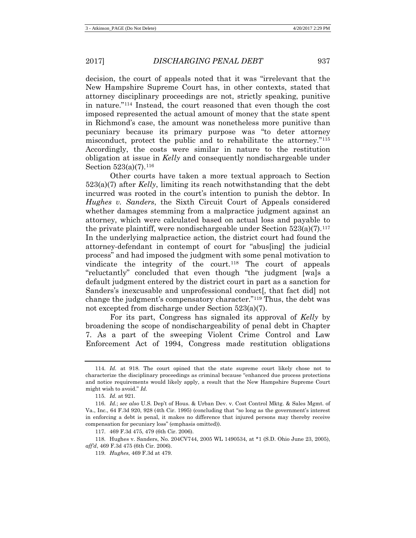decision, the court of appeals noted that it was "irrelevant that the New Hampshire Supreme Court has, in other contexts, stated that attorney disciplinary proceedings are not, strictly speaking, punitive in nature."[114](#page-20-0) Instead, the court reasoned that even though the cost imposed represented the actual amount of money that the state spent in Richmond's case, the amount was nonetheless more punitive than pecuniary because its primary purpose was "to deter attorney misconduct, protect the public and to rehabilitate the attorney."[115](#page-20-1) Accordingly, the costs were similar in nature to the restitution obligation at issue in *Kelly* and consequently nondischargeable under Section  $523(a)(7)$ .<sup>[116](#page-20-2)</sup>

Other courts have taken a more textual approach to Section 523(a)(7) after *Kelly*, limiting its reach notwithstanding that the debt incurred was rooted in the court's intention to punish the debtor. In *Hughes v. Sanders*, the Sixth Circuit Court of Appeals considered whether damages stemming from a malpractice judgment against an attorney, which were calculated based on actual loss and payable to the private plaintiff, were nondischargeable under Section  $523(a)(7)$ .<sup>[117](#page-20-3)</sup> In the underlying malpractice action, the district court had found the attorney-defendant in contempt of court for "abus[ing] the judicial process" and had imposed the judgment with some penal motivation to vindicate the integrity of the court.[118](#page-20-4) The court of appeals "reluctantly" concluded that even though "the judgment [wa]s a default judgment entered by the district court in part as a sanction for Sanders's inexcusable and unprofessional conduct[, that fact did] not change the judgment's compensatory character."[119](#page-20-5) Thus, the debt was not excepted from discharge under Section 523(a)(7).

For its part, Congress has signaled its approval of *Kelly* by broadening the scope of nondischargeability of penal debt in Chapter 7. As a part of the sweeping Violent Crime Control and Law Enforcement Act of 1994, Congress made restitution obligations

<span id="page-20-0"></span><sup>114.</sup> *Id.* at 918. The court opined that the state supreme court likely chose not to characterize the disciplinary proceedings as criminal because "enhanced due process protections and notice requirements would likely apply, a result that the New Hampshire Supreme Court might wish to avoid." *Id.*

<sup>115.</sup> *Id.* at 921.

<span id="page-20-2"></span><span id="page-20-1"></span><sup>116.</sup> *Id.*; *see also* U.S. Dep't of Hous. & Urban Dev. v. Cost Control Mktg. & Sales Mgmt. of Va., Inc., 64 F.3d 920, 928 (4th Cir. 1995) (concluding that "so long as the government's interest in enforcing a debt is penal, it makes no difference that injured persons may thereby receive compensation for pecuniary loss" (emphasis omitted)).

<sup>117.</sup> 469 F.3d 475, 479 (6th Cir. 2006).

<span id="page-20-5"></span><span id="page-20-4"></span><span id="page-20-3"></span><sup>118.</sup> Hughes v. Sanders, No. 204CV744, 2005 WL 1490534, at \*1 (S.D. Ohio June 23, 2005), *aff'd*, 469 F.3d 475 (6th Cir. 2006).

<sup>119.</sup> *Hughes*, 469 F.3d at 479.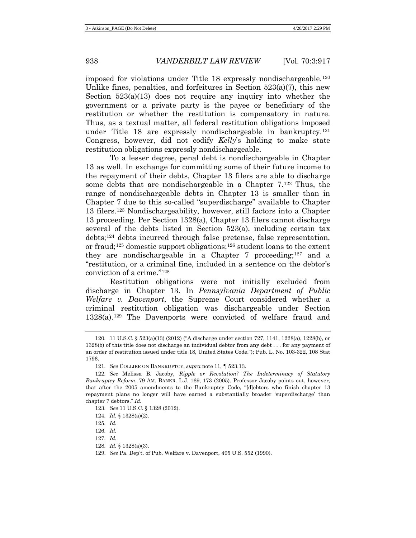imposed for violations under Title 18 expressly nondischargeable.[120](#page-21-0) Unlike fines, penalties, and for field the Section  $523(a)(7)$ , this new Section  $523(a)(13)$  does not require any inquiry into whether the government or a private party is the payee or beneficiary of the restitution or whether the restitution is compensatory in nature. Thus, as a textual matter, all federal restitution obligations imposed under Title 18 are expressly nondischargeable in bankruptcy.[121](#page-21-1) Congress, however, did not codify *Kelly*'s holding to make state restitution obligations expressly nondischargeable.

To a lesser degree, penal debt is nondischargeable in Chapter 13 as well. In exchange for committing some of their future income to the repayment of their debts, Chapter 13 filers are able to discharge some debts that are nondischargeable in a Chapter 7.[122](#page-21-2) Thus, the range of nondischargeable debts in Chapter 13 is smaller than in Chapter 7 due to this so-called "superdischarge" available to Chapter 13 filers.[123](#page-21-3) Nondischargeability, however, still factors into a Chapter 13 proceeding. Per Section 1328(a), Chapter 13 filers cannot discharge several of the debts listed in Section  $523(a)$ , including certain tax debts;[124](#page-21-4) debts incurred through false pretense, false representation, or fraud;[125](#page-21-5) domestic support obligations;[126](#page-21-6) student loans to the extent they are nondischargeable in a Chapter 7 proceeding;  $127$  and a "restitution, or a criminal fine, included in a sentence on the debtor's conviction of a crime."[128](#page-21-8)

Restitution obligations were not initially excluded from discharge in Chapter 13. In *Pennsylvania Department of Public Welfare v. Davenport*, the Supreme Court considered whether a criminal restitution obligation was dischargeable under Section 1328(a).[129](#page-21-9) The Davenports were convicted of welfare fraud and

<span id="page-21-7"></span>127. *Id.*

129. *See* Pa. Dep't. of Pub. Welfare v. Davenport, 495 U.S. 552 (1990).

<span id="page-21-0"></span><sup>120.</sup> 11 U.S.C. § 523(a)(13) (2012) ("A discharge under section 727, 1141, 1228(a), 1228(b), or 1328(b) of this title does not discharge an individual debtor from any debt . . . for any payment of an order of restitution issued under title 18, United States Code."); Pub. L. No. 103-322, 108 Stat 1796.

<sup>121.</sup> *See* COLLIER ON BANKRUPTCY, *supra* note [11,](#page-3-6) ¶ 523.13.

<span id="page-21-3"></span><span id="page-21-2"></span><span id="page-21-1"></span><sup>122.</sup> *See* Melissa B. Jacoby, *Ripple or Revolution? The Indeterminacy of Statutory Bankruptcy Reform*, 79 AM. BANKR. L.J. 169, 173 (2005). Professor Jacoby points out, however, that after the 2005 amendments to the Bankruptcy Code, "[d]ebtors who finish chapter 13 repayment plans no longer will have earned a substantially broader 'superdischarge' than chapter 7 debtors." *Id.*

<sup>123.</sup> *See* 11 U.S.C. § 1328 (2012).

<span id="page-21-4"></span><sup>124.</sup> *Id.* § 1328(a)(2).

<span id="page-21-5"></span><sup>125.</sup> *Id.*

<span id="page-21-6"></span><sup>126.</sup> *Id.*

<span id="page-21-9"></span><span id="page-21-8"></span><sup>128.</sup> *Id.* § 1328(a)(3).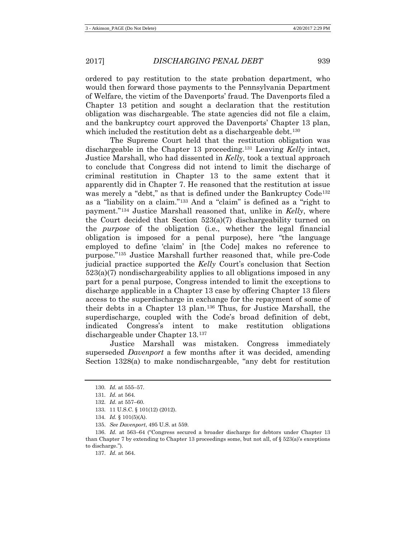ordered to pay restitution to the state probation department, who would then forward those payments to the Pennsylvania Department of Welfare, the victim of the Davenports' fraud. The Davenports filed a Chapter 13 petition and sought a declaration that the restitution obligation was dischargeable. The state agencies did not file a claim, and the bankruptcy court approved the Davenports' Chapter 13 plan, which included the restitution debt as a dischargeable debt.<sup>[130](#page-22-0)</sup>

The Supreme Court held that the restitution obligation was dischargeable in the Chapter 13 proceeding.[131](#page-22-1) Leaving *Kelly* intact, Justice Marshall, who had dissented in *Kelly*, took a textual approach to conclude that Congress did not intend to limit the discharge of criminal restitution in Chapter 13 to the same extent that it apparently did in Chapter 7. He reasoned that the restitution at issue was merely a "debt," as that is defined under the Bankruptcy Code<sup>132</sup> as a "liability on a claim."[133](#page-22-3) And a "claim" is defined as a "right to payment.["134](#page-22-4) Justice Marshall reasoned that, unlike in *Kelly*, where the Court decided that Section 523(a)(7) dischargeability turned on the *purpose* of the obligation (i.e., whether the legal financial obligation is imposed for a penal purpose), here "the language employed to define 'claim' in [the Code] makes no reference to purpose."[135](#page-22-5) Justice Marshall further reasoned that, while pre-Code judicial practice supported the *Kelly* Court's conclusion that Section  $523(a)(7)$  nondischargeability applies to all obligations imposed in any part for a penal purpose, Congress intended to limit the exceptions to discharge applicable in a Chapter 13 case by offering Chapter 13 filers access to the superdischarge in exchange for the repayment of some of their debts in a Chapter 13 plan.[136](#page-22-6) Thus, for Justice Marshall, the superdischarge, coupled with the Code's broad definition of debt, indicated Congress's intent to make restitution obligations dischargeable under Chapter 13.[137](#page-22-7)

Justice Marshall was mistaken. Congress immediately superseded *Davenport* a few months after it was decided, amending Section 1328(a) to make nondischargeable, "any debt for restitution

<span id="page-22-0"></span><sup>130.</sup> *Id.* at 555–57.

<sup>131.</sup> *Id.* at 564.

<sup>132.</sup> *Id.* at 557–60.

<sup>133.</sup> 11 U.S.C. § 101(12) (2012).

<sup>134.</sup> *Id.* § 101(5)(A).

<sup>135.</sup> *See Davenport*, 495 U.S. at 559.

<span id="page-22-7"></span><span id="page-22-6"></span><span id="page-22-5"></span><span id="page-22-4"></span><span id="page-22-3"></span><span id="page-22-2"></span><span id="page-22-1"></span><sup>136.</sup> *Id.* at 563–64 ("Congress secured a broader discharge for debtors under Chapter 13 than Chapter 7 by extending to Chapter 13 proceedings some, but not all, of  $\S 523(a)$ 's exceptions to discharge.").

<sup>137.</sup> *Id.* at 564.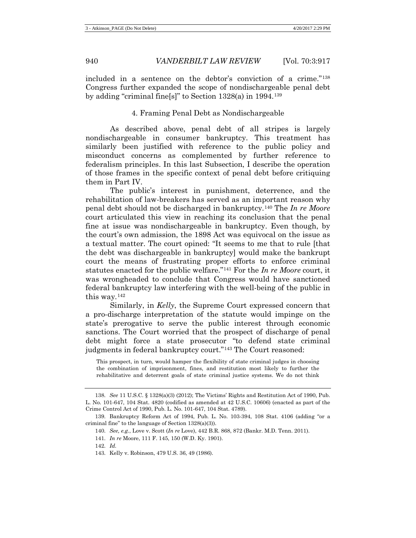included in a sentence on the debtor's conviction of a crime."[138](#page-23-0) Congress further expanded the scope of nondischargeable penal debt by adding "criminal fine[s]" to Section 1328(a) in 1994.[139](#page-23-1)

## 4. Framing Penal Debt as Nondischargeable

As described above, penal debt of all stripes is largely nondischargeable in consumer bankruptcy. This treatment has similarly been justified with reference to the public policy and misconduct concerns as complemented by further reference to federalism principles. In this last Subsection, I describe the operation of those frames in the specific context of penal debt before critiquing them in Part IV.

The public's interest in punishment, deterrence, and the rehabilitation of law-breakers has served as an important reason why penal debt should not be discharged in bankruptcy.[140](#page-23-2) The *In re Moore* court articulated this view in reaching its conclusion that the penal fine at issue was nondischargeable in bankruptcy. Even though, by the court's own admission, the 1898 Act was equivocal on the issue as a textual matter. The court opined: "It seems to me that to rule [that the debt was dischargeable in bankruptcy] would make the bankrupt court the means of frustrating proper efforts to enforce criminal statutes enacted for the public welfare."[141](#page-23-3) For the *In re Moore* court, it was wrongheaded to conclude that Congress would have sanctioned federal bankruptcy law interfering with the well-being of the public in this way.[142](#page-23-4)

Similarly, in *Kelly*, the Supreme Court expressed concern that a pro-discharge interpretation of the statute would impinge on the state's prerogative to serve the public interest through economic sanctions. The Court worried that the prospect of discharge of penal debt might force a state prosecutor "to defend state criminal judgments in federal bankruptcy court."[143](#page-23-5) The Court reasoned:

This prospect, in turn, would hamper the flexibility of state criminal judges in choosing the combination of imprisonment, fines, and restitution most likely to further the rehabilitative and deterrent goals of state criminal justice systems. We do not think

<span id="page-23-0"></span><sup>138.</sup> *See* 11 U.S.C. § 1328(a)(3) (2012); The Victims' Rights and Restitution Act of 1990, Pub. L. No. 101-647, 104 Stat. 4820 (codified as amended at 42 U.S.C. 10606) (enacted as part of the Crime Control Act of 1990, Pub. L. No. 101-647, 104 Stat. 4789).

<span id="page-23-5"></span><span id="page-23-4"></span><span id="page-23-3"></span><span id="page-23-2"></span><span id="page-23-1"></span><sup>139.</sup> Bankruptcy Reform Act of 1994, Pub. L. No. 103-394, 108 Stat. 4106 (adding "or a criminal fine" to the language of Section 1328(a)(3)).

<sup>140.</sup> *See, e.g.*, Love v. Scott (*In re* Love), 442 B.R. 868, 872 (Bankr. M.D. Tenn. 2011).

<sup>141.</sup> *In re* Moore, 111 F. 145, 150 (W.D. Ky. 1901).

<sup>142.</sup> *Id.*

<sup>143.</sup> Kelly v. Robinson, 479 U.S. 36, 49 (1986).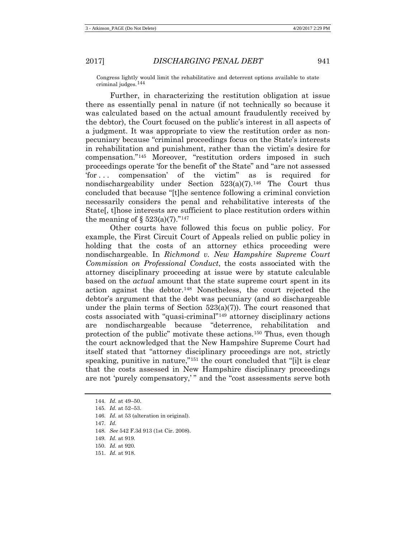Congress lightly would limit the rehabilitative and deterrent options available to state criminal judges.[144](#page-24-0)

Further, in characterizing the restitution obligation at issue there as essentially penal in nature (if not technically so because it was calculated based on the actual amount fraudulently received by the debtor), the Court focused on the public's interest in all aspects of a judgment. It was appropriate to view the restitution order as nonpecuniary because "criminal proceedings focus on the State's interests in rehabilitation and punishment, rather than the victim's desire for compensation."[145](#page-24-1) Moreover, "restitution orders imposed in such proceedings operate 'for the benefit of' the State" and "are not assessed 'for . . . compensation' of the victim" as is required for nondischargeability under Section  $523(a)(7)$ .<sup>[146](#page-24-2)</sup> The Court thus concluded that because "[t]he sentence following a criminal conviction necessarily considers the penal and rehabilitative interests of the State[, t]hose interests are sufficient to place restitution orders within the meaning of  $\S 523(a)(7)$ ."<sup>[147](#page-24-3)</sup>

Other courts have followed this focus on public policy. For example, the First Circuit Court of Appeals relied on public policy in holding that the costs of an attorney ethics proceeding were nondischargeable. In *Richmond v. New Hampshire Supreme Court Commission on Professional Conduct*, the costs associated with the attorney disciplinary proceeding at issue were by statute calculable based on the *actual* amount that the state supreme court spent in its action against the debtor.[148](#page-24-4) Nonetheless, the court rejected the debtor's argument that the debt was pecuniary (and so dischargeable under the plain terms of Section  $523(a)(7)$ ). The court reasoned that costs associated with "quasi-criminal"[149](#page-24-5) attorney disciplinary actions are nondischargeable because "deterrence, rehabilitation and protection of the public" motivate these actions.[150](#page-24-6) Thus, even though the court acknowledged that the New Hampshire Supreme Court had itself stated that "attorney disciplinary proceedings are not, strictly speaking, punitive in nature,<sup>"[151](#page-24-7)</sup> the court concluded that "[i]t is clear that the costs assessed in New Hampshire disciplinary proceedings are not 'purely compensatory,' " and the "cost assessments serve both

- <span id="page-24-3"></span>147. *Id.*
- <span id="page-24-4"></span>148. *See* 542 F.3d 913 (1st Cir. 2008).
- <span id="page-24-5"></span>149. *Id.* at 919.
- <span id="page-24-6"></span>150. *Id.* at 920.
- <span id="page-24-7"></span>151. *Id.* at 918.

<span id="page-24-0"></span><sup>144.</sup> *Id.* at 49–50.

<span id="page-24-1"></span><sup>145.</sup> *Id.* at 52–53.

<span id="page-24-2"></span><sup>146.</sup> *Id.* at 53 (alteration in original).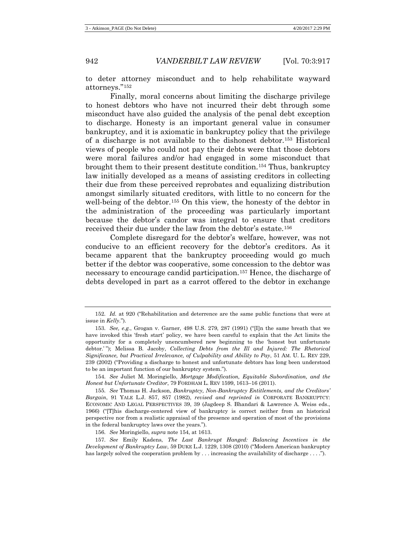to deter attorney misconduct and to help rehabilitate wayward attorneys."[152](#page-25-1)

<span id="page-25-0"></span>Finally, moral concerns about limiting the discharge privilege to honest debtors who have not incurred their debt through some misconduct have also guided the analysis of the penal debt exception to discharge. Honesty is an important general value in consumer bankruptcy, and it is axiomatic in bankruptcy policy that the privilege of a discharge is not available to the dishonest debtor.[153](#page-25-2) Historical views of people who could not pay their debts were that those debtors were moral failures and/or had engaged in some misconduct that brought them to their present destitute condition.[154](#page-25-3) Thus, bankruptcy law initially developed as a means of assisting creditors in collecting their due from these perceived reprobates and equalizing distribution amongst similarly situated creditors, with little to no concern for the well-being of the debtor.<sup>[155](#page-25-4)</sup> On this view, the honesty of the debtor in the administration of the proceeding was particularly important because the debtor's candor was integral to ensure that creditors received their due under the law from the debtor's estate.[156](#page-25-5)

Complete disregard for the debtor's welfare, however, was not conducive to an efficient recovery for the debtor's creditors. As it became apparent that the bankruptcy proceeding would go much better if the debtor was cooperative, some concession to the debtor was necessary to encourage candid participation.[157](#page-25-6) Hence, the discharge of debts developed in part as a carrot offered to the debtor in exchange

<span id="page-25-3"></span>154. *See* Juliet M. Moringiello, *Mortgage Modification, Equitable Subordination, and the Honest but Unfortunate Creditor*, 79 FORDHAM L. REV 1599, 1613–16 (2011).

<span id="page-25-4"></span>155. *See* Thomas H. Jackson, *Bankruptcy, Non-Bankruptcy Entitlements, and the Creditors' Bargain*, 91 YALE L.J. 857, 857 (1982), *revised and reprinted in* CORPORATE BANKRUPTCY: ECONOMIC AND LEGAL PERSPECTIVES 39, 39 (Jagdeep S. Bhandari & Lawrence A. Weiss eds., 1966) ("[T]his discharge-centered view of bankruptcy is correct neither from an historical perspective nor from a realistic appraisal of the presence and operation of most of the provisions in the federal bankruptcy laws over the years.").

156. *See* Moringiello, *supra* not[e 154,](#page-25-0) at 1613.

<span id="page-25-6"></span><span id="page-25-5"></span>157. *See* Emily Kadens, *The Last Bankrupt Hanged: Balancing Incentives in the Development of Bankruptcy Law*, 59 DUKE L.J. 1229, 1308 (2010) ("Modern American bankruptcy has largely solved the cooperation problem by . . . increasing the availability of discharge . . . .").

<span id="page-25-1"></span><sup>152.</sup> *Id.* at 920 ("Rehabilitation and deterrence are the same public functions that were at issue in *Kelly*.").

<span id="page-25-2"></span><sup>153.</sup> *See, e.g.*, Grogan v. Garner, 498 U.S. 279, 287 (1991) ("[I]n the same breath that we have invoked this 'fresh start' policy, we have been careful to explain that the Act limits the opportunity for a completely unencumbered new beginning to the 'honest but unfortunate debtor.' "); Melissa B. Jacoby, *Collecting Debts from the Ill and Injured: The Rhetorical Significance, but Practical Irrelevance, of Culpability and Ability to Pay*, 51 AM. U. L. REV 229, 239 (2002) ("Providing a discharge to honest and unfortunate debtors has long been understood to be an important function of our bankruptcy system.").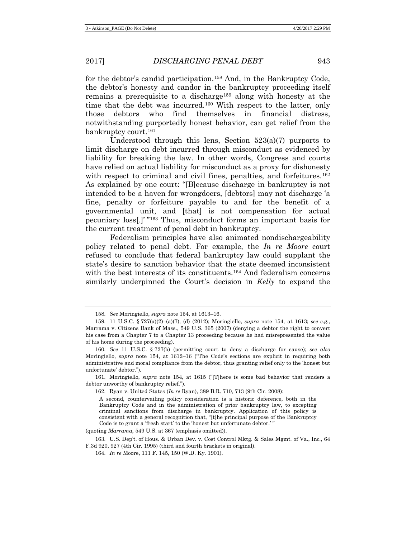for the debtor's candid participation.[158](#page-26-0) And, in the Bankruptcy Code, the debtor's honesty and candor in the bankruptcy proceeding itself remains a prerequisite to a discharge[159](#page-26-1) along with honesty at the time that the debt was incurred.<sup>[160](#page-26-2)</sup> With respect to the latter, only those debtors who find themselves in financial distress, notwithstanding purportedly honest behavior, can get relief from the bankruptcy court.[161](#page-26-3)

Understood through this lens, Section 523(a)(7) purports to limit discharge on debt incurred through misconduct as evidenced by liability for breaking the law. In other words, Congress and courts have relied on actual liability for misconduct as a proxy for dishonesty with respect to criminal and civil fines, penalties, and forfeitures.<sup>[162](#page-26-4)</sup> As explained by one court: "[B]ecause discharge in bankruptcy is not intended to be a haven for wrongdoers, [debtors] may not discharge 'a fine, penalty or forfeiture payable to and for the benefit of a governmental unit, and [that] is not compensation for actual pecuniary loss[.]' "[163](#page-26-5) Thus, misconduct forms an important basis for the current treatment of penal debt in bankruptcy.

Federalism principles have also animated nondischargeability policy related to penal debt. For example, the *In re Moore* court refused to conclude that federal bankruptcy law could supplant the state's desire to sanction behavior that the state deemed inconsistent with the best interests of its constituents.<sup>164</sup> And federalism concerns similarly underpinned the Court's decision in *Kelly* to expand the

(quoting *Marrama*, 549 U.S. at 367 (emphasis omitted)).

<sup>158.</sup> *See* Moringiello, *supra* not[e 154,](#page-25-0) at 1613–16.

<span id="page-26-1"></span><span id="page-26-0"></span><sup>159.</sup> 11 U.S.C. § 727(a)(2)–(a)(7), (d) (2012); Moringiello, *supra* note [154,](#page-25-0) at 1613; *see e.g.*, Marrama v. Citizens Bank of Mass., 549 U.S. 365 (2007) (denying a debtor the right to convert his case from a Chapter 7 to a Chapter 13 proceeding because he had misrepresented the value of his home during the proceeding).

<span id="page-26-2"></span><sup>160.</sup> *See* 11 U.S.C. § 727(b) (permitting court to deny a discharge for cause); *see also* Moringiello, *supra* note [154,](#page-25-0) at 1612–16 ("The Code's sections are explicit in requiring both administrative and moral compliance from the debtor, thus granting relief only to the 'honest but unfortunate' debtor.").

<span id="page-26-4"></span><span id="page-26-3"></span><sup>161.</sup> Moringiello, *supra* note [154,](#page-25-0) at 1615 ("[T]here is some bad behavior that renders a debtor unworthy of bankruptcy relief.").

<sup>162.</sup> Ryan v. United States (*In re* Ryan), 389 B.R. 710, 713 (9th Cir. 2008):

A second, countervailing policy consideration is a historic deference, both in the Bankruptcy Code and in the administration of prior bankruptcy law, to excepting criminal sanctions from discharge in bankruptcy. Application of this policy is consistent with a general recognition that, "[t]he principal purpose of the Bankruptcy Code is to grant a 'fresh start' to the 'honest but unfortunate debtor.' "

<span id="page-26-6"></span><span id="page-26-5"></span><sup>163.</sup> U.S. Dep't. of Hous. & Urban Dev. v. Cost Control Mktg. & Sales Mgmt*.* of Va., Inc., 64 F.3d 920, 927 (4th Cir. 1995) (third and fourth brackets in original).

<sup>164.</sup> *In re* Moore, 111 F. 145, 150 (W.D. Ky. 1901).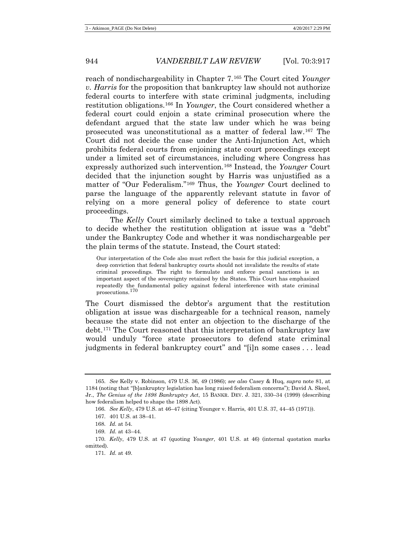reach of nondischargeability in Chapter 7.[165](#page-27-0) The Court cited *Younger v. Harris* for the proposition that bankruptcy law should not authorize federal courts to interfere with state criminal judgments, including restitution obligations.[166](#page-27-1) In *Younger*, the Court considered whether a federal court could enjoin a state criminal prosecution where the defendant argued that the state law under which he was being prosecuted was unconstitutional as a matter of federal law.[167](#page-27-2) The Court did not decide the case under the Anti-Injunction Act, which prohibits federal courts from enjoining state court proceedings except under a limited set of circumstances, including where Congress has expressly authorized such intervention.[168](#page-27-3) Instead, the *Younger* Court decided that the injunction sought by Harris was unjustified as a matter of "Our Federalism."[169](#page-27-4) Thus, the *Younger* Court declined to parse the language of the apparently relevant statute in favor of relying on a more general policy of deference to state court proceedings.

The *Kelly* Court similarly declined to take a textual approach to decide whether the restitution obligation at issue was a "debt" under the Bankruptcy Code and whether it was nondischargeable per the plain terms of the statute. Instead, the Court stated:

Our interpretation of the Code also must reflect the basis for this judicial exception, a deep conviction that federal bankruptcy courts should not invalidate the results of state criminal proceedings. The right to formulate and enforce penal sanctions is an important aspect of the sovereignty retained by the States. This Court has emphasized repeatedly the fundamental policy against federal interference with state criminal prosecutions.[170](#page-27-5)

The Court dismissed the debtor's argument that the restitution obligation at issue was dischargeable for a technical reason, namely because the state did not enter an objection to the discharge of the debt.[171](#page-27-6) The Court reasoned that this interpretation of bankruptcy law would unduly "force state prosecutors to defend state criminal judgments in federal bankruptcy court" and "[i]n some cases . . . lead

<span id="page-27-1"></span><span id="page-27-0"></span><sup>165.</sup> *See* Kelly v. Robinson, 479 U.S. 36, 49 (1986); *see also* Casey & Huq, *supra* note [81,](#page-15-7) at 1184 (noting that "[b]ankruptcy legislation has long raised federalism concerns"); David A. Skeel, Jr., *The Genius of the 1898 Bankruptcy Act*, 15 BANKR. DEV. J. 321, 330–34 (1999) (describing how federalism helped to shape the 1898 Act).

<sup>166.</sup> *See Kelly*, 479 U.S. at 46–47 (citing Younger v. Harris, 401 U.S. 37, 44–45 (1971)).

<sup>167.</sup> 401 U.S. at 38–41.

<sup>168.</sup> *Id.* at 54.

<sup>169.</sup> *Id.* at 43–44.

<span id="page-27-6"></span><span id="page-27-5"></span><span id="page-27-4"></span><span id="page-27-3"></span><span id="page-27-2"></span><sup>170.</sup> *Kelly*, 479 U.S. at 47 (quoting *Younger*, 401 U.S. at 46) (internal quotation marks omitted).

<sup>171.</sup> *Id.* at 49.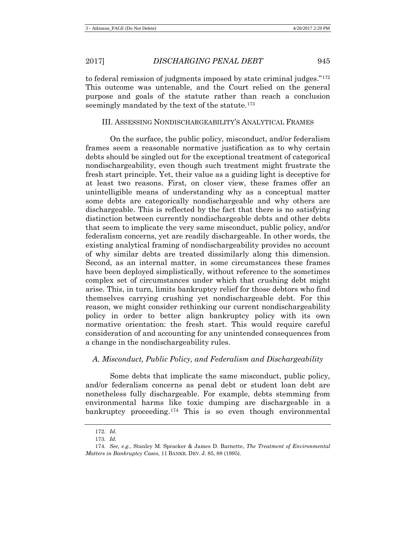to federal remission of judgments imposed by state criminal judges."[172](#page-28-0) This outcome was untenable, and the Court relied on the general purpose and goals of the statute rather than reach a conclusion seemingly mandated by the text of the statute.<sup>[173](#page-28-1)</sup>

## III. ASSESSING NONDISCHARGEABILITY'S ANALYTICAL FRAMES

On the surface, the public policy, misconduct, and/or federalism frames seem a reasonable normative justification as to why certain debts should be singled out for the exceptional treatment of categorical nondischargeability, even though such treatment might frustrate the fresh start principle. Yet, their value as a guiding light is deceptive for at least two reasons. First, on closer view, these frames offer an unintelligible means of understanding why as a conceptual matter some debts are categorically nondischargeable and why others are dischargeable. This is reflected by the fact that there is no satisfying distinction between currently nondischargeable debts and other debts that seem to implicate the very same misconduct, public policy, and/or federalism concerns, yet are readily dischargeable. In other words, the existing analytical framing of nondischargeability provides no account of why similar debts are treated dissimilarly along this dimension. Second, as an internal matter, in some circumstances these frames have been deployed simplistically, without reference to the sometimes complex set of circumstances under which that crushing debt might arise. This, in turn, limits bankruptcy relief for those debtors who find themselves carrying crushing yet nondischargeable debt. For this reason, we might consider rethinking our current nondischargeability policy in order to better align bankruptcy policy with its own normative orientation: the fresh start. This would require careful consideration of and accounting for any unintended consequences from a change in the nondischargeability rules.

## *A. Misconduct, Public Policy, and Federalism and Dischargeability*

Some debts that implicate the same misconduct, public policy, and/or federalism concerns as penal debt or student loan debt are nonetheless fully dischargeable. For example, debts stemming from environmental harms like toxic dumping are dischargeable in a bankruptcy proceeding.[174](#page-28-2) This is so even though environmental

<sup>172.</sup> *Id.*

<sup>173.</sup> *Id.*

<span id="page-28-2"></span><span id="page-28-1"></span><span id="page-28-0"></span><sup>174.</sup> *See, e.g.*, Stanley M. Spracker & James D. Barnette, *The Treatment of Environmental Matters in Bankruptcy Cases*, 11 BANKR. DEV. J. 85, 88 (1995).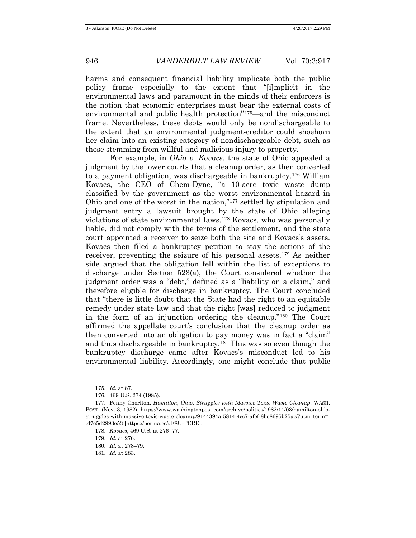harms and consequent financial liability implicate both the public policy frame—especially to the extent that "[i]mplicit in the environmental laws and paramount in the minds of their enforcers is the notion that economic enterprises must bear the external costs of environmental and public health protection"[175](#page-29-0)—and the misconduct frame. Nevertheless, these debts would only be nondischargeable to the extent that an environmental judgment-creditor could shoehorn her claim into an existing category of nondischargeable debt, such as those stemming from willful and malicious injury to property.

<span id="page-29-7"></span>For example, in *Ohio v. Kovacs*, the state of Ohio appealed a judgment by the lower courts that a cleanup order, as then converted to a payment obligation, was dischargeable in bankruptcy.[176](#page-29-1) William Kovacs, the CEO of Chem-Dyne, "a 10-acre toxic waste dump classified by the government as the worst environmental hazard in Ohio and one of the worst in the nation,"[177](#page-29-2) settled by stipulation and judgment entry a lawsuit brought by the state of Ohio alleging violations of state environmental laws.[178](#page-29-3) Kovacs, who was personally liable, did not comply with the terms of the settlement, and the state court appointed a receiver to seize both the site and Kovacs's assets. Kovacs then filed a bankruptcy petition to stay the actions of the receiver, preventing the seizure of his personal assets.[179](#page-29-4) As neither side argued that the obligation fell within the list of exceptions to discharge under Section 523(a), the Court considered whether the judgment order was a "debt," defined as a "liability on a claim," and therefore eligible for discharge in bankruptcy. The Court concluded that "there is little doubt that the State had the right to an equitable remedy under state law and that the right [was] reduced to judgment in the form of an injunction ordering the cleanup."[180](#page-29-5) The Court affirmed the appellate court's conclusion that the cleanup order as then converted into an obligation to pay money was in fact a "claim" and thus dischargeable in bankruptcy.[181](#page-29-6) This was so even though the bankruptcy discharge came after Kovacs's misconduct led to his environmental liability. Accordingly, one might conclude that public

<sup>175.</sup> *Id.* at 87.

<sup>176.</sup> 469 U.S. 274 (1985).

<span id="page-29-4"></span><span id="page-29-3"></span><span id="page-29-2"></span><span id="page-29-1"></span><span id="page-29-0"></span><sup>177.</sup> Penny Chorlton, *Hamilton, Ohio, Struggles with Massive Toxic Waste Cleanup*, WASH. POST. (Nov. 3, 1982), https://www.washingtonpost.com/archive/politics/1982/11/03/hamilton-ohiostruggles-with-massive-toxic-waste-cleanup/9144394a-5814-4cc7-afef-8be8695b25ac/?utm\_term= .d7e5d2993e53 [https://perma.cc/JF8U-FCRE].

<sup>178.</sup> *Kovacs*, 469 U.S. at 276–77.

<sup>179.</sup> *Id.* at 276.

<span id="page-29-5"></span><sup>180.</sup> *Id.* at 278–79.

<span id="page-29-6"></span><sup>181.</sup> *Id.* at 283.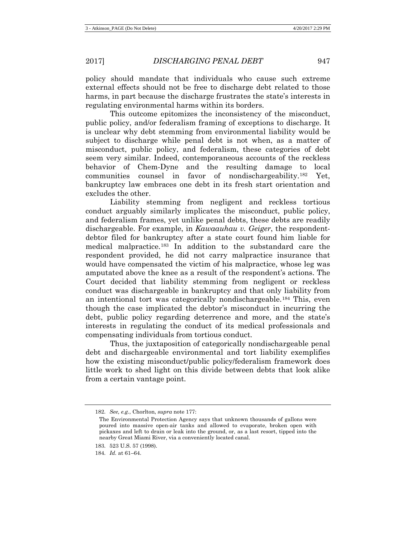policy should mandate that individuals who cause such extreme external effects should not be free to discharge debt related to those harms, in part because the discharge frustrates the state's interests in regulating environmental harms within its borders.

This outcome epitomizes the inconsistency of the misconduct, public policy, and/or federalism framing of exceptions to discharge. It is unclear why debt stemming from environmental liability would be subject to discharge while penal debt is not when, as a matter of misconduct, public policy, and federalism, these categories of debt seem very similar. Indeed, contemporaneous accounts of the reckless behavior of Chem-Dyne and the resulting damage to local communities counsel in favor of nondischargeability.[182](#page-30-0) Yet, bankruptcy law embraces one debt in its fresh start orientation and excludes the other.

Liability stemming from negligent and reckless tortious conduct arguably similarly implicates the misconduct, public policy, and federalism frames, yet unlike penal debts, these debts are readily dischargeable. For example, in *Kawaauhau v. Geiger*, the respondentdebtor filed for bankruptcy after a state court found him liable for medical malpractice.[183](#page-30-1) In addition to the substandard care the respondent provided, he did not carry malpractice insurance that would have compensated the victim of his malpractice, whose leg was amputated above the knee as a result of the respondent's actions. The Court decided that liability stemming from negligent or reckless conduct was dischargeable in bankruptcy and that only liability from an intentional tort was categorically nondischargeable.[184](#page-30-2) This, even though the case implicated the debtor's misconduct in incurring the debt, public policy regarding deterrence and more, and the state's interests in regulating the conduct of its medical professionals and compensating individuals from tortious conduct.

Thus, the juxtaposition of categorically nondischargeable penal debt and dischargeable environmental and tort liability exemplifies how the existing misconduct/public policy/federalism framework does little work to shed light on this divide between debts that look alike from a certain vantage point.

<span id="page-30-0"></span><sup>182.</sup> *See, e.g.*, Chorlton, *supra* not[e 177:](#page-29-7)

The Environmental Protection Agency says that unknown thousands of gallons were poured into massive open-air tanks and allowed to evaporate, broken open with pickaxes and left to drain or leak into the ground, or, as a last resort, tipped into the nearby Great Miami River, via a conveniently located canal.

<span id="page-30-1"></span><sup>183.</sup> 523 U.S. 57 (1998).

<span id="page-30-2"></span><sup>184.</sup> *Id.* at 61–64.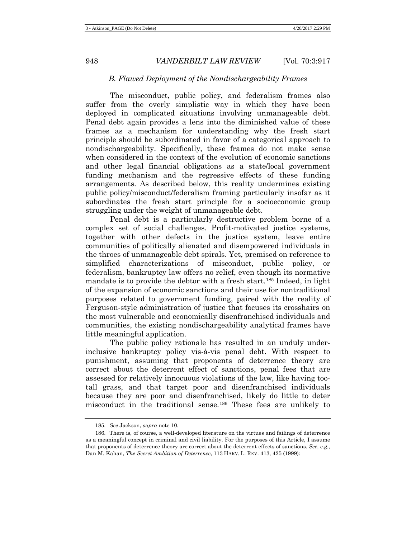#### *B. Flawed Deployment of the Nondischargeability Frames*

The misconduct, public policy, and federalism frames also suffer from the overly simplistic way in which they have been deployed in complicated situations involving unmanageable debt. Penal debt again provides a lens into the diminished value of these frames as a mechanism for understanding why the fresh start principle should be subordinated in favor of a categorical approach to nondischargeability. Specifically, these frames do not make sense when considered in the context of the evolution of economic sanctions and other legal financial obligations as a state/local government funding mechanism and the regressive effects of these funding arrangements. As described below, this reality undermines existing public policy/misconduct/federalism framing particularly insofar as it subordinates the fresh start principle for a socioeconomic group struggling under the weight of unmanageable debt.

Penal debt is a particularly destructive problem borne of a complex set of social challenges. Profit-motivated justice systems, together with other defects in the justice system, leave entire communities of politically alienated and disempowered individuals in the throes of unmanageable debt spirals. Yet, premised on reference to simplified characterizations of misconduct, public policy, or federalism, bankruptcy law offers no relief, even though its normative mandate is to provide the debtor with a fresh start.[185](#page-31-0) Indeed, in light of the expansion of economic sanctions and their use for nontraditional purposes related to government funding, paired with the reality of Ferguson-style administration of justice that focuses its crosshairs on the most vulnerable and economically disenfranchised individuals and communities, the existing nondischargeability analytical frames have little meaningful application.

The public policy rationale has resulted in an unduly underinclusive bankruptcy policy vis-à-vis penal debt. With respect to punishment, assuming that proponents of deterrence theory are correct about the deterrent effect of sanctions, penal fees that are assessed for relatively innocuous violations of the law, like having tootall grass, and that target poor and disenfranchised individuals because they are poor and disenfranchised, likely do little to deter misconduct in the traditional sense.[186](#page-31-1) These fees are unlikely to

<sup>185.</sup> *See* Jackson, *supra* not[e 10.](#page-3-5)

<span id="page-31-1"></span><span id="page-31-0"></span><sup>186.</sup> There is, of course, a well-developed literature on the virtues and failings of deterrence as a meaningful concept in criminal and civil liability. For the purposes of this Article, I assume that proponents of deterrence theory are correct about the deterrent effects of sanctions. *See, e.g.*, Dan M. Kahan, *The Secret Ambition of Deterrence*, 113 HARV. L. REV. 413, 425 (1999):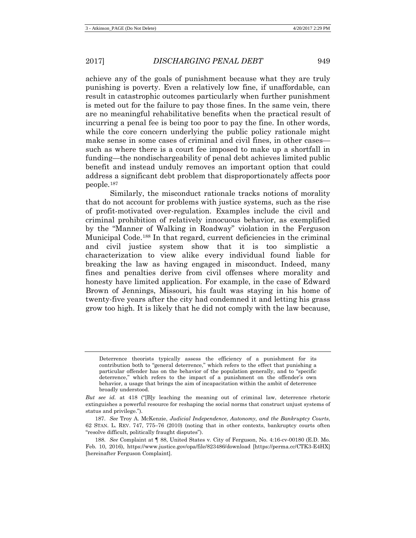achieve any of the goals of punishment because what they are truly punishing is poverty. Even a relatively low fine, if unaffordable, can result in catastrophic outcomes particularly when further punishment is meted out for the failure to pay those fines. In the same vein, there are no meaningful rehabilitative benefits when the practical result of incurring a penal fee is being too poor to pay the fine. In other words, while the core concern underlying the public policy rationale might make sense in some cases of criminal and civil fines, in other cases such as where there is a court fee imposed to make up a shortfall in funding—the nondischargeability of penal debt achieves limited public benefit and instead unduly removes an important option that could address a significant debt problem that disproportionately affects poor people.[187](#page-32-0)

<span id="page-32-3"></span><span id="page-32-2"></span>Similarly, the misconduct rationale tracks notions of morality that do not account for problems with justice systems, such as the rise of profit-motivated over-regulation. Examples include the civil and criminal prohibition of relatively innocuous behavior, as exemplified by the "Manner of Walking in Roadway" violation in the Ferguson Municipal Code.[188](#page-32-1) In that regard, current deficiencies in the criminal and civil justice system show that it is too simplistic a characterization to view alike every individual found liable for breaking the law as having engaged in misconduct. Indeed, many fines and penalties derive from civil offenses where morality and honesty have limited application. For example, in the case of Edward Brown of Jennings, Missouri, his fault was staying in his home of twenty-five years after the city had condemned it and letting his grass grow too high. It is likely that he did not comply with the law because,

Deterrence theorists typically assess the efficiency of a punishment for its contribution both to "general deterrence," which refers to the effect that punishing a particular offender has on the behavior of the population generally, and to "specific deterrence," which refers to the impact of a punishment on the offender's own behavior, a usage that brings the aim of incapacitation within the ambit of deterrence broadly understood.

*But see id.* at 418 ("[B]y leaching the meaning out of criminal law, deterrence rhetoric extinguishes a powerful resource for reshaping the social norms that construct unjust systems of status and privilege.").

<span id="page-32-0"></span><sup>187.</sup> *See* Troy A. McKenzie, *Judicial Independence, Autonomy, and the Bankruptcy Courts*, 62 STAN. L. REV. 747, 775–76 (2010) (noting that in other contexts, bankruptcy courts often "resolve difficult, politically fraught disputes").

<span id="page-32-1"></span><sup>188.</sup> *See* Complaint at ¶ 88, United States v. City of Ferguson, No. 4:16-cv-00180 (E.D. Mo. Feb. 10, 2016), https://www.justice.gov/opa/file/823486/download [https://perma.cc/CTK3-E4HX] [hereinafter Ferguson Complaint].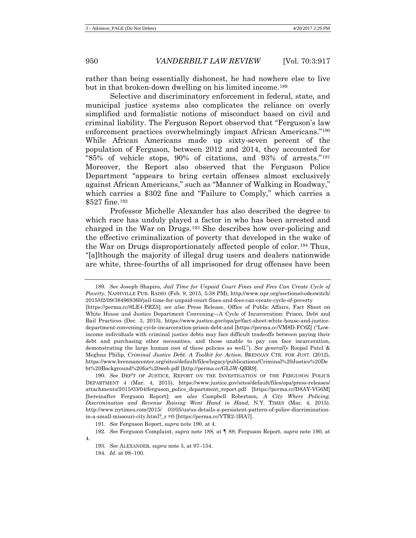<span id="page-33-7"></span>rather than being essentially dishonest, he had nowhere else to live but in that broken-down dwelling on his limited income.[189](#page-33-1)

<span id="page-33-0"></span>Selective and discriminatory enforcement in federal, state, and municipal justice systems also complicates the reliance on overly simplified and formalistic notions of misconduct based on civil and criminal liability. The Ferguson Report observed that "Ferguson's law enforcement practices overwhelmingly impact African Americans."[190](#page-33-2) While African Americans made up sixty-seven percent of the population of Ferguson, between 2012 and 2014, they accounted for "85% of vehicle stops, 90% of citations, and 93% of arrests."[191](#page-33-3) Moreover, the Report also observed that the Ferguson Police Department "appears to bring certain offenses almost exclusively against African Americans," such as "Manner of Walking in Roadway," which carries a \$302 fine and "Failure to Comply," which carries a \$527 fine.[192](#page-33-4)

Professor Michelle Alexander has also described the degree to which race has unduly played a factor in who has been arrested and charged in the War on Drugs[.193](#page-33-5) She describes how over-policing and the effective criminalization of poverty that developed in the wake of the War on Drugs disproportionately affected people of color.[194](#page-33-6) Thus, "[a]lthough the majority of illegal drug users and dealers nationwide are white, three-fourths of all imprisoned for drug offenses have been

<span id="page-33-1"></span>189. *See* Joseph Shapiro, *Jail Time for Unpaid Court Fines and Fees Can Create Cycle of Poverty*, NASHVILLE PUB. RADIO (Feb. 9, 2015, 5:38 PM), http://www.npr.org/sections/codeswitch/ 2015/02/09/384968360/jail-time-for-unpaid-court-fines-and-fees-can-create-cycle-of-poverty

[https://perma.cc/8LE4-PRZ5]; *see also* Press Release, Office of Public Affairs, Fact Sheet on White House and Justice Department Convening—A Cycle of Incarceration: Prison, Debt and Bail Practices (Dec. 3, 2015), https://www.justice.gov/opa/pr/fact-sheet-white-house-and-justicedepartment-convening-cycle-incarceration-prison-debt-and [https://perma.cc/VM8D-FC6Z] ("Lowincome individuals with criminal justice debts may face difficult tradeoffs between paying their debt and purchasing other necessities, and those unable to pay can face incarceration, demonstrating the large human cost of these policies as well."). *See generally* Roopal Patel & Meghna Philip, *Criminal Justice Debt: A Toolkit for Action*, BRENNAN CTR. FOR JUST. (2012), https://www.brennancenter.org/sites/default/files/legacy/publications/Criminal%20Justice%20De bt%20Background%20for%20web.pdf [http://perma.cc/GL5W-QRR9].

<span id="page-33-2"></span>190. *See* DEP'T OF JUSTICE, REPORT ON THE INVESTIGATION OF THE FERGUSON POLICE DEPARTMENT 4 (Mar. 4, 2015), https://www.justice.gov/sites/default/files/opa/press-releases/ attachments/2015/03/04/ferguson\_police\_department\_report.pdf [https://perma.cc/D8AY-VG6M] [hereinafter Ferguson Report]; *see also* Campbell Robertson, *A City Where Policing, Discrimination and Revenue Raising Went Hand in Hand*, N.Y. TIMES (Mar. 4, 2015), http://www.nytimes.com/2015/ 03/05/us/us-details-a-persistent-pattern-of-police-discriminationin-a-small-missouri-city.html?\_r =0 [https://perma.cc/VTR2-3HA7].

191. *See* Ferguson Report, *supra* note [190,](#page-33-0) at 4.

<span id="page-33-6"></span><span id="page-33-5"></span><span id="page-33-4"></span><span id="page-33-3"></span><sup>192.</sup> *See* Ferguson Complaint, *supra* note [188,](#page-32-2) at ¶ 88; Ferguson Report, *supra* note [190,](#page-33-0) at 4.

<sup>193.</sup> *See* ALEXANDER, *supra* note [5,](#page-2-8) at 97–154.

<sup>194.</sup> *Id.* at 98–100.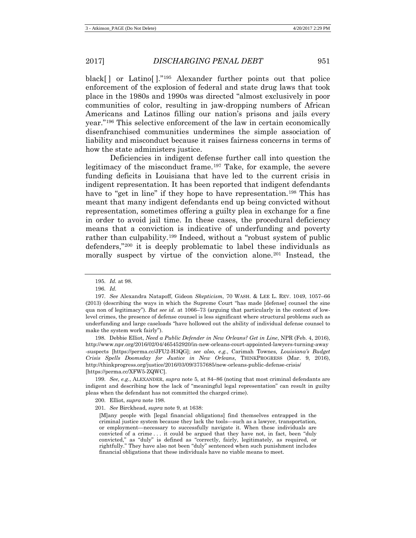black[ ] or Latino[ ]."[195](#page-34-1) Alexander further points out that police enforcement of the explosion of federal and state drug laws that took place in the 1980s and 1990s was directed "almost exclusively in poor communities of color, resulting in jaw-dropping numbers of African Americans and Latinos filling our nation's prisons and jails every year."[196](#page-34-2) This selective enforcement of the law in certain economically disenfranchised communities undermines the simple association of liability and misconduct because it raises fairness concerns in terms of how the state administers justice.

<span id="page-34-0"></span>Deficiencies in indigent defense further call into question the legitimacy of the misconduct frame.<sup>[197](#page-34-3)</sup> Take, for example, the severe funding deficits in Louisiana that have led to the current crisis in indigent representation. It has been reported that indigent defendants have to "get in line" if they hope to have representation.<sup>[198](#page-34-4)</sup> This has meant that many indigent defendants end up being convicted without representation, sometimes offering a guilty plea in exchange for a fine in order to avoid jail time. In these cases, the procedural deficiency means that a conviction is indicative of underfunding and poverty rather than culpability.[199](#page-34-5) Indeed, without a "robust system of public defenders,"[200](#page-34-6) it is deeply problematic to label these individuals as morally suspect by virtue of the conviction alone.[201](#page-34-7) Instead, the

<span id="page-34-4"></span>198. Debbie Elliot, *Need a Public Defender in New Orleans? Get in Line*, NPR (Feb. 4, 2016), http://www.npr.org/2016/02/04/465452920/in-new-orleans-court-appointed-lawyers-turning-away -suspects [https://perma.cc/JFU2-H3QG]; *see also, e.g.*, Carimah Townes*, Louisiana's Budget Crisis Spells Doomsday for Justice in New Orleans*, THINKPROGRESS (Mar. 9, 2016), http://thinkprogress.org/justice/2016/03/09/3757685/new-orleans-public-defense-crisis/ [https://perma.cc/XFW5-ZQWC].

<span id="page-34-7"></span><span id="page-34-6"></span><span id="page-34-5"></span>199. *See, e.g.*, ALEXANDER, *supra* note 5, at 84–86 (noting that most criminal defendants are indigent and describing how the lack of "meaningful legal representation" can result in guilty pleas when the defendant has not committed the charged crime).

200. Elliot, *supra* not[e 198.](#page-34-0)

201. *See* Birckhead, *supra* note [9,](#page-3-7) at 1638:

[M]any people with [legal financial obligations] find themselves entrapped in the criminal justice system because they lack the tools—such as a lawyer, transportation, or employment—necessary to successfully navigate it. When these individuals are convicted of a crime . . . it could be argued that they have not, in fact, been "duly convicted," as "duly" is defined as "correctly, fairly, legitimately, as required, or rightfully." They have also not been "duly" sentenced when such punishment includes financial obligations that these individuals have no viable means to meet.

<sup>195.</sup> *Id.* at 98.

<sup>196.</sup> *Id.*

<span id="page-34-3"></span><span id="page-34-2"></span><span id="page-34-1"></span><sup>197.</sup> *See* Alexandra Natapoff, Gideon *Skepticism*, 70 WASH. & LEE L. REV. 1049, 1057–66 (2013) (describing the ways in which the Supreme Court "has made [defense] counsel the sine qua non of legitimacy"). *But see id.* at 1066–73 (arguing that particularly in the context of lowlevel crimes, the presence of defense counsel is less significant where structural problems such as underfunding and large caseloads "have hollowed out the ability of individual defense counsel to make the system work fairly").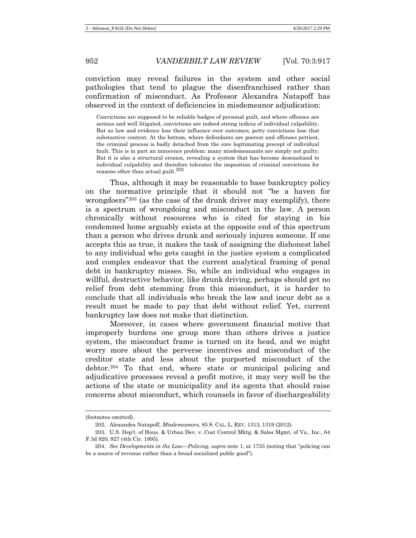conviction may reveal failures in the system and other social pathologies that tend to plague the disenfranchised rather than confirmation of misconduct. As Professor Alexandra Natapoff has observed in the context of deficiencies in misdemeanor adjudication:

Convictions are supposed to be reliable badges of personal guilt, and where offenses are serious and well litigated, convictions are indeed strong indicia of individual culpability. But as law and evidence lose their influence over outcomes, petty convictions lose that substantive content. At the bottom, where defendants are poorest and offenses pettiest, the criminal process is badly detached from the core legitimating precept of individual fault. This is in part an innocence problem: many misdemeanants are simply not guilty. But it is also a structural erosion, revealing a system that has become desensitized to individual culpability and therefore tolerates the imposition of criminal convictions for reasons other than actual guilt.  $202$ 

Thus, although it may be reasonable to base bankruptcy policy on the normative principle that it should not "be a haven for wrongdoers<sup>"[203](#page-35-1)</sup> (as the case of the drunk driver may exemplify), there is a spectrum of wrongdoing and misconduct in the law. A person chronically without resources who is cited for staying in his condemned home arguably exists at the opposite end of this spectrum than a person who drives drunk and seriously injures someone. If one accepts this as true, it makes the task of assigning the dishonest label to any individual who gets caught in the justice system a complicated and complex endeavor that the current analytical framing of penal debt in bankruptcy misses. So, while an individual who engages in willful, destructive behavior, like drunk driving, perhaps should get no relief from debt stemming from this misconduct, it is harder to conclude that all individuals who break the law and incur debt as a result must be made to pay that debt without relief. Yet, current bankruptcy law does not make that distinction.

Moreover, in cases where government financial motive that improperly burdens one group more than others drives a justice system, the misconduct frame is turned on its head, and we might worry more about the perverse incentives and misconduct of the creditor state and less about the purported misconduct of the debtor.[204](#page-35-2) To that end, where state or municipal policing and adjudicative processes reveal a profit motive, it may very well be the actions of the state or municipality and its agents that should raise concerns about misconduct, which counsels in favor of dischargeability

<span id="page-35-0"></span><sup>(</sup>footnotes omitted).

<sup>202.</sup> Alexandra Natapoff, *Misdemeanors*, 85 S. CAL. L. REV. 1313, 1319 (2012).

<span id="page-35-1"></span><sup>203.</sup> U.S. Dep't. of Hous. & Urban Dev. v. Cost Control Mktg. & Sales Mgmt. of Va., Inc., 64 F.3d 920, 927 (4th Cir. 1995).

<span id="page-35-2"></span><sup>204.</sup> *See Developments in the Law—Policing*, *supra* note 1, at 1733 (noting that "policing can be a source of revenue rather than a broad socialized public good").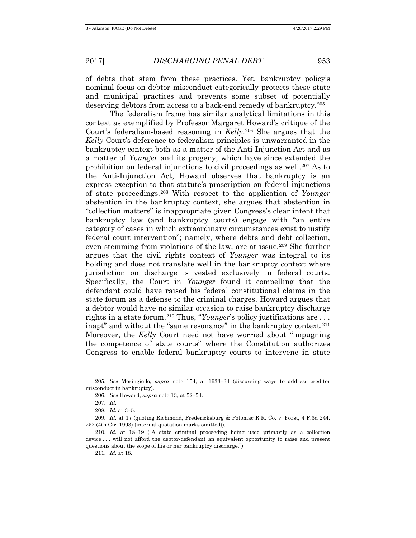of debts that stem from these practices. Yet, bankruptcy policy's nominal focus on debtor misconduct categorically protects these state and municipal practices and prevents some subset of potentially deserving debtors from access to a back-end remedy of bankruptcy.[205](#page-36-0)

The federalism frame has similar analytical limitations in this context as exemplified by Professor Margaret Howard's critique of the Court's federalism-based reasoning in *Kelly*.[206](#page-36-1) She argues that the *Kelly* Court's deference to federalism principles is unwarranted in the bankruptcy context both as a matter of the Anti-Injunction Act and as a matter of *Younger* and its progeny, which have since extended the prohibition on federal injunctions to civil proceedings as well.[207](#page-36-2) As to the Anti-Injunction Act, Howard observes that bankruptcy is an express exception to that statute's proscription on federal injunctions of state proceedings.[208](#page-36-3) With respect to the application of *Younger* abstention in the bankruptcy context, she argues that abstention in "collection matters" is inappropriate given Congress's clear intent that bankruptcy law (and bankruptcy courts) engage with "an entire category of cases in which extraordinary circumstances exist to justify federal court intervention"; namely, where debts and debt collection, even stemming from violations of the law, are at issue.<sup>[209](#page-36-4)</sup> She further argues that the civil rights context of *Younger* was integral to its holding and does not translate well in the bankruptcy context where jurisdiction on discharge is vested exclusively in federal courts. Specifically, the Court in *Younger* found it compelling that the defendant could have raised his federal constitutional claims in the state forum as a defense to the criminal charges. Howard argues that a debtor would have no similar occasion to raise bankruptcy discharge rights in a state forum.[210](#page-36-5) Thus, "*Younger*'s policy justifications are . . . inapt" and without the "same resonance" in the bankruptcy context.<sup>[211](#page-36-6)</sup> Moreover, the *Kelly* Court need not have worried about "impugning the competence of state courts" where the Constitution authorizes Congress to enable federal bankruptcy courts to intervene in state

211. *Id.* at 18.

<span id="page-36-1"></span><span id="page-36-0"></span><sup>205.</sup> *See* Moringiello, *supra* note [154,](#page-25-0) at 1633–34 (discussing ways to address creditor misconduct in bankruptcy).

<sup>206.</sup> *See* Howard, *supra* not[e 13,](#page-5-1) at 52–54.

<sup>207.</sup> *Id.*

<sup>208.</sup> *Id.* at 3–5.

<span id="page-36-4"></span><span id="page-36-3"></span><span id="page-36-2"></span><sup>209.</sup> *Id.* at 17 (quoting Richmond, Fredericksburg & Potomac R.R. Co. v. Forst, 4 F.3d 244, 252 (4th Cir. 1993) (internal quotation marks omitted)).

<span id="page-36-6"></span><span id="page-36-5"></span><sup>210.</sup> *Id.* at 18–19 ("A state criminal proceeding being used primarily as a collection device . . . will not afford the debtor-defendant an equivalent opportunity to raise and present questions about the scope of his or her bankruptcy discharge.").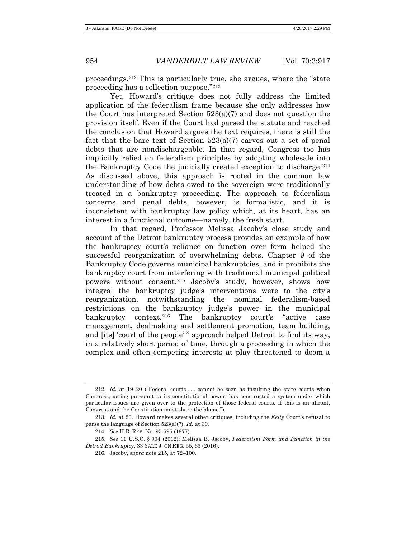proceedings.[212](#page-37-1) This is particularly true, she argues, where the "state proceeding has a collection purpose."[213](#page-37-2)

Yet, Howard's critique does not fully address the limited application of the federalism frame because she only addresses how the Court has interpreted Section 523(a)(7) and does not question the provision itself. Even if the Court had parsed the statute and reached the conclusion that Howard argues the text requires, there is still the fact that the bare text of Section 523(a)(7) carves out a set of penal debts that are nondischargeable. In that regard, Congress too has implicitly relied on federalism principles by adopting wholesale into the Bankruptcy Code the judicially created exception to discharge.  $2^{14}$ As discussed above, this approach is rooted in the common law understanding of how debts owed to the sovereign were traditionally treated in a bankruptcy proceeding. The approach to federalism concerns and penal debts, however, is formalistic, and it is inconsistent with bankruptcy law policy which, at its heart, has an interest in a functional outcome—namely, the fresh start.

<span id="page-37-0"></span>In that regard, Professor Melissa Jacoby's close study and account of the Detroit bankruptcy process provides an example of how the bankruptcy court's reliance on function over form helped the successful reorganization of overwhelming debts. Chapter 9 of the Bankruptcy Code governs municipal bankruptcies, and it prohibits the bankruptcy court from interfering with traditional municipal political powers without consent.[215](#page-37-4) Jacoby's study, however, shows how integral the bankruptcy judge's interventions were to the city's reorganization, notwithstanding the nominal federalism-based restrictions on the bankruptcy judge's power in the municipal bankruptcy context.<sup>[216](#page-37-5)</sup> The bankruptcy court's "active case management, dealmaking and settlement promotion, team building, and [its] 'court of the people' " approach helped Detroit to find its way, in a relatively short period of time, through a proceeding in which the complex and often competing interests at play threatened to doom a

<span id="page-37-1"></span><sup>212.</sup> *Id.* at 19–20 ("Federal courts . . . cannot be seen as insulting the state courts when Congress, acting pursuant to its constitutional power, has constructed a system under which particular issues are given over to the protection of those federal courts. If this is an affront, Congress and the Constitution must share the blame.").

<span id="page-37-2"></span><sup>213.</sup> *Id.* at 20. Howard makes several other critiques, including the *Kelly* Court's refusal to parse the language of Section 523(a)(7). *Id.* at 39.

<sup>214.</sup> *See* H.R. REP. No. 95-595 (1977).

<span id="page-37-5"></span><span id="page-37-4"></span><span id="page-37-3"></span><sup>215.</sup> *See* 11 U.S.C. § 904 (2012); Melissa B. Jacoby, *Federalism Form and Function in the Detroit Bankruptcy*, 33 YALE J. ON REG. 55, 63 (2016).

<sup>216.</sup> Jacoby, *supra* not[e 215,](#page-37-0) at 72–100.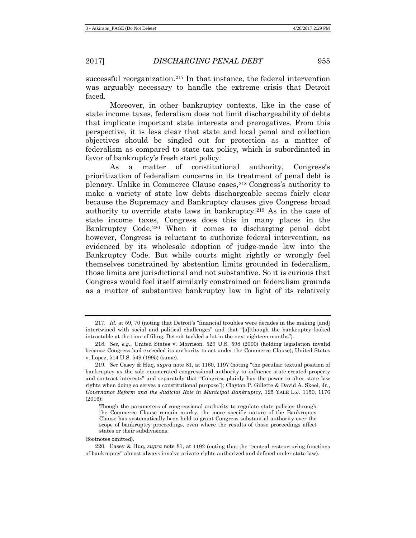successful reorganization.[217](#page-38-0) In that instance, the federal intervention was arguably necessary to handle the extreme crisis that Detroit faced.

Moreover, in other bankruptcy contexts, like in the case of state income taxes, federalism does not limit dischargeability of debts that implicate important state interests and prerogatives. From this perspective, it is less clear that state and local penal and collection objectives should be singled out for protection as a matter of federalism as compared to state tax policy, which is subordinated in favor of bankruptcy's fresh start policy.

<span id="page-38-4"></span>As a matter of constitutional authority, Congress's prioritization of federalism concerns in its treatment of penal debt is plenary. Unlike in Commerce Clause cases,[218](#page-38-1) Congress's authority to make a variety of state law debts dischargeable seems fairly clear because the Supremacy and Bankruptcy clauses give Congress broad authority to override state laws in bankruptcy.[219](#page-38-2) As in the case of state income taxes, Congress does this in many places in the Bankruptcy Code.[220](#page-38-3) When it comes to discharging penal debt however, Congress is reluctant to authorize federal intervention, as evidenced by its wholesale adoption of judge-made law into the Bankruptcy Code. But while courts might rightly or wrongly feel themselves constrained by abstention limits grounded in federalism, those limits are jurisdictional and not substantive. So it is curious that Congress would feel itself similarly constrained on federalism grounds as a matter of substantive bankruptcy law in light of its relatively

<span id="page-38-0"></span><sup>217.</sup> *Id.* at 59, 70 (noting that Detroit's "financial troubles were decades in the making [and] intertwined with social and political challenges" and that "[a]lthough the bankruptcy looked intractable at the time of filing, Detroit tackled a lot in the next eighteen months").

<span id="page-38-1"></span><sup>218.</sup> *See, e.g.*, United States v. Morrison, 529 U.S. 598 (2000) (holding legislation invalid because Congress had exceeded its authority to act under the Commerce Clause); United States v. Lopez, 514 U.S. 549 (1995) (same).

<span id="page-38-2"></span><sup>219.</sup> *See* Casey & Huq, *supra* note [81,](#page-15-7) at 1160, 1197 (noting "the peculiar textual position of bankruptcy as the sole enumerated congressional authority to influence state-created property and contract interests" and separately that "Congress plainly has the power to alter state law rights when doing so serves a constitutional purpose"); Clayton P. Gillette & David A. Skeel, Jr., *Governance Reform and the Judicial Role in Municipal Bankruptcy*, 125 YALE L.J. 1150, 1176 (2016):

Though the parameters of congressional authority to regulate state policies through the Commerce Clause remain murky, the more specific nature of the Bankruptcy Clause has systematically been held to grant Congress substantial authority over the scope of bankruptcy proceedings, even where the results of those proceedings affect states or their subdivisions.

<sup>(</sup>footnotes omitted).

<span id="page-38-3"></span><sup>220.</sup> Casey & Huq, *supra* note [81,](#page-15-7) at 1192 (noting that the "central restructuring functions of bankruptcy" almost always involve private rights authorized and defined under state law).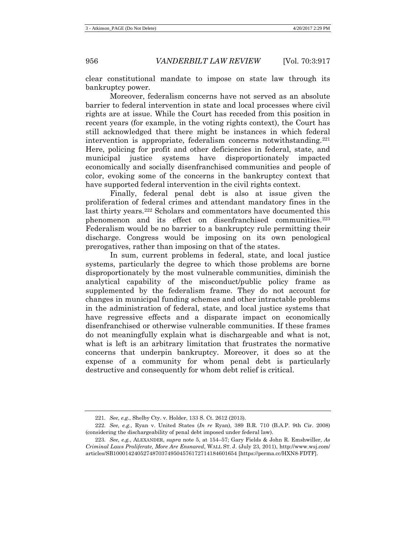clear constitutional mandate to impose on state law through its bankruptcy power.

Moreover, federalism concerns have not served as an absolute barrier to federal intervention in state and local processes where civil rights are at issue. While the Court has receded from this position in recent years (for example, in the voting rights context), the Court has still acknowledged that there might be instances in which federal intervention is appropriate, federalism concerns notwithstanding. $221$ Here, policing for profit and other deficiencies in federal, state, and municipal justice systems have disproportionately impacted economically and socially disenfranchised communities and people of color, evoking some of the concerns in the bankruptcy context that have supported federal intervention in the civil rights context.

Finally, federal penal debt is also at issue given the proliferation of federal crimes and attendant mandatory fines in the last thirty years.<sup>[222](#page-39-1)</sup> Scholars and commentators have documented this phenomenon and its effect on disenfranchised communities.<sup>[223](#page-39-2)</sup> Federalism would be no barrier to a bankruptcy rule permitting their discharge. Congress would be imposing on its own penological prerogatives, rather than imposing on that of the states.

In sum, current problems in federal, state, and local justice systems, particularly the degree to which those problems are borne disproportionately by the most vulnerable communities, diminish the analytical capability of the misconduct/public policy frame as supplemented by the federalism frame. They do not account for changes in municipal funding schemes and other intractable problems in the administration of federal, state, and local justice systems that have regressive effects and a disparate impact on economically disenfranchised or otherwise vulnerable communities. If these frames do not meaningfully explain what is dischargeable and what is not, what is left is an arbitrary limitation that frustrates the normative concerns that underpin bankruptcy. Moreover, it does so at the expense of a community for whom penal debt is particularly destructive and consequently for whom debt relief is critical.

<sup>221.</sup> *See, e.g.*, Shelby Cty. v. Holder, 133 S. Ct. 2612 (2013).

<span id="page-39-1"></span><span id="page-39-0"></span><sup>222.</sup> *See, e.g.*, Ryan v. United States (*In re* Ryan), 389 B.R. 710 (B.A.P. 9th Cir. 2008) (considering the dischargeability of penal debt imposed under federal law).

<span id="page-39-2"></span><sup>223.</sup> *See, e.g.*, ALEXANDER, *supra* note [5,](#page-2-8) at 154–57; Gary Fields & John R. Emshwiller, *As Criminal Laws Proliferate, More Are Ensnared*, WALL ST. J. (July 23, 2011), http://www.wsj.com/ articles/SB10001424052748703749504576172714184601654 [https://perma.cc/HXN8-FDTF].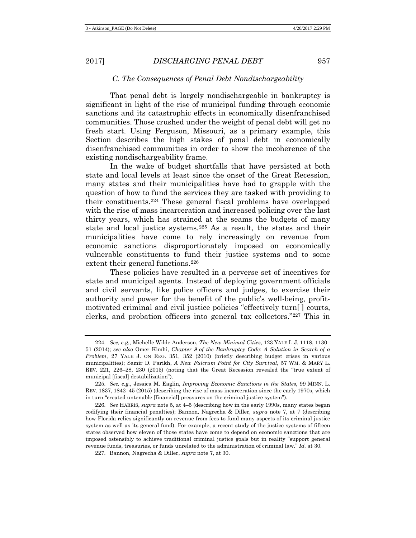#### *C. The Consequences of Penal Debt Nondischargeability*

That penal debt is largely nondischargeable in bankruptcy is significant in light of the rise of municipal funding through economic sanctions and its catastrophic effects in economically disenfranchised communities. Those crushed under the weight of penal debt will get no fresh start. Using Ferguson, Missouri, as a primary example, this Section describes the high stakes of penal debt in economically disenfranchised communities in order to show the incoherence of the existing nondischargeability frame.

In the wake of budget shortfalls that have persisted at both state and local levels at least since the onset of the Great Recession, many states and their municipalities have had to grapple with the question of how to fund the services they are tasked with providing to their constituents.[224](#page-40-0) These general fiscal problems have overlapped with the rise of mass incarceration and increased policing over the last thirty years, which has strained at the seams the budgets of many state and local justice systems.[225](#page-40-1) As a result, the states and their municipalities have come to rely increasingly on revenue from economic sanctions disproportionately imposed on economically vulnerable constituents to fund their justice systems and to some extent their general functions.<sup>[226](#page-40-2)</sup>

These policies have resulted in a perverse set of incentives for state and municipal agents. Instead of deploying government officials and civil servants, like police officers and judges, to exercise their authority and power for the benefit of the public's well-being, profitmotivated criminal and civil justice policies "effectively turn[ ] courts, clerks, and probation officers into general tax collectors."[227](#page-40-3) This in

<span id="page-40-3"></span>227. Bannon, Nagrecha & Diller, *supra* not[e 7,](#page-2-7) at 30.

<span id="page-40-0"></span><sup>224.</sup> *See, e.g.*, Michelle Wilde Anderson, *The New Minimal Cities*, 123 YALE L.J. 1118, 1130– 51 (2014); *see also* Omer Kimhi, *Chapter 9 of the Bankruptcy Code: A Solution in Search of a Problem*, 27 YALE J. ON REG. 351, 352 (2010) (briefly describing budget crises in various municipalities); Samir D. Parikh, *A New Fulcrum Point for City Survival*, 57 WM. & MARY L. REV. 221, 226–28, 230 (2015) (noting that the Great Recession revealed the "true extent of municipal [fiscal] destabilization").

<span id="page-40-1"></span><sup>225.</sup> *See, e.g.*, Jessica M. Eaglin, *Improving Economic Sanctions in the States*, 99 MINN. L. REV. 1837, 1842–45 (2015) (describing the rise of mass incarceration since the early 1970s, which in turn "created untenable [financial] pressures on the criminal justice system").

<span id="page-40-2"></span><sup>226.</sup> *See* HARRIS, *supra* note [5,](#page-2-8) at 4–5 (describing how in the early 1990s, many states began codifying their financial penalties); Bannon, Nagrecha & Diller, *supra* note [7,](#page-2-7) at 7 (describing how Florida relies significantly on revenue from fees to fund many aspects of its criminal justice system as well as its general fund). For example, a recent study of the justice systems of fifteen states observed how eleven of those states have come to depend on economic sanctions that are imposed ostensibly to achieve traditional criminal justice goals but in reality "support general revenue funds, treasuries, or funds unrelated to the administration of criminal law." *Id.* at 30.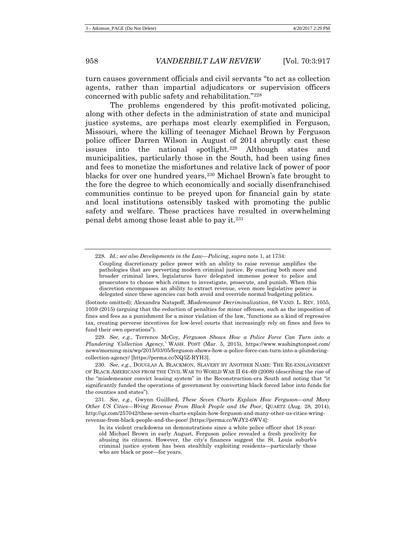turn causes government officials and civil servants "to act as collection agents, rather than impartial adjudicators or supervision officers concerned with public safety and rehabilitation."[228](#page-41-0)

The problems engendered by this profit-motivated policing, along with other defects in the administration of state and municipal justice systems, are perhaps most clearly exemplified in Ferguson, Missouri, where the killing of teenager Michael Brown by Ferguson police officer Darren Wilson in August of 2014 abruptly cast these issues into the national spotlight.<sup>[229](#page-41-1)</sup> Although states and municipalities, particularly those in the South, had been using fines and fees to monetize the misfortunes and relative lack of power of poor blacks for over one hundred years,[230](#page-41-2) Michael Brown's fate brought to the fore the degree to which economically and socially disenfranchised communities continue to be preyed upon for financial gain by state and local institutions ostensibly tasked with promoting the public safety and welfare. These practices have resulted in overwhelming penal debt among those least able to pay it.[231](#page-41-3)

(footnote omitted); Alexandra Natapoff, *Misdemeanor Decriminalization*, 68 VAND. L. REV. 1055, 1059 (2015) (arguing that the reduction of penalties for minor offenses, such as the imposition of fines and fees as a punishment for a minor violation of the law, "functions as a kind of regressive tax, creating perverse incentives for low-level courts that increasingly rely on fines and fees to fund their own operations").

<span id="page-41-1"></span>229. *See, e.g.*, Terrence McCoy, *Ferguson Shows How a Police Force Can Turn into a Plundering 'Collection Agency*,*'* WASH. POST (Mar. 5, 2015), https://www.washingtonpost.com/ news/morning-mix/wp/2015/03/05/ferguson-shows-how-a-police-force-can-turn-into-a-plunderingcollection-agency/ [https://perma.cc/NQ5Z-RYH3].

<span id="page-41-2"></span>230. *See, e.g.*, DOUGLAS A. BLACKMON, SLAVERY BY ANOTHER NAME: THE RE-ENSLAVEMENT OF BLACK AMERICANS FROM THE CIVIL WAR TO WORLD WAR II 64–69 (2008) (describing the rise of the "misdemeanor convict leasing system" in the Reconstruction-era South and noting that "it significantly funded the operations of government by converting black forced labor into funds for the counties and states").

<span id="page-41-3"></span>231. *See, e.g.*, Gwynn Guilford, *These Seven Charts Explain How Ferguson—and Many Other US Cities—Wring Revenue From Black People and the Poor*, QUARTZ (Aug. 28, 2014), [http://qz.com/257042/these-seven-charts-explain-how-ferguson-and-many-other-us-cities-wring](http://qz.com/257042/these-seven-charts-explain-how-ferguson-and-many-other-us-cities-wring-revenue-from-black-people-and-the-poor/)[revenue-from-black-people-and-the-poor/](http://qz.com/257042/these-seven-charts-explain-how-ferguson-and-many-other-us-cities-wring-revenue-from-black-people-and-the-poor/) [https://perma.cc/WJY2-6WV4]:

In its violent crackdowns on demonstrations since a white police officer shot 18-yearold Michael Brown in early August, Ferguson police revealed a fresh proclivity for abusing its citizens. However, the city's finances suggest the St. Louis suburb's criminal justice system has been stealthily exploiting residents—particularly those who are black or poor—for years.

<span id="page-41-0"></span><sup>228.</sup> *Id.*; *see also Developments in the Law—Policing*, *supra* note 1, at 1734:

Coupling discretionary police power with an ability to raise revenue amplifies the pathologies that are perverting modern criminal justice. By enacting both more and broader criminal laws, legislatures have delegated immense power to police and prosecutors to choose which crimes to investigate, prosecute, and punish. When this discretion encompasses an ability to extract revenue, even more legislative power is delegated since these agencies can both avoid and override normal budgeting politics.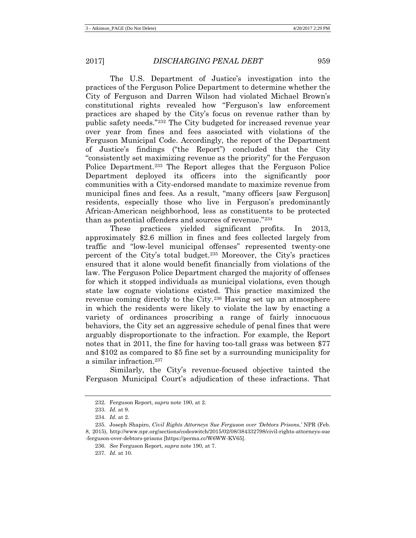The U.S. Department of Justice's investigation into the practices of the Ferguson Police Department to determine whether the City of Ferguson and Darren Wilson had violated Michael Brown's constitutional rights revealed how "Ferguson's law enforcement practices are shaped by the City's focus on revenue rather than by public safety needs."[232](#page-42-0) The City budgeted for increased revenue year over year from fines and fees associated with violations of the Ferguson Municipal Code. Accordingly, the report of the Department of Justice's findings ("the Report") concluded that the City "consistently set maximizing revenue as the priority" for the Ferguson Police Department.[233](#page-42-1) The Report alleges that the Ferguson Police Department deployed its officers into the significantly poor communities with a City-endorsed mandate to maximize revenue from municipal fines and fees. As a result, "many officers [saw Ferguson] residents, especially those who live in Ferguson's predominantly African-American neighborhood, less as constituents to be protected than as potential offenders and sources of revenue."[234](#page-42-2)

<span id="page-42-6"></span>These practices yielded significant profits. In 2013, approximately \$2.6 million in fines and fees collected largely from traffic and "low-level municipal offenses" represented twenty-one percent of the City's total budget.[235](#page-42-3) Moreover, the City's practices ensured that it alone would benefit financially from violations of the law. The Ferguson Police Department charged the majority of offenses for which it stopped individuals as municipal violations, even though state law cognate violations existed. This practice maximized the revenue coming directly to the City.[236](#page-42-4) Having set up an atmosphere in which the residents were likely to violate the law by enacting a variety of ordinances proscribing a range of fairly innocuous behaviors, the City set an aggressive schedule of penal fines that were arguably disproportionate to the infraction. For example, the Report notes that in 2011, the fine for having too-tall grass was between \$77 and \$102 as compared to \$5 fine set by a surrounding municipality for a similar infraction.[237](#page-42-5)

Similarly, the City's revenue-focused objective tainted the Ferguson Municipal Court's adjudication of these infractions. That

237. *Id.* at 10.

<sup>232.</sup> Ferguson Report, *supra* not[e 190,](#page-33-0) at 2.

<sup>233.</sup> *Id.* at 9.

<sup>234.</sup> *Id.* at 2.

<span id="page-42-5"></span><span id="page-42-4"></span><span id="page-42-3"></span><span id="page-42-2"></span><span id="page-42-1"></span><span id="page-42-0"></span><sup>235.</sup> Joseph Shapiro, *Civil Rights Attorneys Sue Ferguson over 'Debtors Prisons*,*'* NPR (Feb. 8, 2015), http://www.npr.org/sections/codeswitch/2015/02/08/384332798/civil-rights-attorneys-sue -ferguson-over-debtors-prisons [https://perma.cc/W6WW-KV65].

<sup>236.</sup> *See* Ferguson Report, *supra* note [190,](#page-33-0) at 7.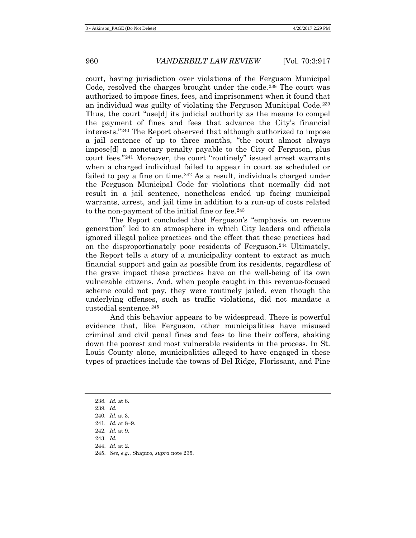court, having jurisdiction over violations of the Ferguson Municipal Code, resolved the charges brought under the code.<sup>[238](#page-43-0)</sup> The court was authorized to impose fines, fees, and imprisonment when it found that an individual was guilty of violating the Ferguson Municipal Code.[239](#page-43-1) Thus, the court "use[d] its judicial authority as the means to compel the payment of fines and fees that advance the City's financial interests."[240](#page-43-2) The Report observed that although authorized to impose a jail sentence of up to three months, "the court almost always impose[d] a monetary penalty payable to the City of Ferguson, plus court fees."[241](#page-43-3) Moreover, the court "routinely" issued arrest warrants when a charged individual failed to appear in court as scheduled or failed to pay a fine on time.<sup>[242](#page-43-4)</sup> As a result, individuals charged under the Ferguson Municipal Code for violations that normally did not result in a jail sentence, nonetheless ended up facing municipal warrants, arrest, and jail time in addition to a run-up of costs related to the non-payment of the initial fine or fee.<sup>[243](#page-43-5)</sup>

The Report concluded that Ferguson's "emphasis on revenue generation" led to an atmosphere in which City leaders and officials ignored illegal police practices and the effect that these practices had on the disproportionately poor residents of Ferguson.[244](#page-43-6) Ultimately, the Report tells a story of a municipality content to extract as much financial support and gain as possible from its residents, regardless of the grave impact these practices have on the well-being of its own vulnerable citizens. And, when people caught in this revenue-focused scheme could not pay, they were routinely jailed, even though the underlying offenses, such as traffic violations, did not mandate a custodial sentence.[245](#page-43-7)

And this behavior appears to be widespread. There is powerful evidence that, like Ferguson, other municipalities have misused criminal and civil penal fines and fees to line their coffers, shaking down the poorest and most vulnerable residents in the process. In St. Louis County alone, municipalities alleged to have engaged in these types of practices include the towns of Bel Ridge, Florissant, and Pine

- <span id="page-43-1"></span>239. *Id.*
- 240. *Id.* at 3.
- <span id="page-43-4"></span><span id="page-43-3"></span><span id="page-43-2"></span>241. *Id.* at 8–9.
- 242. *Id.* at 9.
- <span id="page-43-5"></span>243. *Id.*
- <span id="page-43-7"></span><span id="page-43-6"></span>244. *Id.* at 2.
- 245. *See, e.g.*, Shapiro, *supra* note [235.](#page-42-6)

<span id="page-43-0"></span><sup>238.</sup> *Id.* at 8.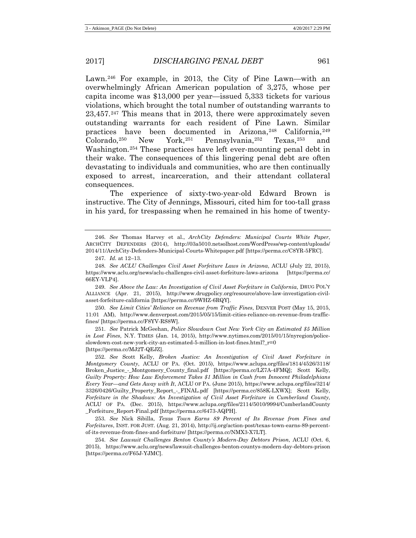<span id="page-44-9"></span>Lawn.[246](#page-44-0) For example, in 2013, the City of Pine Lawn—with an overwhelmingly African American population of 3,275, whose per capita income was \$13,000 per year—issued 5,333 tickets for various violations, which brought the total number of outstanding warrants to 23,457.[247](#page-44-1) This means that in 2013, there were approximately seven outstanding warrants for each resident of Pine Lawn. Similar practices have been documented in Arizona, [248](#page-44-2) California, [249](#page-44-3) Colorado,[250](#page-44-4) New York,[251](#page-44-5) Pennsylvania,[252](#page-44-6) Texas,[253](#page-44-7) and Washington.[254](#page-44-8) These practices have left ever-mounting penal debt in their wake. The consequences of this lingering penal debt are often devastating to individuals and communities, who are then continually exposed to arrest, incarceration, and their attendant collateral consequences.

The experience of sixty-two-year-old Edward Brown is instructive. The City of Jennings, Missouri, cited him for too-tall grass in his yard, for trespassing when he remained in his home of twenty-

<span id="page-44-3"></span>249. *See Above the Law: An Investigation of Civil Asset Forfeiture in California*, DRUG POL'Y ALLIANCE (Apr. 21, 2015), http://www.drugpolicy.org/resource/above-law-investigation-civilasset-forfeiture-california [https://perma.cc/9WHZ-6RQY].

<span id="page-44-4"></span>250. *See Limit Cities' Reliance on Revenue from Traffic Fines*, DENVER POST (May 15, 2015, 11:01 AM), http://www.denverpost.com/2015/05/15/limit-cities-reliance-on-revenue-from-trafficfines/ [https://perma.cc/F8YV-RS8W].

<span id="page-44-5"></span>251. *See* Patrick McGeehan, *Police Slowdown Cost New York City an Estimated \$5 Million in Lost Fines*, N.Y. TIMES (Jan. 14, 2015), http://www.nytimes.com/2015/01/15/nyregion/policeslowdown-cost-new-york-city-an-estimated-5-million-in-lost-fines.html?\_r=0 [https://perma.cc/MJ2T-QEJZ].

<span id="page-44-6"></span>252. *See* Scott Kelly, *Broken Justice: An Investigation of Civil Asset Forfeiture in Montgomery County*, ACLU OF PA. (Oct. 2015), https://www.aclupa.org/files/1814/4526/3118/ Broken\_Justice\_-\_Montgomery\_County\_final.pdf [https://perma.cc/LZ7A-4FMQ]; Scott Kelly, *Guilty Property: How Law Enforcement Takes \$1 Million in Cash from Innocent Philadelphians Every Year—and Gets Away with It*, ACLU OF PA. (June 2015), https://www.aclupa.org/files/3214/ 3326/0426/Guilty\_Property\_Report\_-\_FINAL.pdf [https://perma.cc/858K-LXWX]; Scott Kelly, *Forfeiture in the Shadows: An Investigation of Civil Asset Forfeiture in Cumberland County*, ACLU OF PA. (Dec. 2015), https://www.aclupa.org/files/2114/5010/9994/CumberlandCounty \_Forfeiture\_Report-Final.pdf [https://perma.cc/6473-AQPH].

<span id="page-44-7"></span>253. *See* Nick Sibilla, *Texas Town Earns 89 Percent of Its Revenue from Fines and Forfeitures*, INST. FOR JUST. (Aug. 21, 2014), http://ij.org/action-post/texas-town-earns-89-percentof-its-revenue-from-fines-and-forfeiture/ [https://perma.cc/NMX3-X7LT].

<span id="page-44-8"></span>254. *See Lawsuit Challenges Benton County's Modern-Day Debtors Prison*, ACLU (Oct. 6, 2015), https://www.aclu.org/news/lawsuit-challenges-benton-countys-modern-day-debtors-prison [https://perma.cc/F65J-YJMC].

<span id="page-44-0"></span><sup>246.</sup> *See* Thomas Harvey et al., *ArchCity Defenders: Municipal Courts White Paper*, ARCHCITY DEFENDERS (2014), http://03a5010.netsolhost.com/WordPress/wp-content/uploads/ 2014/11/ArchCity-Defenders-Municipal-Courts-Whitepaper.pdf [https://perma.cc/C8YR-5FRC].

<sup>247.</sup> *Id.* at 12–13.

<span id="page-44-2"></span><span id="page-44-1"></span><sup>248.</sup> *See ACLU Challenges Civil Asset Forfeiture Laws in Arizona*, ACLU (July 22, 2015), https://www.aclu.org/news/aclu-challenges-civil-asset-forfeiture-laws-arizona [https://perma.cc/ 66EY-VLP4].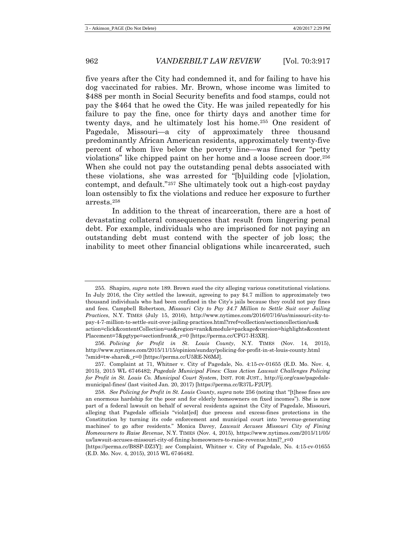five years after the City had condemned it, and for failing to have his dog vaccinated for rabies. Mr. Brown, whose income was limited to \$488 per month in Social Security benefits and food stamps, could not pay the \$464 that he owed the City. He was jailed repeatedly for his failure to pay the fine, once for thirty days and another time for twenty days, and he ultimately lost his home.[255](#page-45-1) One resident of Pagedale, Missouri—a city of approximately three thousand predominantly African American residents, approximately twenty-five percent of whom live below the poverty line—was fined for "petty violations" like chipped paint on her home and a loose screen door.[256](#page-45-2) When she could not pay the outstanding penal debts associated with these violations, she was arrested for "[b]uilding code [v]iolation, contempt, and default."[257](#page-45-3) She ultimately took out a high-cost payday loan ostensibly to fix the violations and reduce her exposure to further arrests.[258](#page-45-4)

<span id="page-45-0"></span>In addition to the threat of incarceration, there are a host of devastating collateral consequences that result from lingering penal debt. For example, individuals who are imprisoned for not paying an outstanding debt must contend with the specter of job loss; the inability to meet other financial obligations while incarcerated, such

<span id="page-45-1"></span><sup>255.</sup> Shapiro, *supra* note [189.](#page-33-7) Brown sued the city alleging various constitutional violations. In July 2016, the City settled the lawsuit, agreeing to pay \$4.7 million to approximately two thousand individuals who had been confined in the City's jails because they could not pay fines and fees. Campbell Robertson, *Missouri City to Pay \$4.7 Million to Settle Suit over Jailing Practices*, N.Y. TIMES (July 15, 2016), http://www.nytimes.com/2016/07/16/us/missouri-city-topay-4-7-million-to-settle-suit-over-jailing-practices.html?rref=collection/sectioncollection/us& action=click&contentCollection=us&region=rank&module=package&version=highlights&content Placement=7&pgtype=sectionfront&\_r=0 [https://perma.cc/CFG7-H3XR].

<span id="page-45-2"></span><sup>256.</sup> *Policing for Profit in St. Louis County*, N.Y. TIMES (Nov. 14, 2015), http://www.nytimes.com/2015/11/15/opinion/sunday/policing-for-profit-in-st-louis-county.html ?smid=tw-share&\_r=0 [https://perma.cc/U5RE-N6MJ].

<span id="page-45-3"></span><sup>257.</sup> Complaint at 71, Whitner v. City of Pagedale, No. 4:15-cv-01655 (E.D. Mo. Nov. 4, 2015), 2015 WL 6746482; *Pagedale Municipal Fines: Class Action Lawsuit Challenges Policing for Profit in St. Louis Co. Municipal Court System*, INST. FOR JUST., http://ij.org/case/pagedalemunicipal-fines/ (last visited Jan. 20, 2017) [https://perma.cc/R37L-F2UP].

<span id="page-45-4"></span><sup>258.</sup> *See Policing for Profit in St. Louis County*, *supra* not[e 256](#page-45-0) (noting that "[t]hese fines are an enormous hardship for the poor and for elderly homeowners on fixed incomes"). She is now part of a federal lawsuit on behalf of several residents against the City of Pagedale, Missouri, alleging that Pagedale officials "violat[ed] due process and excess-fines protections in the Constitution by turning its code enforcement and municipal court into 'revenue-generating machines' to go after residents." Monica Davey, *Lawsuit Accuses Missouri City of Fining Homeowners to Raise Revenue*, N.Y. TIMES (Nov. 4, 2015), https://www.nytimes.com/2015/11/05/ us/lawsuit-accuses-missouri-city-of-fining-homeowners-to-raise-revenue.html?\_r=0

<sup>[</sup>https://perma.cc/B8SP-DZ3Y]; *see* Complaint, Whitner v. City of Pagedale, No. 4:15-cv-01655 (E.D. Mo. Nov. 4, 2015), 2015 WL 6746482.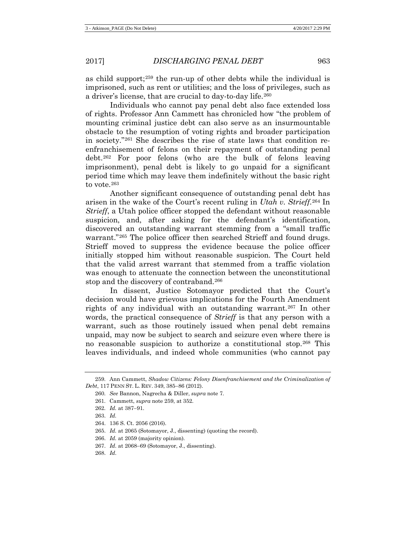<span id="page-46-0"></span>as child support;<sup>[259](#page-46-1)</sup> the run-up of other debts while the individual is imprisoned, such as rent or utilities; and the loss of privileges, such as a driver's license, that are crucial to day-to-day life.<sup>[260](#page-46-2)</sup>

Individuals who cannot pay penal debt also face extended loss of rights. Professor Ann Cammett has chronicled how "the problem of mounting criminal justice debt can also serve as an insurmountable obstacle to the resumption of voting rights and broader participation in society."[261](#page-46-3) She describes the rise of state laws that condition reenfranchisement of felons on their repayment of outstanding penal debt.[262](#page-46-4) For poor felons (who are the bulk of felons leaving imprisonment), penal debt is likely to go unpaid for a significant period time which may leave them indefinitely without the basic right to vote [263](#page-46-5)

Another significant consequence of outstanding penal debt has arisen in the wake of the Court's recent ruling in *Utah v. Strieff*.[264](#page-46-6) In *Strieff*, a Utah police officer stopped the defendant without reasonable suspicion, and, after asking for the defendant's identification, discovered an outstanding warrant stemming from a "small traffic warrant."<sup>[265](#page-46-7)</sup> The police officer then searched Strieff and found drugs. Strieff moved to suppress the evidence because the police officer initially stopped him without reasonable suspicion. The Court held that the valid arrest warrant that stemmed from a traffic violation was enough to attenuate the connection between the unconstitutional stop and the discovery of contraband.[266](#page-46-8)

In dissent, Justice Sotomayor predicted that the Court's decision would have grievous implications for the Fourth Amendment rights of any individual with an outstanding warrant[.267](#page-46-9) In other words, the practical consequence of *Strieff* is that any person with a warrant, such as those routinely issued when penal debt remains unpaid, may now be subject to search and seizure even where there is no reasonable suspicion to authorize a constitutional stop.[268](#page-46-10) This leaves individuals, and indeed whole communities (who cannot pay

263. *Id.*

- <span id="page-46-9"></span>267. *Id.* at 2068−69 (Sotomayor, J., dissenting).
- <span id="page-46-10"></span>268. *Id.*

<span id="page-46-5"></span><span id="page-46-4"></span><span id="page-46-3"></span><span id="page-46-2"></span><span id="page-46-1"></span><sup>259.</sup> Ann Cammett, *Shadow Citizens: Felony Disenfranchisement and the Criminalization of Debt*, 117 PENN ST. L. REV. 349, 385−86 (2012).

<sup>260.</sup> *See* Bannon, Nagrecha & Diller, *supra* not[e 7.](#page-2-7)

<sup>261.</sup> Cammett, *supra* note [259,](#page-46-0) at 352.

<sup>262.</sup> *Id.* at 387−91.

<span id="page-46-6"></span><sup>264.</sup> 136 S. Ct. 2056 (2016).

<span id="page-46-7"></span><sup>265.</sup> *Id.* at 2065 (Sotomayor, J., dissenting) (quoting the record).

<span id="page-46-8"></span><sup>266.</sup> *Id.* at 2059 (majority opinion).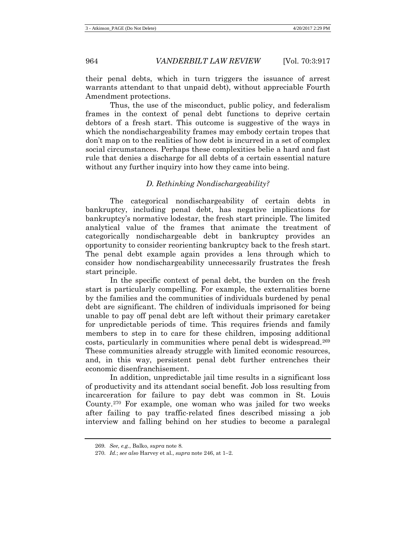their penal debts, which in turn triggers the issuance of arrest warrants attendant to that unpaid debt), without appreciable Fourth Amendment protections.

Thus, the use of the misconduct, public policy, and federalism frames in the context of penal debt functions to deprive certain debtors of a fresh start. This outcome is suggestive of the ways in which the nondischargeability frames may embody certain tropes that don't map on to the realities of how debt is incurred in a set of complex social circumstances. Perhaps these complexities belie a hard and fast rule that denies a discharge for all debts of a certain essential nature without any further inquiry into how they came into being.

## *D. Rethinking Nondischargeability?*

The categorical nondischargeability of certain debts in bankruptcy, including penal debt, has negative implications for bankruptcy's normative lodestar, the fresh start principle. The limited analytical value of the frames that animate the treatment of categorically nondischargeable debt in bankruptcy provides an opportunity to consider reorienting bankruptcy back to the fresh start. The penal debt example again provides a lens through which to consider how nondischargeability unnecessarily frustrates the fresh start principle.

In the specific context of penal debt, the burden on the fresh start is particularly compelling. For example, the externalities borne by the families and the communities of individuals burdened by penal debt are significant. The children of individuals imprisoned for being unable to pay off penal debt are left without their primary caretaker for unpredictable periods of time. This requires friends and family members to step in to care for these children, imposing additional costs, particularly in communities where penal debt is widespread.[269](#page-47-0) These communities already struggle with limited economic resources, and, in this way, persistent penal debt further entrenches their economic disenfranchisement.

In addition, unpredictable jail time results in a significant loss of productivity and its attendant social benefit. Job loss resulting from incarceration for failure to pay debt was common in St. Louis County.[270](#page-47-1) For example, one woman who was jailed for two weeks after failing to pay traffic-related fines described missing a job interview and falling behind on her studies to become a paralegal

<span id="page-47-0"></span><sup>269.</sup> *See, e.g.*, Balko, *supra* not[e 8.](#page-3-8)

<span id="page-47-1"></span><sup>270.</sup> *Id.*; *see also* Harvey et al., *supra* note [246,](#page-44-9) at 1−2.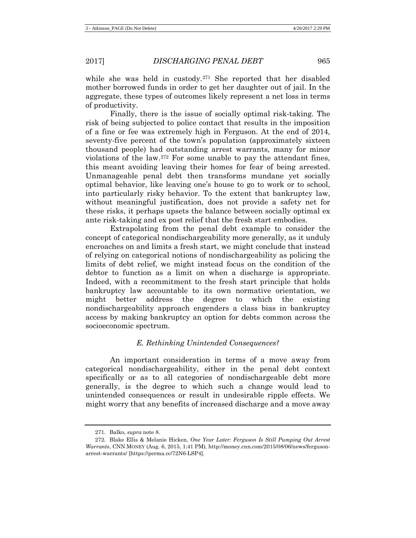while she was held in custody.<sup>[271](#page-48-0)</sup> She reported that her disabled mother borrowed funds in order to get her daughter out of jail. In the aggregate, these types of outcomes likely represent a net loss in terms of productivity.

Finally, there is the issue of socially optimal risk-taking. The risk of being subjected to police contact that results in the imposition of a fine or fee was extremely high in Ferguson. At the end of 2014, seventy-five percent of the town's population (approximately sixteen thousand people) had outstanding arrest warrants, many for minor violations of the law.[272](#page-48-1) For some unable to pay the attendant fines, this meant avoiding leaving their homes for fear of being arrested. Unmanageable penal debt then transforms mundane yet socially optimal behavior, like leaving one's house to go to work or to school, into particularly risky behavior. To the extent that bankruptcy law, without meaningful justification, does not provide a safety net for these risks, it perhaps upsets the balance between socially optimal ex ante risk-taking and ex post relief that the fresh start embodies.

Extrapolating from the penal debt example to consider the concept of categorical nondischargeability more generally, as it unduly encroaches on and limits a fresh start, we might conclude that instead of relying on categorical notions of nondischargeability as policing the limits of debt relief, we might instead focus on the condition of the debtor to function as a limit on when a discharge is appropriate. Indeed, with a recommitment to the fresh start principle that holds bankruptcy law accountable to its own normative orientation, we might better address the degree to which the existing nondischargeability approach engenders a class bias in bankruptcy access by making bankruptcy an option for debts common across the socioeconomic spectrum.

# *E. Rethinking Unintended Consequences?*

An important consideration in terms of a move away from categorical nondischargeability, either in the penal debt context specifically or as to all categories of nondischargeable debt more generally, is the degree to which such a change would lead to unintended consequences or result in undesirable ripple effects. We might worry that any benefits of increased discharge and a move away

<sup>271.</sup> Balko, *supra* note [8.](#page-3-8)

<span id="page-48-1"></span><span id="page-48-0"></span><sup>272.</sup> Blake Ellis & Melanie Hicken, *One Year Later: Ferguson Is Still Pumping Out Arrest Warrants*, CNN MONEY (Aug. 6, 2015, 1:41 PM), http://money.cnn.com/2015/08/06/news/fergusonarrest-warrants/ [https://perma.cc/72N6-LSP4].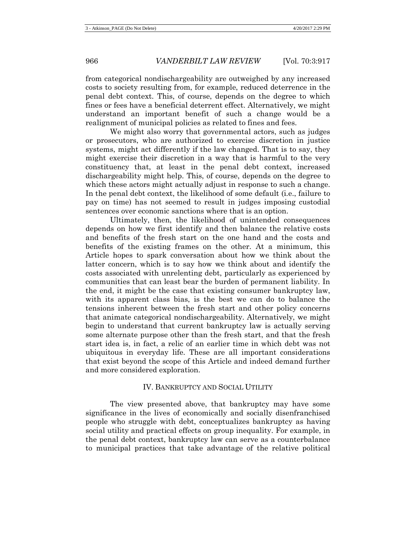from categorical nondischargeability are outweighed by any increased costs to society resulting from, for example, reduced deterrence in the penal debt context. This, of course, depends on the degree to which fines or fees have a beneficial deterrent effect. Alternatively, we might understand an important benefit of such a change would be a realignment of municipal policies as related to fines and fees.

We might also worry that governmental actors, such as judges or prosecutors, who are authorized to exercise discretion in justice systems, might act differently if the law changed. That is to say, they might exercise their discretion in a way that is harmful to the very constituency that, at least in the penal debt context, increased dischargeability might help. This, of course, depends on the degree to which these actors might actually adjust in response to such a change. In the penal debt context, the likelihood of some default (i.e., failure to pay on time) has not seemed to result in judges imposing custodial sentences over economic sanctions where that is an option.

Ultimately, then, the likelihood of unintended consequences depends on how we first identify and then balance the relative costs and benefits of the fresh start on the one hand and the costs and benefits of the existing frames on the other. At a minimum, this Article hopes to spark conversation about how we think about the latter concern, which is to say how we think about and identify the costs associated with unrelenting debt, particularly as experienced by communities that can least bear the burden of permanent liability. In the end, it might be the case that existing consumer bankruptcy law, with its apparent class bias, is the best we can do to balance the tensions inherent between the fresh start and other policy concerns that animate categorical nondischargeability. Alternatively, we might begin to understand that current bankruptcy law is actually serving some alternate purpose other than the fresh start, and that the fresh start idea is, in fact, a relic of an earlier time in which debt was not ubiquitous in everyday life. These are all important considerations that exist beyond the scope of this Article and indeed demand further and more considered exploration.

#### IV. BANKRUPTCY AND SOCIAL UTILITY

The view presented above, that bankruptcy may have some significance in the lives of economically and socially disenfranchised people who struggle with debt, conceptualizes bankruptcy as having social utility and practical effects on group inequality. For example, in the penal debt context, bankruptcy law can serve as a counterbalance to municipal practices that take advantage of the relative political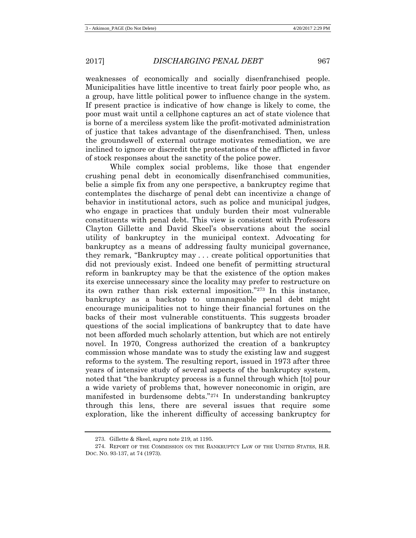weaknesses of economically and socially disenfranchised people. Municipalities have little incentive to treat fairly poor people who, as a group, have little political power to influence change in the system. If present practice is indicative of how change is likely to come, the poor must wait until a cellphone captures an act of state violence that is borne of a merciless system like the profit-motivated administration of justice that takes advantage of the disenfranchised. Then, unless the groundswell of external outrage motivates remediation, we are inclined to ignore or discredit the protestations of the afflicted in favor of stock responses about the sanctity of the police power.

While complex social problems, like those that engender crushing penal debt in economically disenfranchised communities, belie a simple fix from any one perspective, a bankruptcy regime that contemplates the discharge of penal debt can incentivize a change of behavior in institutional actors, such as police and municipal judges, who engage in practices that unduly burden their most vulnerable constituents with penal debt. This view is consistent with Professors Clayton Gillette and David Skeel's observations about the social utility of bankruptcy in the municipal context. Advocating for bankruptcy as a means of addressing faulty municipal governance, they remark, "Bankruptcy may . . . create political opportunities that did not previously exist. Indeed one benefit of permitting structural reform in bankruptcy may be that the existence of the option makes its exercise unnecessary since the locality may prefer to restructure on its own rather than risk external imposition."[273](#page-50-0) In this instance, bankruptcy as a backstop to unmanageable penal debt might encourage municipalities not to hinge their financial fortunes on the backs of their most vulnerable constituents. This suggests broader questions of the social implications of bankruptcy that to date have not been afforded much scholarly attention, but which are not entirely novel. In 1970, Congress authorized the creation of a bankruptcy commission whose mandate was to study the existing law and suggest reforms to the system. The resulting report, issued in 1973 after three years of intensive study of several aspects of the bankruptcy system, noted that "the bankruptcy process is a funnel through which [to] pour a wide variety of problems that, however noneconomic in origin, are manifested in burdensome debts."[274](#page-50-1) In understanding bankruptcy through this lens, there are several issues that require some exploration, like the inherent difficulty of accessing bankruptcy for

<sup>273.</sup> Gillette & Skeel, *supra* not[e 219,](#page-38-4) at 1195.

<span id="page-50-1"></span><span id="page-50-0"></span><sup>274.</sup> REPORT OF THE COMMISSION ON THE BANKRUPTCY LAW OF THE UNITED STATES, H.R. DOC. NO. 93-137, at 74 (1973).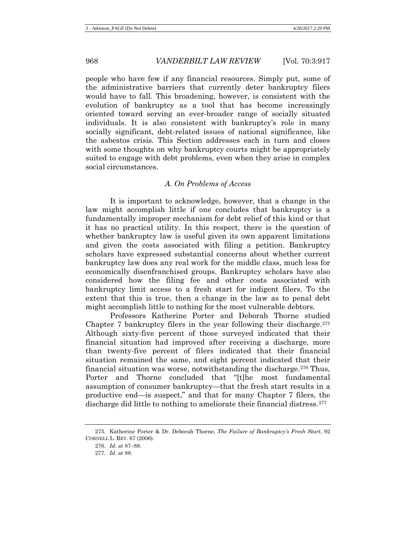people who have few if any financial resources. Simply put, some of the administrative barriers that currently deter bankruptcy filers would have to fall. This broadening, however, is consistent with the evolution of bankruptcy as a tool that has become increasingly oriented toward serving an ever-broader range of socially situated individuals. It is also consistent with bankruptcy's role in many socially significant, debt-related issues of national significance, like the asbestos crisis. This Section addresses each in turn and closes with some thoughts on why bankruptcy courts might be appropriately suited to engage with debt problems, even when they arise in complex social circumstances.

## *A. On Problems of Access*

It is important to acknowledge, however, that a change in the law might accomplish little if one concludes that bankruptcy is a fundamentally improper mechanism for debt relief of this kind or that it has no practical utility. In this respect, there is the question of whether bankruptcy law is useful given its own apparent limitations and given the costs associated with filing a petition. Bankruptcy scholars have expressed substantial concerns about whether current bankruptcy law does any real work for the middle class, much less for economically disenfranchised groups. Bankruptcy scholars have also considered how the filing fee and other costs associated with bankruptcy limit access to a fresh start for indigent filers. To the extent that this is true, then a change in the law as to penal debt might accomplish little to nothing for the most vulnerable debtors.

Professors Katherine Porter and Deborah Thorne studied Chapter 7 bankruptcy filers in the year following their discharge.<sup>275</sup> Although sixty-five percent of those surveyed indicated that their financial situation had improved after receiving a discharge, more than twenty-five percent of filers indicated that their financial situation remained the same, and eight percent indicated that their financial situation was worse, notwithstanding the discharge.[276](#page-51-1) Thus, Porter and Thorne concluded that "[t]he most fundamental assumption of consumer bankruptcy—that the fresh start results in a productive end—is suspect," and that for many Chapter 7 filers, the discharge did little to nothing to ameliorate their financial distress.[277](#page-51-2)

<span id="page-51-2"></span><span id="page-51-1"></span><span id="page-51-0"></span><sup>275.</sup> Katherine Porter & Dr. Deborah Thorne, *The Failure of Bankruptcy's Fresh Start*, 92 CORNELL L. REV. 67 (2006).

<sup>276.</sup> *Id.* at 87−88.

<sup>277.</sup> *Id.* at 88.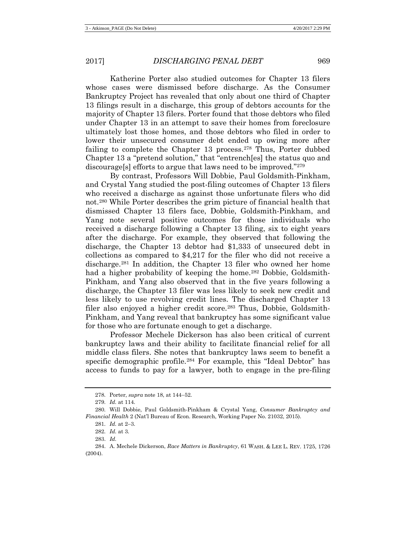Katherine Porter also studied outcomes for Chapter 13 filers whose cases were dismissed before discharge. As the Consumer Bankruptcy Project has revealed that only about one third of Chapter 13 filings result in a discharge, this group of debtors accounts for the majority of Chapter 13 filers. Porter found that those debtors who filed under Chapter 13 in an attempt to save their homes from foreclosure ultimately lost those homes, and those debtors who filed in order to lower their unsecured consumer debt ended up owing more after failing to complete the Chapter 13 process.<sup>[278](#page-52-0)</sup> Thus, Porter dubbed Chapter 13 a "pretend solution," that "entrench[es] the status quo and discourage[s] efforts to argue that laws need to be improved."[279](#page-52-1)

By contrast, Professors Will Dobbie, Paul Goldsmith-Pinkham, and Crystal Yang studied the post-filing outcomes of Chapter 13 filers who received a discharge as against those unfortunate filers who did not.[280](#page-52-2) While Porter describes the grim picture of financial health that dismissed Chapter 13 filers face, Dobbie, Goldsmith-Pinkham, and Yang note several positive outcomes for those individuals who received a discharge following a Chapter 13 filing, six to eight years after the discharge. For example, they observed that following the discharge, the Chapter 13 debtor had \$1,333 of unsecured debt in collections as compared to \$4,217 for the filer who did not receive a discharge[.281](#page-52-3) In addition, the Chapter 13 filer who owned her home had a higher probability of keeping the home.<sup>[282](#page-52-4)</sup> Dobbie, Goldsmith-Pinkham, and Yang also observed that in the five years following a discharge, the Chapter 13 filer was less likely to seek new credit and less likely to use revolving credit lines. The discharged Chapter 13 filer also enjoyed a higher credit score.<sup>[283](#page-52-5)</sup> Thus, Dobbie, Goldsmith-Pinkham, and Yang reveal that bankruptcy has some significant value for those who are fortunate enough to get a discharge.

Professor Mechele Dickerson has also been critical of current bankruptcy laws and their ability to facilitate financial relief for all middle class filers. She notes that bankruptcy laws seem to benefit a specific demographic profile.<sup>[284](#page-52-6)</sup> For example, this "Ideal Debtor" has access to funds to pay for a lawyer, both to engage in the pre-filing

<sup>278.</sup> Porter, *supra* note [18,](#page-6-6) at 144−52.

<sup>279.</sup> *Id.* at 114.

<span id="page-52-3"></span><span id="page-52-2"></span><span id="page-52-1"></span><span id="page-52-0"></span><sup>280.</sup> Will Dobbie, Paul Goldsmith-Pinkham & Crystal Yang, *Consumer Bankruptcy and Financial Health* 2 (Nat'l Bureau of Econ. Research, Working Paper No. 21032, 2015).

<sup>281.</sup> *Id.* at 2−3.

<sup>282.</sup> *Id.* at 3.

<sup>283.</sup> *Id.*

<span id="page-52-6"></span><span id="page-52-5"></span><span id="page-52-4"></span><sup>284.</sup> A. Mechele Dickerson, *Race Matters in Bankruptcy*, 61 WASH. & LEE L. REV. 1725, 1726 (2004).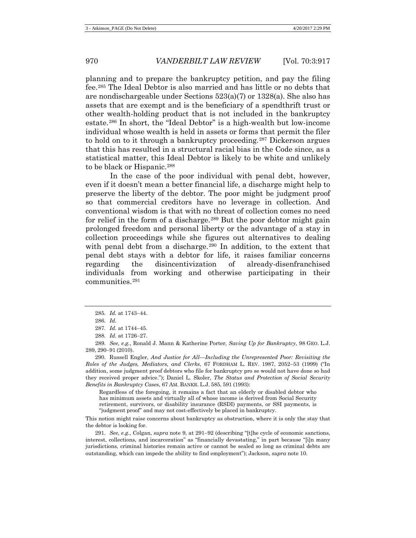planning and to prepare the bankruptcy petition, and pay the filing fee.[285](#page-53-0) The Ideal Debtor is also married and has little or no debts that are nondischargeable under Sections 523(a)(7) or 1328(a). She also has assets that are exempt and is the beneficiary of a spendthrift trust or other wealth-holding product that is not included in the bankruptcy estate.[286](#page-53-1) In short, the "Ideal Debtor" is a high-wealth but low-income individual whose wealth is held in assets or forms that permit the filer to hold on to it through a bankruptcy proceeding.[287](#page-53-2) Dickerson argues that this has resulted in a structural racial bias in the Code since, as a statistical matter, this Ideal Debtor is likely to be white and unlikely to be black or Hispanic.[288](#page-53-3)

<span id="page-53-7"></span>In the case of the poor individual with penal debt, however, even if it doesn't mean a better financial life, a discharge might help to preserve the liberty of the debtor. The poor might be judgment proof so that commercial creditors have no leverage in collection. And conventional wisdom is that with no threat of collection comes no need for relief in the form of a discharge.<sup>[289](#page-53-4)</sup> But the poor debtor might gain prolonged freedom and personal liberty or the advantage of a stay in collection proceedings while she figures out alternatives to dealing with penal debt from a discharge.<sup>[290](#page-53-5)</sup> In addition, to the extent that penal debt stays with a debtor for life, it raises familiar concerns regarding the disincentivization of already-disenfranchised individuals from working and otherwise participating in their communities.[291](#page-53-6)

<span id="page-53-4"></span><span id="page-53-3"></span><span id="page-53-2"></span><span id="page-53-1"></span><span id="page-53-0"></span>289. *See, e.g.*, Ronald J. Mann & Katherine Porter, *Saving Up for Bankruptcy*, 98 GEO. L.J. 289, 290−91 (2010).

<span id="page-53-5"></span>290. Russell Engler, *And Justice for All*—*Including the Unrepresented Poor: Revisiting the Roles of the Judges, Mediators, and Clerks*, 67 FORDHAM L. REV. 1987, 2052−53 (1999) ("In addition, some judgment proof debtors who file for bankruptcy pro se would not have done so had they received proper advice."); Daniel L. Skoler, *The Status and Protection of Social Security Benefits in Bankruptcy Cases*, 67 AM. BANKR. L.J. 585, 591 (1993):

Regardless of the foregoing, it remains a fact that an elderly or disabled debtor who has minimum assets and virtually all of whose income is derived from Social Security retirement, survivors, or disability insurance (RSDI) payments, or SSI payments, is "judgment proof" and may not cost-effectively be placed in bankruptcy.

This notion might raise concerns about bankruptcy as obstruction, where it is only the stay that the debtor is looking for.

<span id="page-53-6"></span>291. *See, e.g.*, Colgan, *supra* note [9,](#page-3-7) at 291−92 (describing "[t]he cycle of economic sanctions, interest, collections, and incarceration" as "financially devastating," in part because "[i]n many jurisdictions, criminal histories remain active or cannot be sealed so long as criminal debts are outstanding, which can impede the ability to find employment"); Jackson, *supra* not[e 10.](#page-3-5)

<sup>285.</sup> *Id.* at 1743−44.

<sup>286.</sup> *Id.*

<sup>287.</sup> *Id.* at 1744−45.

<sup>288.</sup> *Id.* at 1726−27.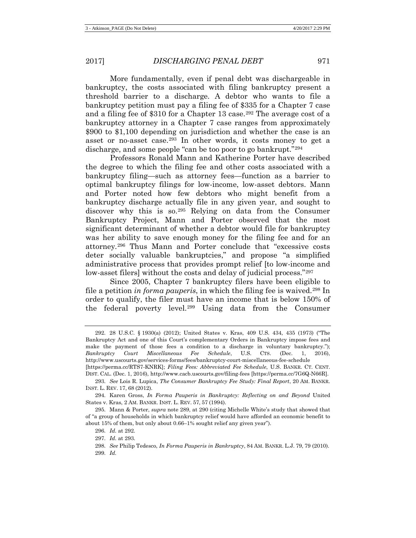More fundamentally, even if penal debt was dischargeable in bankruptcy, the costs associated with filing bankruptcy present a threshold barrier to a discharge. A debtor who wants to file a bankruptcy petition must pay a filing fee of \$335 for a Chapter 7 case and a filing fee of \$310 for a Chapter 13 case.[292](#page-54-0) The average cost of a bankruptcy attorney in a Chapter 7 case ranges from approximately \$900 to \$1,100 depending on jurisdiction and whether the case is an asset or no-asset case.[293](#page-54-1) In other words, it costs money to get a discharge, and some people "can be too poor to go bankrupt."[294](#page-54-2)

Professors Ronald Mann and Katherine Porter have described the degree to which the filing fee and other costs associated with a bankruptcy filing—such as attorney fees—function as a barrier to optimal bankruptcy filings for low-income, low-asset debtors. Mann and Porter noted how few debtors who might benefit from a bankruptcy discharge actually file in any given year, and sought to discover why this is so.[295](#page-54-3) Relying on data from the Consumer Bankruptcy Project, Mann and Porter observed that the most significant determinant of whether a debtor would file for bankruptcy was her ability to save enough money for the filing fee and for an attorney.[296](#page-54-4) Thus Mann and Porter conclude that "excessive costs deter socially valuable bankruptcies," and propose "a simplified administrative process that provides prompt relief [to low-income and low-asset filers, without the costs and delay of judicial process."<sup>[297](#page-54-5)</sup>

Since 2005, Chapter 7 bankruptcy filers have been eligible to file a petition *in forma pauperis*, in which the filing fee is waived.[298](#page-54-6) In order to qualify, the filer must have an income that is below 150% of the federal poverty level.[299](#page-54-7) Using data from the Consumer

<span id="page-54-0"></span><sup>292.</sup> 28 U.S.C. § 1930(a) (2012); United States v. Kras, 409 U.S. 434, 435 (1973) ("The Bankruptcy Act and one of this Court's complementary Orders in Bankruptcy impose fees and make the payment of those fees a condition to a discharge in voluntary bankruptcy."); *Bankruptcy Court Miscellaneous Fee Schedule*, U.S. CTS. (Dec. 1, 2016), http://www.uscourts.gov/services-forms/fees/bankruptcy-court-miscellaneous-fee-schedule

<sup>[</sup>https://perma.cc/RTS7-KNRK]; *Filing Fees: Abbreviated Fee Schedule*, U.S. BANKR. CT. CENT. DIST. CAL. (Dec. 1, 2016), http://www.cacb.uscourts.gov/filing-fees [https://perma.cc/7G6Q-N66R].

<span id="page-54-1"></span><sup>293.</sup> *See* Lois R. Lupica, *The Consumer Bankruptcy Fee Study: Final Report*, 20 AM. BANKR. INST. L. REV. 17, 68 (2012).

<span id="page-54-2"></span><sup>294.</sup> Karen Gross, *In Forma Pauperis in Bankruptcy: Reflecting on and Beyond* United States v. Kras, 2 AM. BANKR. INST. L. REV. 57, 57 (1994).

<span id="page-54-6"></span><span id="page-54-5"></span><span id="page-54-4"></span><span id="page-54-3"></span><sup>295.</sup> Mann & Porter, *supra* note [289,](#page-53-7) at 290 (citing Michelle White's study that showed that of "a group of households in which bankruptcy relief would have afforded an economic benefit to about 15% of them, but only about 0.66–1% sought relief any given year").

<sup>296.</sup> *Id.* at 292.

<sup>297.</sup> *Id.* at 293.

<span id="page-54-7"></span><sup>298.</sup> *See* Philip Tedesco, *In Forma Pauperis in Bankruptcy*, 84 AM. BANKR. L.J. 79, 79 (2010). 299. *Id.*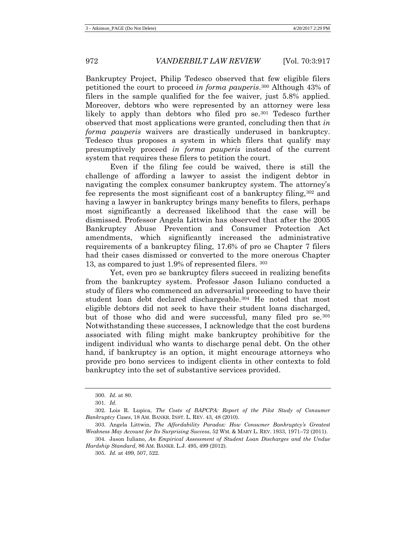Bankruptcy Project, Philip Tedesco observed that few eligible filers petitioned the court to proceed *in forma pauperis*.[300](#page-55-0) Although 43% of filers in the sample qualified for the fee waiver, just 5.8% applied. Moreover, debtors who were represented by an attorney were less likely to apply than debtors who filed pro se.[301](#page-55-1) Tedesco further observed that most applications were granted, concluding then that *in forma pauperis* waivers are drastically underused in bankruptcy. Tedesco thus proposes a system in which filers that qualify may presumptively proceed *in forma pauperis* instead of the current system that requires these filers to petition the court.

Even if the filing fee could be waived, there is still the challenge of affording a lawyer to assist the indigent debtor in navigating the complex consumer bankruptcy system. The attorney's fee represents the most significant cost of a bankruptcy filing,  $302$  and having a lawyer in bankruptcy brings many benefits to filers, perhaps most significantly a decreased likelihood that the case will be dismissed. Professor Angela Littwin has observed that after the 2005 Bankruptcy Abuse Prevention and Consumer Protection Act amendments, which significantly increased the administrative requirements of a bankruptcy filing, 17.6% of pro se Chapter 7 filers had their cases dismissed or converted to the more onerous Chapter 13, as compared to just 1.9% of represented filers. [303](#page-55-3)

Yet, even pro se bankruptcy filers succeed in realizing benefits from the bankruptcy system. Professor Jason Iuliano conducted a study of filers who commenced an adversarial proceeding to have their student loan debt declared dischargeable[.304](#page-55-4) He noted that most eligible debtors did not seek to have their student loans discharged, but of those who did and were successful, many filed pro se.<sup>[305](#page-55-5)</sup> Notwithstanding these successes, I acknowledge that the cost burdens associated with filing might make bankruptcy prohibitive for the indigent individual who wants to discharge penal debt. On the other hand, if bankruptcy is an option, it might encourage attorneys who provide pro bono services to indigent clients in other contexts to fold bankruptcy into the set of substantive services provided.

305. *Id.* at 499, 507, 522.

<sup>300.</sup> *Id.* at 80.

<sup>301.</sup> *Id.*

<span id="page-55-2"></span><span id="page-55-1"></span><span id="page-55-0"></span><sup>302.</sup> Lois R. Lupica, *The Costs of BAPCPA: Report of the Pilot Study of Consumer Bankruptcy Cases*, 18 AM. BANKR. INST. L. REV. 43, 48 (2010).

<span id="page-55-3"></span><sup>303.</sup> Angela Littwin, *The Affordability Paradox: How Consumer Bankruptcy's Greatest Weakness May Account for Its Surprising Success*, 52 WM. & MARY L. REV. 1933, 1971–72 (2011).

<span id="page-55-5"></span><span id="page-55-4"></span><sup>304.</sup> Jason Iuliano, *An Empirical Assessment of Student Loan Discharges and the Undue Hardship Standard*, 86 AM. BANKR. L.J. 495, 499 (2012).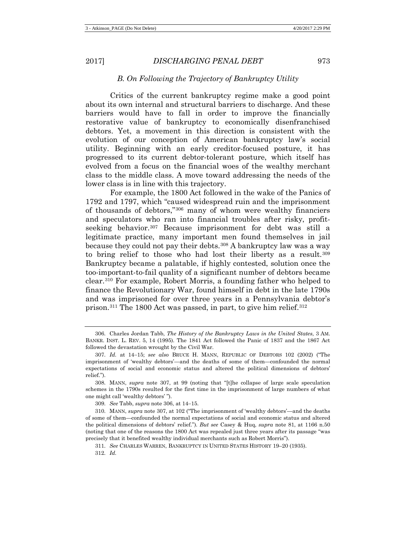### *B. On Following the Trajectory of Bankruptcy Utility*

Critics of the current bankruptcy regime make a good point about its own internal and structural barriers to discharge. And these barriers would have to fall in order to improve the financially restorative value of bankruptcy to economically disenfranchised debtors. Yet, a movement in this direction is consistent with the evolution of our conception of American bankruptcy law's social utility. Beginning with an early creditor-focused posture, it has progressed to its current debtor-tolerant posture, which itself has evolved from a focus on the financial woes of the wealthy merchant class to the middle class. A move toward addressing the needs of the lower class is in line with this trajectory.

<span id="page-56-1"></span><span id="page-56-0"></span>For example, the 1800 Act followed in the wake of the Panics of 1792 and 1797, which "caused widespread ruin and the imprisonment of thousands of debtors,["306](#page-56-2) many of whom were wealthy financiers and speculators who ran into financial troubles after risky, profitseeking behavior.[307](#page-56-3) Because imprisonment for debt was still a legitimate practice, many important men found themselves in jail because they could not pay their debts[.308](#page-56-4) A bankruptcy law was a way to bring relief to those who had lost their liberty as a result.[309](#page-56-5) Bankruptcy became a palatable, if highly contested, solution once the too-important-to-fail quality of a significant number of debtors became clear[.310](#page-56-6) For example, Robert Morris, a founding father who helped to finance the Revolutionary War, found himself in debt in the late 1790s and was imprisoned for over three years in a Pennsylvania debtor's prison.[311](#page-56-7) The 1800 Act was passed, in part, to give him relief.[312](#page-56-8)

<span id="page-56-2"></span><sup>306.</sup> Charles Jordan Tabb, *The History of the Bankruptcy Laws in the United States*, 3 AM. BANKR. INST. L. REV. 5, 14 (1995). The 1841 Act followed the Panic of 1837 and the 1867 Act followed the devastation wrought by the Civil War.

<span id="page-56-3"></span><sup>307.</sup> *Id.* at 14−15; *see also* BRUCE H. MANN, REPUBLIC OF DEBTORS 102 (2002) ("The imprisonment of 'wealthy debtors'—and the deaths of some of them—confounded the normal expectations of social and economic status and altered the political dimensions of debtors' relief.").

<span id="page-56-4"></span><sup>308.</sup> MANN, *supra* note [307,](#page-56-0) at 99 (noting that "[t]he collapse of large scale speculation schemes in the 1790s resulted for the first time in the imprisonment of large numbers of what one might call 'wealthy debtors' ").

<sup>309.</sup> *See* Tabb, *supra* not[e 306,](#page-56-1) at 14−15.

<span id="page-56-8"></span><span id="page-56-7"></span><span id="page-56-6"></span><span id="page-56-5"></span><sup>310.</sup> MANN, *supra* not[e 307,](#page-56-0) at 102 ("The imprisonment of 'wealthy debtors'—and the deaths of some of them—confounded the normal expectations of social and economic status and altered the political dimensions of debtors' relief."). *But see* Casey & Huq, *supra* note [81,](#page-15-7) at 1166 n.50 (noting that one of the reasons the 1800 Act was repealed just three years after its passage "was precisely that it benefited wealthy individual merchants such as Robert Morris").

<sup>311.</sup> *See* CHARLES WARREN, BANKRUPTCY IN UNITED STATES HISTORY 19–20 (1935).

<sup>312.</sup> *Id.*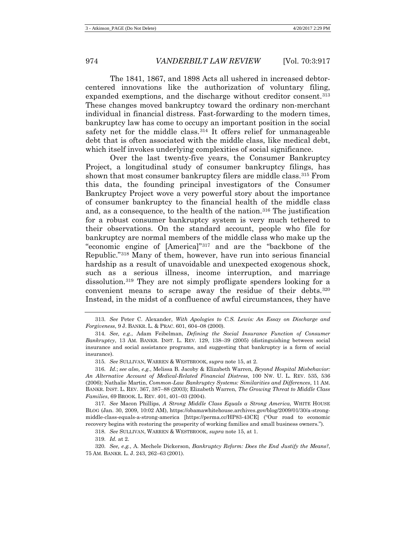The 1841, 1867, and 1898 Acts all ushered in increased debtorcentered innovations like the authorization of voluntary filing, expanded exemptions, and the discharge without creditor consent.<sup>[313](#page-57-0)</sup> These changes moved bankruptcy toward the ordinary non-merchant individual in financial distress. Fast-forwarding to the modern times, bankruptcy law has come to occupy an important position in the social safety net for the middle class.<sup>[314](#page-57-1)</sup> It offers relief for unmanageable debt that is often associated with the middle class, like medical debt, which itself invokes underlying complexities of social significance.

<span id="page-57-8"></span>Over the last twenty-five years, the Consumer Bankruptcy Project, a longitudinal study of consumer bankruptcy filings, has shown that most consumer bankruptcy filers are middle class.[315](#page-57-2) From this data, the founding principal investigators of the Consumer Bankruptcy Project wove a very powerful story about the importance of consumer bankruptcy to the financial health of the middle class and, as a consequence, to the health of the nation.[316](#page-57-3) The justification for a robust consumer bankruptcy system is very much tethered to their observations. On the standard account, people who file for bankruptcy are normal members of the middle class who make up the "economic engine of [America]"[317](#page-57-4) and are the "backbone of the Republic."[318](#page-57-5) Many of them, however, have run into serious financial hardship as a result of unavoidable and unexpected exogenous shock, such as a serious illness, income interruption, and marriage dissolution.[319](#page-57-6) They are not simply profligate spenders looking for a convenient means to scrape away the residue of their debts.[320](#page-57-7) Instead, in the midst of a confluence of awful circumstances, they have

<span id="page-57-3"></span><span id="page-57-2"></span>316. *Id.*; *see also, e.g.*, Melissa B. Jacoby & Elizabeth Warren, *Beyond Hospital Misbehavior: An Alternative Account of Medical-Related Financial Distress*, 100 NW. U. L. REV. 535, 536 (2006); Nathalie Martin, *Common-Law Bankruptcy Systems: Similarities and Differences*, 11 AM. BANKR. INST. L. REV. 367, 387–88 (2003); Elizabeth Warren, *The Growing Threat to Middle Class Families*, 69 BROOK. L. REV. 401, 401–03 (2004).

<span id="page-57-4"></span>317. *See* Macon Phillips, *A Strong Middle Class Equals a Strong America*, WHITE HOUSE BLOG (Jan. 30, 2009, 10:02 AM), https://obamawhitehouse.archives.gov/blog/2009/01/30/a-strongmiddle-class-equals-a-strong-america [https://perma.cc/HP83-43CE] ("Our road to economic recovery begins with restoring the prosperity of working families and small business owners.").

318. *See* SULLIVAN, WARREN & WESTBROOK, *supra* note [15,](#page-6-8) at 1.

319. *Id.* at 2.

<span id="page-57-7"></span><span id="page-57-6"></span><span id="page-57-5"></span>320. *See, e.g.*, A. Mechele Dickerson, *Bankruptcy Reform: Does the End Justify the Means?*, 75 AM. BANKR. L. J. 243, 262–63 (2001).

<span id="page-57-0"></span><sup>313.</sup> *See* Peter C. Alexander, *With Apologies to C.S. Lewis: An Essay on Discharge and Forgiveness*, 9 J. BANKR. L. & PRAC. 601, 604–08 (2000).

<span id="page-57-1"></span><sup>314.</sup> *See, e.g.*, Adam Feibelman, *Defining the Social Insurance Function of Consumer Bankruptcy*, 13 AM. BANKR. INST. L. REV. 129, 138–39 (2005) (distinguishing between social insurance and social assistance programs, and suggesting that bankruptcy is a form of social insurance).

<sup>315.</sup> *See* SULLIVAN, WARREN & WESTBROOK, *supra* not[e 15,](#page-6-8) at 2.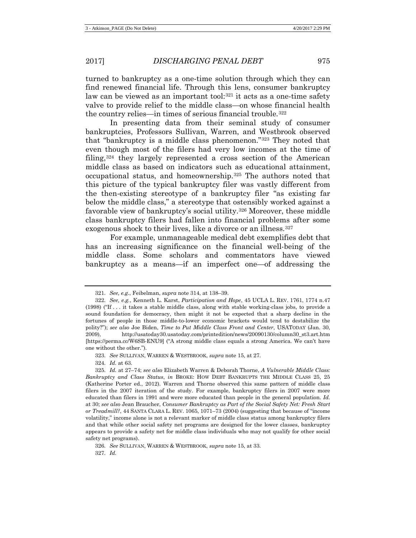turned to bankruptcy as a one-time solution through which they can find renewed financial life. Through this lens, consumer bankruptcy law can be viewed as an important tool: $321$  it acts as a one-time safety valve to provide relief to the middle class—on whose financial health the country relies—in times of serious financial trouble.<sup>[322](#page-58-1)</sup>

In presenting data from their seminal study of consumer bankruptcies, Professors Sullivan, Warren, and Westbrook observed that "bankruptcy is a middle class phenomenon."[323](#page-58-2) They noted that even though most of the filers had very low incomes at the time of filing,[324](#page-58-3) they largely represented a cross section of the American middle class as based on indicators such as educational attainment, occupational status, and homeownership.[325](#page-58-4) The authors noted that this picture of the typical bankruptcy filer was vastly different from the then-existing stereotype of a bankruptcy filer "as existing far below the middle class," a stereotype that ostensibly worked against a favorable view of bankruptcy's social utility.[326](#page-58-5) Moreover, these middle class bankruptcy filers had fallen into financial problems after some exogenous shock to their lives, like a divorce or an illness.<sup>[327](#page-58-6)</sup>

For example, unmanageable medical debt exemplifies debt that has an increasing significance on the financial well-being of the middle class. Some scholars and commentators have viewed bankruptcy as a means—if an imperfect one—of addressing the

<span id="page-58-6"></span>327. *Id.*

<sup>321.</sup> *See, e.g.*, Feibelman, *supra* note [314,](#page-57-8) at 138–39.

<span id="page-58-1"></span><span id="page-58-0"></span><sup>322.</sup> *See, e.g.*, Kenneth L. Karst, *Participation and Hope*, 45 UCLA L. REV. 1761, 1774 n.47 (1998) ("If . . . it takes a stable middle class, along with stable working-class jobs, to provide a sound foundation for democracy, then might it not be expected that a sharp decline in the fortunes of people in those middle-to-lower economic brackets would tend to destabilize the polity?"); *see also* Joe Biden, *Time to Put Middle Class Front and Center*, USATODAY (Jan. 30, 2009), http://usatoday30.usatoday.com/printedition/news/20090130/column30\_st3.art.htm [https://perma.cc/W6SB-ENU9] ("A strong middle class equals a strong America. We can't have one without the other.").

<sup>323.</sup> *See* SULLIVAN, WARREN & WESTBROOK, *supra* note [15,](#page-6-8) at 27.

<sup>324.</sup> *Id.* at 63.

<span id="page-58-4"></span><span id="page-58-3"></span><span id="page-58-2"></span><sup>325.</sup> *Id.* at 27–74; *see also* Elizabeth Warren & Deborah Thorne, *A Vulnerable Middle Class: Bankruptcy and Class Status*, *in* BROKE: HOW DEBT BANKRUPTS THE MIDDLE CLASS 25, 25 (Katherine Porter ed., 2012). Warren and Thorne observed this same pattern of middle class filers in the 2007 iteration of the study. For example, bankruptcy filers in 2007 were more educated than filers in 1991 and were more educated than people in the general population. *Id.*  at 30; *see also* Jean Braucher, *Consumer Bankruptcy as Part of the Social Safety Net: Fresh Start or Treadmill?*, 44 SANTA CLARA L. REV. 1065, 1071–73 (2004) (suggesting that because of "income volatility," income alone is not a relevant marker of middle class status among bankruptcy filers and that while other social safety net programs are designed for the lower classes, bankruptcy appears to provide a safety net for middle class individuals who may not qualify for other social safety net programs).

<span id="page-58-5"></span><sup>326.</sup> *See* SULLIVAN, WARREN & WESTBROOK, *supra* note [15,](#page-6-8) at 33.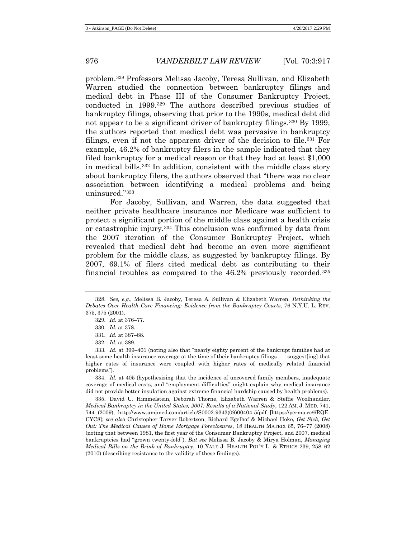<span id="page-59-8"></span>problem.[328](#page-59-0) Professors Melissa Jacoby, Teresa Sullivan, and Elizabeth Warren studied the connection between bankruptcy filings and medical debt in Phase III of the Consumer Bankruptcy Project, conducted in 1999.[329](#page-59-1) The authors described previous studies of bankruptcy filings, observing that prior to the 1990s, medical debt did not appear to be a significant driver of bankruptcy filings.[330](#page-59-2) By 1999, the authors reported that medical debt was pervasive in bankruptcy filings, even if not the apparent driver of the decision to file.<sup>[331](#page-59-3)</sup> For example, 46.2% of bankruptcy filers in the sample indicated that they filed bankruptcy for a medical reason or that they had at least \$1,000 in medical bills.[332](#page-59-4) In addition, consistent with the middle class story about bankruptcy filers, the authors observed that "there was no clear association between identifying a medical problems and being uninsured."[333](#page-59-5)

For Jacoby, Sullivan, and Warren, the data suggested that neither private healthcare insurance nor Medicare was sufficient to protect a significant portion of the middle class against a health crisis or catastrophic injury[.334](#page-59-6) This conclusion was confirmed by data from the 2007 iteration of the Consumer Bankruptcy Project, which revealed that medical debt had become an even more significant problem for the middle class, as suggested by bankruptcy filings. By 2007, 69.1% of filers cited medical debt as contributing to their financial troubles as compared to the 46.2% previously recorded.[335](#page-59-7)

332. *Id.* at 389.

<span id="page-59-6"></span>334. *Id.* at 405 (hypothesizing that the incidence of uncovered family members, inadequate coverage of medical costs, and "employment difficulties" might explain why medical insurance did not provide better insulation against extreme financial hardship caused by health problems).

<span id="page-59-7"></span>335. David U. Himmelstein, Deborah Thorne, Elizabeth Warren & Steffie Woolhandler, *Medical Bankruptcy in the United States, 2007: Results of a National Study*, 122 AM. J. MED. 741, 744 (2009), http://www.amjmed.com/article/S0002-9343(09)00404-5/pdf [https://perma.cc/6RQE-CYC8]; *see also* Christopher Tarver Robertson, Richard Egelhof & Michael Hoke, *Get Sick, Get Out: The Medical Causes of Home Mortgage Foreclosures*, 18 HEALTH MATRIX 65, 76–77 (2008) (noting that between 1981, the first year of the Consumer Bankruptcy Project, and 2007, medical bankruptcies had "grown twenty-fold"). *But see* Melissa B. Jacoby & Mirya Holman, *Managing Medical Bills on the Brink of Bankruptcy*, 10 YALE J. HEALTH POL'Y L. & ETHICS 239, 258–62 (2010) (describing resistance to the validity of these findings).

<span id="page-59-1"></span><span id="page-59-0"></span><sup>328.</sup> *See, e.g.*, Melissa B. Jacoby, Teresa A. Sullivan & Elizabeth Warren, *Rethinking the Debates Over Health Care Financing: Evidence from the Bankruptcy Courts*, 76 N.Y.U. L. REV. 375, 375 (2001).

<span id="page-59-9"></span><sup>329.</sup> *Id.* at 376–77.

<sup>330.</sup> *Id.* at 378.

<sup>331.</sup> *Id.* at 387–88.

<span id="page-59-5"></span><span id="page-59-4"></span><span id="page-59-3"></span><span id="page-59-2"></span><sup>333.</sup> *Id.* at 399–401 (noting also that "nearly eighty percent of the bankrupt families had at least some health insurance coverage at the time of their bankruptcy filings . . . suggest[ing] that higher rates of insurance were coupled with higher rates of medically related financial problems").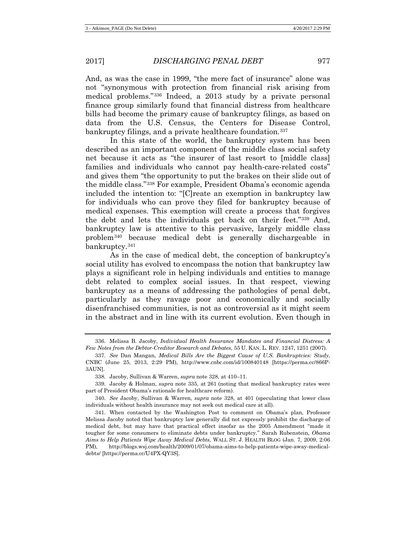And, as was the case in 1999, "the mere fact of insurance" alone was not "synonymous with protection from financial risk arising from medical problems."[336](#page-60-0) Indeed, a 2013 study by a private personal finance group similarly found that financial distress from healthcare bills had become the primary cause of bankruptcy filings, as based on data from the U.S. Census, the Centers for Disease Control, bankruptcy filings, and a private healthcare foundation.<sup>[337](#page-60-1)</sup>

In this state of the world, the bankruptcy system has been described as an important component of the middle class social safety net because it acts as "the insurer of last resort to [middle class] families and individuals who cannot pay health-care-related costs" and gives them "the opportunity to put the brakes on their slide out of the middle class."[338](#page-60-2) For example, President Obama's economic agenda included the intention to: "[C]reate an exemption in bankruptcy law for individuals who can prove they filed for bankruptcy because of medical expenses. This exemption will create a process that forgives the debt and lets the individuals get back on their feet."[339](#page-60-3) And, bankruptcy law is attentive to this pervasive, largely middle class problem[340](#page-60-4) because medical debt is generally dischargeable in bankruptcy.[341](#page-60-5)

As in the case of medical debt, the conception of bankruptcy's social utility has evolved to encompass the notion that bankruptcy law plays a significant role in helping individuals and entities to manage debt related to complex social issues. In that respect, viewing bankruptcy as a means of addressing the pathologies of penal debt, particularly as they ravage poor and economically and socially disenfranchised communities, is not as controversial as it might seem in the abstract and in line with its current evolution. Even though in

<span id="page-60-0"></span><sup>336.</sup> Melissa B. Jacoby, *Individual Health Insurance Mandates and Financial Distress: A Few Notes from the Debtor-Creditor Research and Debates*, 55 U. KAN. L. REV. 1247, 1251 (2007).

<span id="page-60-1"></span><sup>337.</sup> *See* Dan Mangan, *Medical Bills Are the Biggest Cause of U.S. Bankruptcies: Study*, CNBC (June 25, 2013, 2:29 PM), http://www.cnbc.com/id/100840148 [https://perma.cc/866P-3AUN].

<sup>338.</sup> Jacoby, Sullivan & Warren, *supra* not[e 328,](#page-59-8) at 410–11.

<span id="page-60-3"></span><span id="page-60-2"></span><sup>339.</sup> Jacoby & Holman, *supra* note [335,](#page-59-9) at 261 (noting that medical bankruptcy rates were part of President Obama's rationale for healthcare reform).

<span id="page-60-4"></span><sup>340.</sup> *See* Jacoby, Sullivan & Warren, *supra* note [328,](#page-59-8) at 401 (speculating that lower class individuals without health insurance may not seek out medical care at all).

<span id="page-60-5"></span><sup>341.</sup> When contacted by the Washington Post to comment on Obama's plan, Professor Melissa Jacoby noted that bankruptcy law generally did not expressly prohibit the discharge of medical debt, but may have that practical effect insofar as the 2005 Amendment "made it tougher for some consumers to eliminate debts under bankruptcy." Sarah Rubenstein, *Obama Aims to Help Patients Wipe Away Medical Debts*, WALL ST. J. HEALTH BLOG (Jan. 7, 2009, 2:06 PM), http://blogs.wsj.com/health/2009/01/07/obama-aims-to-help-patients-wipe-away-medicaldebts/ [https://perma.cc/U4PX-QY3S].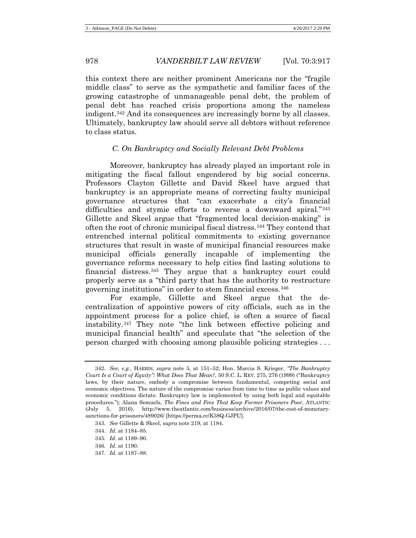this context there are neither prominent Americans nor the "fragile middle class" to serve as the sympathetic and familiar faces of the growing catastrophe of unmanageable penal debt, the problem of penal debt has reached crisis proportions among the nameless indigent.[342](#page-61-0) And its consequences are increasingly borne by all classes. Ultimately, bankruptcy law should serve all debtors without reference to class status.

## *C. On Bankruptcy and Socially Relevant Debt Problems*

Moreover, bankruptcy has already played an important role in mitigating the fiscal fallout engendered by big social concerns. Professors Clayton Gillette and David Skeel have argued that bankruptcy is an appropriate means of correcting faulty municipal governance structures that "can exacerbate a city's financial difficulties and stymie efforts to reverse a downward spiral."[343](#page-61-1) Gillette and Skeel argue that "fragmented local decision-making" is often the root of chronic municipal fiscal distress.[344](#page-61-2) They contend that entrenched internal political commitments to existing governance structures that result in waste of municipal financial resources make municipal officials generally incapable of implementing the governance reforms necessary to help cities find lasting solutions to financial distress.[345](#page-61-3) They argue that a bankruptcy court could properly serve as a "third party that has the authority to restructure governing institutions" in order to stem financial excess.[346](#page-61-4)

For example, Gillette and Skeel argue that the decentralization of appointive powers of city officials, such as in the appointment process for a police chief, is often a source of fiscal instability.[347](#page-61-5) They note "the link between effective policing and municipal financial health" and speculate that "the selection of the person charged with choosing among plausible policing strategies . . .

<span id="page-61-5"></span>347. *Id.* at 1187–88.

<span id="page-61-0"></span><sup>342.</sup> *See, e.g.*, HARRIS, *supra* note [5,](#page-2-8) at 151–52; Hon. Marcia S. Krieger, *"The Bankruptcy Court Is a Court of Equity": What Does That Mean?*, 50 S.C. L. REV. 275, 276 (1999) ("Bankruptcy laws, by their nature, embody a compromise between fundamental, competing social and economic objectives. The nature of the compromise varies from time to time as public values and economic conditions dictate. Bankruptcy law is implemented by using both legal and equitable procedures."); Alana Semuels, *The Fines and Fees That Keep Former Prisoners Poor*, ATLANTIC (July 5, 2016), http://www.theatlantic.com/business/archive/2016/07/the-cost-of-monetarysanctions-for-prisoners/489026/ [https://perma.cc/K38Q-GJPU].

<span id="page-61-2"></span><span id="page-61-1"></span><sup>343.</sup> *See* Gillette & Skeel, *supra* not[e 219,](#page-38-4) at 1184.

<sup>344.</sup> *Id.* at 1184–85.

<span id="page-61-3"></span><sup>345.</sup> *Id.* at 1189–90.

<span id="page-61-4"></span><sup>346.</sup> *Id.* at 1190.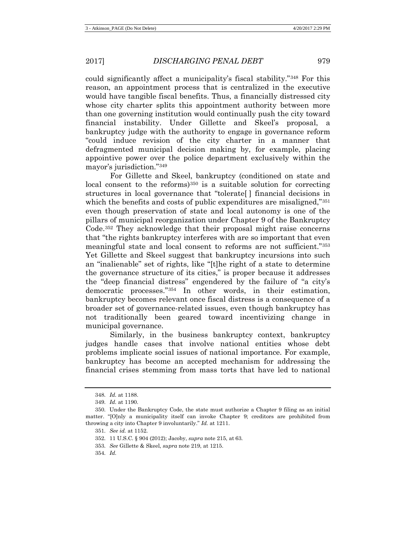could significantly affect a municipality's fiscal stability."[348](#page-62-0) For this reason, an appointment process that is centralized in the executive would have tangible fiscal benefits. Thus, a financially distressed city whose city charter splits this appointment authority between more than one governing institution would continually push the city toward financial instability. Under Gillette and Skeel's proposal, a bankruptcy judge with the authority to engage in governance reform "could induce revision of the city charter in a manner that defragmented municipal decision making by, for example, placing appointive power over the police department exclusively within the mayor's jurisdiction.["349](#page-62-1)

For Gillette and Skeel, bankruptcy (conditioned on state and local consent to the reforms)<sup>[350](#page-62-2)</sup> is a suitable solution for correcting structures in local governance that "tolerate[ ] financial decisions in which the benefits and costs of public expenditures are misaligned,"<sup>[351](#page-62-3)</sup> even though preservation of state and local autonomy is one of the pillars of municipal reorganization under Chapter 9 of the Bankruptcy Code.[352](#page-62-4) They acknowledge that their proposal might raise concerns that "the rights bankruptcy interferes with are so important that even meaningful state and local consent to reforms are not sufficient."[353](#page-62-5) Yet Gillette and Skeel suggest that bankruptcy incursions into such an "inalienable" set of rights, like "[t]he right of a state to determine the governance structure of its cities," is proper because it addresses the "deep financial distress" engendered by the failure of "a city's democratic processes."[354](#page-62-6) In other words, in their estimation, bankruptcy becomes relevant once fiscal distress is a consequence of a broader set of governance-related issues, even though bankruptcy has not traditionally been geared toward incentivizing change in municipal governance.

Similarly, in the business bankruptcy context, bankruptcy judges handle cases that involve national entities whose debt problems implicate social issues of national importance. For example, bankruptcy has become an accepted mechanism for addressing the financial crises stemming from mass torts that have led to national

<span id="page-62-6"></span>354. *Id.*

<sup>348.</sup> *Id.* at 1188.

<sup>349.</sup> *Id.* at 1190.

<span id="page-62-5"></span><span id="page-62-4"></span><span id="page-62-3"></span><span id="page-62-2"></span><span id="page-62-1"></span><span id="page-62-0"></span><sup>350.</sup> Under the Bankruptcy Code, the state must authorize a Chapter 9 filing as an initial matter. "[O]nly a municipality itself can invoke Chapter 9; creditors are prohibited from throwing a city into Chapter 9 involuntarily." *Id.* at 1211.

<sup>351.</sup> *See id.* at 1152.

<sup>352.</sup> 11 U.S.C. § 904 (2012); Jacoby, *supra* not[e 215,](#page-37-0) at 63.

<sup>353.</sup> *See* Gillette & Skeel, *supra* not[e 219,](#page-38-4) at 1215.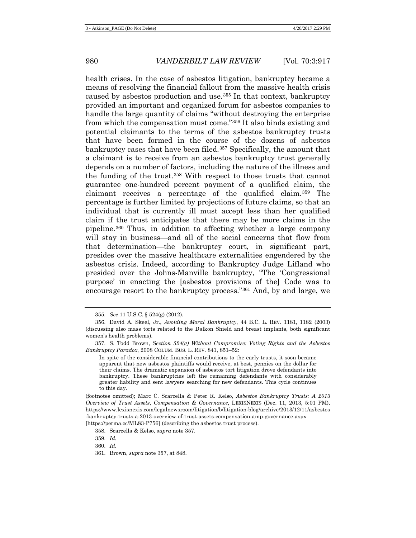<span id="page-63-8"></span><span id="page-63-0"></span>health crises. In the case of asbestos litigation, bankruptcy became a means of resolving the financial fallout from the massive health crisis caused by asbestos production and use.[355](#page-63-1) In that context, bankruptcy provided an important and organized forum for asbestos companies to handle the large quantity of claims "without destroying the enterprise from which the compensation must come."[356](#page-63-2) It also binds existing and potential claimants to the terms of the asbestos bankruptcy trusts that have been formed in the course of the dozens of asbestos bankruptcy cases that have been filed.[357](#page-63-3) Specifically, the amount that a claimant is to receive from an asbestos bankruptcy trust generally depends on a number of factors, including the nature of the illness and the funding of the trust.[358](#page-63-4) With respect to those trusts that cannot guarantee one-hundred percent payment of a qualified claim, the claimant receives a percentage of the qualified claim.[359](#page-63-5) The percentage is further limited by projections of future claims, so that an individual that is currently ill must accept less than her qualified claim if the trust anticipates that there may be more claims in the pipeline.[360](#page-63-6) Thus, in addition to affecting whether a large company will stay in business—and all of the social concerns that flow from that determination—the bankruptcy court, in significant part, presides over the massive healthcare externalities engendered by the asbestos crisis. Indeed, according to Bankruptcy Judge Lifland who presided over the Johns-Manville bankruptcy, "The 'Congressional purpose' in enacting the [asbestos provisions of the] Code was to encourage resort to the bankruptcy process."[361](#page-63-7) And, by and large, we

In spite of the considerable financial contributions to the early trusts, it soon became apparent that new asbestos plaintiffs would receive, at best, pennies on the dollar for their claims. The dramatic expansion of asbestos tort litigation drove defendants into bankruptcy. These bankruptcies left the remaining defendants with considerably greater liability and sent lawyers searching for new defendants. This cycle continues to this day.

<span id="page-63-4"></span>(footnotes omitted); Marc C. Scarcella & Peter R. Kelso, *Asbestos Bankruptcy Trusts: A 2013 Overview of Trust Assets*, *Compensation & Governance*, LEXISNEXIS (Dec. 11, 2013, 5:01 PM), https://www.lexisnexis.com/legalnewsroom/litigation/b/litigation-blog/archive/2013/12/11/asbestos -bankruptcy-trusts-a-2013-overview-of-trust-assets-compensation-amp-governance.aspx [https://perma.cc/ML83-P756] (describing the asbestos trust process).

<span id="page-63-5"></span>358. Scarcella & Kelso, *supra* not[e 357.](#page-63-0)

- 359. *Id.*
- <span id="page-63-6"></span>360. *Id.*
- <span id="page-63-7"></span>361. Brown, *supra* not[e 357,](#page-63-0) at 848.

<sup>355.</sup> *See* 11 U.S.C. § 524(g) (2012).

<span id="page-63-2"></span><span id="page-63-1"></span><sup>356.</sup> David A. Skeel, Jr., *Avoiding Moral Bankruptcy*, 44 B.C. L. REV. 1181, 1182 (2003) (discussing also mass torts related to the Dalkon Shield and breast implants, both significant women's health problems).

<span id="page-63-3"></span><sup>357.</sup> S. Todd Brown, *Section 524(g) Without Compromise: Voting Rights and the Asbestos Bankruptcy Paradox*, 2008 COLUM. BUS. L. REV. 841, 851–52: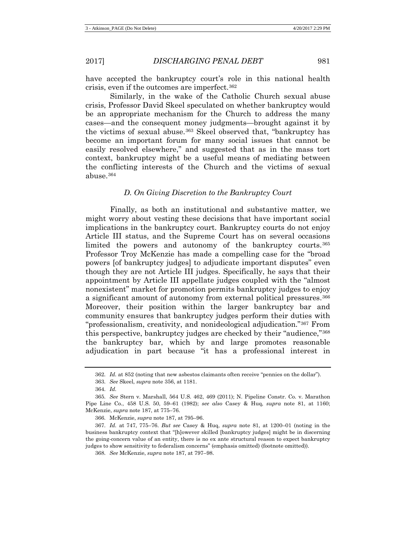have accepted the bankruptcy court's role in this national health crisis, even if the outcomes are imperfect.[362](#page-64-0)

Similarly, in the wake of the Catholic Church sexual abuse crisis, Professor David Skeel speculated on whether bankruptcy would be an appropriate mechanism for the Church to address the many cases—and the consequent money judgments—brought against it by the victims of sexual abuse.[363](#page-64-1) Skeel observed that, "bankruptcy has become an important forum for many social issues that cannot be easily resolved elsewhere," and suggested that as in the mass tort context, bankruptcy might be a useful means of mediating between the conflicting interests of the Church and the victims of sexual abuse.[364](#page-64-2)

## *D. On Giving Discretion to the Bankruptcy Court*

Finally, as both an institutional and substantive matter, we might worry about vesting these decisions that have important social implications in the bankruptcy court. Bankruptcy courts do not enjoy Article III status, and the Supreme Court has on several occasions limited the powers and autonomy of the bankruptcy courts.[365](#page-64-3) Professor Troy McKenzie has made a compelling case for the "broad powers [of bankruptcy judges] to adjudicate important disputes" even though they are not Article III judges. Specifically, he says that their appointment by Article III appellate judges coupled with the "almost nonexistent" market for promotion permits bankruptcy judges to enjoy a significant amount of autonomy from external political pressures.<sup>[366](#page-64-4)</sup> Moreover, their position within the larger bankruptcy bar and community ensures that bankruptcy judges perform their duties with "professionalism, creativity, and nonideological adjudication."[367](#page-64-5) From this perspective, bankruptcy judges are checked by their "audience,"[368](#page-64-6) the bankruptcy bar, which by and large promotes reasonable adjudication in part because "it has a professional interest in

<sup>362.</sup> *Id.* at 852 (noting that new asbestos claimants often receive "pennies on the dollar").

<sup>363.</sup> *See* Skeel, *supra* not[e 356,](#page-63-8) at 1181.

<sup>364.</sup> *Id.*

<span id="page-64-3"></span><span id="page-64-2"></span><span id="page-64-1"></span><span id="page-64-0"></span><sup>365.</sup> *See* Stern v. Marshall, 564 U.S. 462, 469 (2011); N. Pipeline Constr. Co. v. Marathon Pipe Line Co., 458 U.S. 50, 59–61 (1982); *see also* Casey & Huq, *supra* note [81,](#page-15-7) at 1160; McKenzie, *supra* not[e 187,](#page-32-3) at 775–76.

<sup>366.</sup> McKenzie, *supra* note [187,](#page-32-3) at 795–96.

<span id="page-64-6"></span><span id="page-64-5"></span><span id="page-64-4"></span><sup>367.</sup> *Id.* at 747, 775–76. *But see* Casey & Huq, *supra* note [81,](#page-15-7) at 1200–01 (noting in the business bankruptcy context that "[h]owever skilled [bankruptcy judges] might be in discerning the going-concern value of an entity, there is no ex ante structural reason to expect bankruptcy judges to show sensitivity to federalism concerns" (emphasis omitted) (footnote omitted)).

<sup>368.</sup> *See* McKenzie, *supra* not[e 187,](#page-32-3) at 797–98.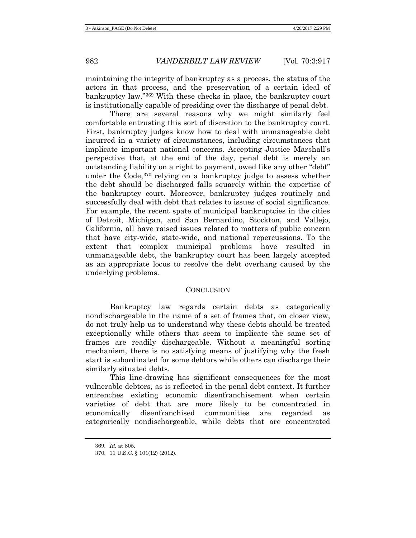maintaining the integrity of bankruptcy as a process, the status of the actors in that process, and the preservation of a certain ideal of bankruptcy law."[369](#page-65-0) With these checks in place, the bankruptcy court is institutionally capable of presiding over the discharge of penal debt.

There are several reasons why we might similarly feel comfortable entrusting this sort of discretion to the bankruptcy court. First, bankruptcy judges know how to deal with unmanageable debt incurred in a variety of circumstances, including circumstances that implicate important national concerns. Accepting Justice Marshall's perspective that, at the end of the day, penal debt is merely an outstanding liability on a right to payment, owed like any other "debt" under the Code,[370](#page-65-1) relying on a bankruptcy judge to assess whether the debt should be discharged falls squarely within the expertise of the bankruptcy court. Moreover, bankruptcy judges routinely and successfully deal with debt that relates to issues of social significance. For example, the recent spate of municipal bankruptcies in the cities of Detroit, Michigan, and San Bernardino, Stockton, and Vallejo, California, all have raised issues related to matters of public concern that have city-wide, state-wide, and national repercussions. To the extent that complex municipal problems have resulted in unmanageable debt, the bankruptcy court has been largely accepted as an appropriate locus to resolve the debt overhang caused by the underlying problems.

#### **CONCLUSION**

Bankruptcy law regards certain debts as categorically nondischargeable in the name of a set of frames that, on closer view, do not truly help us to understand why these debts should be treated exceptionally while others that seem to implicate the same set of frames are readily dischargeable. Without a meaningful sorting mechanism, there is no satisfying means of justifying why the fresh start is subordinated for some debtors while others can discharge their similarly situated debts.

This line-drawing has significant consequences for the most vulnerable debtors, as is reflected in the penal debt context. It further entrenches existing economic disenfranchisement when certain varieties of debt that are more likely to be concentrated in economically disenfranchised communities are regarded as categorically nondischargeable, while debts that are concentrated

<span id="page-65-0"></span><sup>369.</sup> *Id.* at 805.

<span id="page-65-1"></span><sup>370.</sup> 11 U.S.C. § 101(12) (2012).